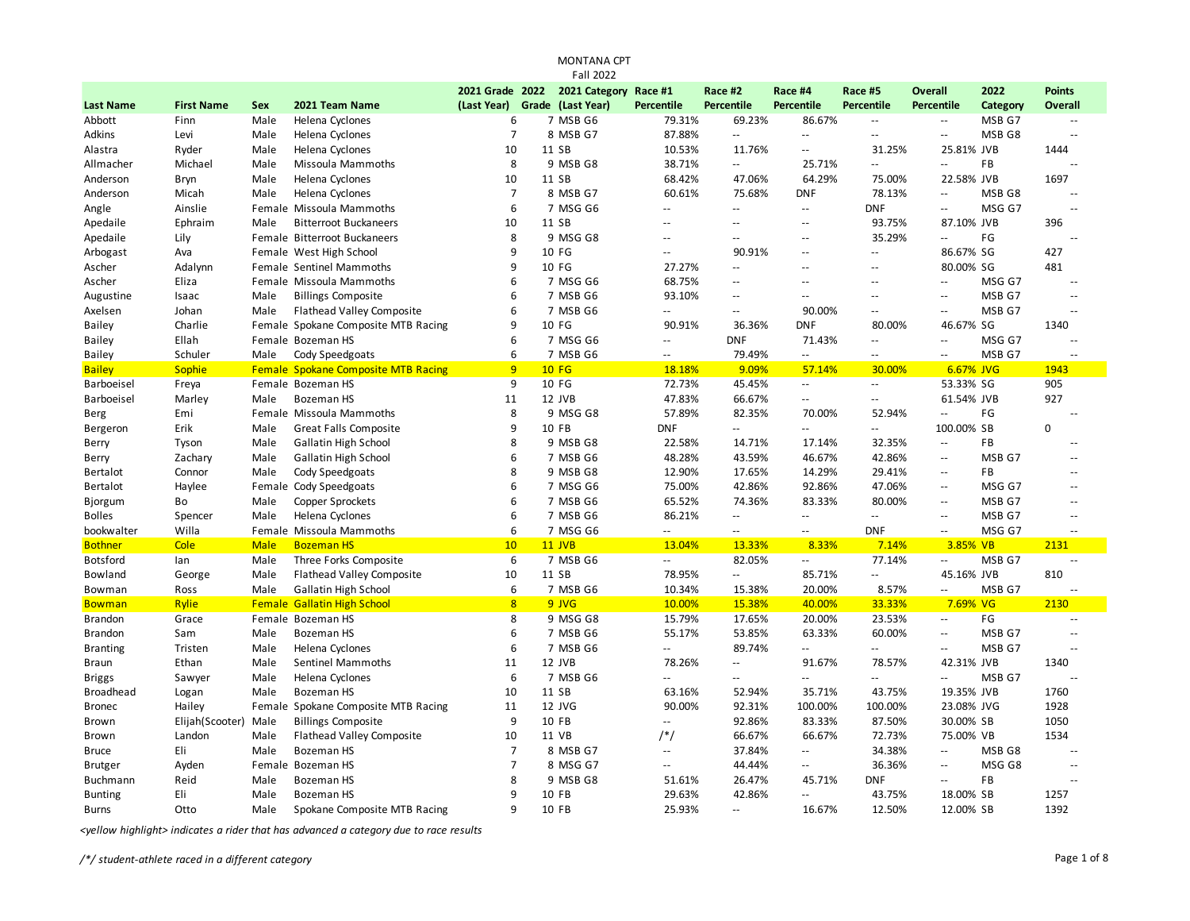|                   |                   |             |                                            |                 | <b>MONTANA CPT</b> |                          |                           |                          |                           |                                               |                   |                          |
|-------------------|-------------------|-------------|--------------------------------------------|-----------------|--------------------|--------------------------|---------------------------|--------------------------|---------------------------|-----------------------------------------------|-------------------|--------------------------|
|                   |                   |             |                                            |                 | <b>Fall 2022</b>   |                          |                           |                          |                           |                                               |                   |                          |
|                   |                   |             |                                            | 2021 Grade 2022 | 2021 Category      | Race #1                  | Race #2                   | Race #4                  | Race #5                   | <b>Overall</b>                                | 2022              | <b>Points</b>            |
| <b>Last Name</b>  | <b>First Name</b> | <b>Sex</b>  | 2021 Team Name                             | (Last Year)     | Grade (Last Year)  | Percentile               | Percentile                | <b>Percentile</b>        | Percentile                | Percentile                                    | Category          | Overall                  |
| Abbott            | Finn              | Male        | Helena Cyclones                            | 6               | 7 MSB G6           | 79.31%                   | 69.23%                    | 86.67%                   | $\overline{\phantom{a}}$  | $\overline{\phantom{a}}$                      | MSB G7            | $\sim$                   |
| Adkins            | Levi              | Male        | Helena Cyclones                            | 7               | 8 MSB G7           | 87.88%                   | $\mathbb{L}^2$            | $\overline{\phantom{a}}$ | $\sim$ $\sim$             | $-$                                           | MSB <sub>G8</sub> | $\overline{a}$           |
| Alastra           | Ryder             | Male        | Helena Cyclones                            | 10              | 11 SB              | 10.53%                   | 11.76%                    | $\mathbf{u}$             | 31.25%                    | 25.81% JVB                                    |                   | 1444                     |
| Allmacher         | Michael           | Male        | Missoula Mammoths                          | 8               | 9 MSB G8           | 38.71%                   | $\mathbb{L}^{\mathbb{L}}$ | 25.71%                   | $\mathcal{L} =$           | $\overline{a}$                                | FB                | Ц.                       |
| Anderson          | <b>Bryn</b>       | Male        | Helena Cyclones                            | 10              | 11 SB              | 68.42%                   | 47.06%                    | 64.29%                   | 75.00%                    | 22.58% JVB                                    |                   | 1697                     |
| Anderson          | Micah             | Male        | Helena Cyclones                            | $\overline{7}$  | 8 MSB G7           | 60.61%                   | 75.68%                    | <b>DNF</b>               | 78.13%                    | $\overline{a}$                                | MSB G8            | $\overline{a}$           |
| Angle             | Ainslie           |             | Female Missoula Mammoths                   | 6               | 7 MSG G6           | $\overline{a}$           | $\sim$ $\sim$             | $\mathbf{u}$             | <b>DNF</b>                | $\overline{a}$                                | MSG G7            | $\sim$                   |
| Apedaile          | Ephraim           | Male        | <b>Bitterroot Buckaneers</b>               | 10              | 11 SB              |                          |                           | $\sim$ $\sim$            | 93.75%                    | 87.10% JVB                                    |                   | 396                      |
| Apedaile          | Lily              |             | Female Bitterroot Buckaneers               | 8               | 9 MSG G8           | $-$                      | $-$                       | $\overline{a}$           | 35.29%                    | ۵۵                                            | FG                | Ц.                       |
| Arbogast          | Ava               |             | Female West High School                    | 9               | 10 FG              | $\overline{a}$           | 90.91%                    | $\sim$ $\sim$            | $\sim$ $\sim$             | 86.67% SG                                     |                   | 427                      |
| Ascher            | Adalynn           |             | Female Sentinel Mammoths                   | 9               | 10 FG              | 27.27%                   | $\mathbb{L}^2$            | $\sim$                   | $\overline{a}$            | 80.00% SG                                     |                   | 481                      |
| Ascher            | Eliza             |             | Female Missoula Mammoths                   | 6               | 7 MSG G6           | 68.75%                   | $\overline{a}$            | $\sim$ $\sim$            | ۵۵                        | Ξ.                                            | MSG G7            | $\overline{\phantom{a}}$ |
| Augustine         | Isaac             | Male        | <b>Billings Composite</b>                  | 6               | 7 MSB G6           | 93.10%                   | $\overline{a}$            | $\mathbb{L}^2$           | $\overline{a}$            | $\overline{a}$                                | MSB G7            | $\overline{a}$           |
| Axelsen           | Johan             | Male        | <b>Flathead Valley Composite</b>           | 6               | 7 MSB G6           | $\overline{a}$           | $\sim$                    | 90.00%                   | $\sim$                    | $\sim$                                        | MSB G7            | $=$                      |
| <b>Bailey</b>     | Charlie           |             | Female Spokane Composite MTB Racing        | 9               | 10 FG              | 90.91%                   | 36.36%                    | <b>DNF</b>               | 80.00%                    | 46.67% SG                                     |                   | 1340                     |
| <b>Bailey</b>     | Ellah             |             | Female Bozeman HS                          | 6               | 7 MSG G6           | Ξ.                       | <b>DNF</b>                | 71.43%                   | Ξ.                        | ÷.                                            | MSG G7            |                          |
| <b>Bailey</b>     | Schuler           | Male        | Cody Speedgoats                            | 6               | 7 MSB G6           | $\overline{\phantom{a}}$ | 79.49%                    | $\overline{\phantom{a}}$ | Ξ.                        | --                                            | MSB G7            | $\overline{\phantom{a}}$ |
| <b>Bailey</b>     | <b>Sophie</b>     |             | <b>Female Spokane Composite MTB Racing</b> | 9               | <b>10 FG</b>       | 18.18%                   | 9.09%                     | 57.14%                   | 30.00%                    | 6.67% JVG                                     |                   | 1943                     |
| Barboeisel        | Freya             |             | Female Bozeman HS                          | 9               | 10 FG              | 72.73%                   | 45.45%                    | $\sim$                   | $\overline{\phantom{a}}$  | 53.33% SG                                     |                   | 905                      |
| <b>Barboeisel</b> | Marley            | Male        | <b>Bozeman HS</b>                          | 11              | 12 JVB             | 47.83%                   | 66.67%                    | $\overline{\phantom{a}}$ | Ξ.                        | 61.54% JVB                                    |                   | 927                      |
| Berg              | Emi               |             | Female Missoula Mammoths                   | 8               | 9 MSG G8           | 57.89%                   | 82.35%                    | 70.00%                   | 52.94%                    | Ξ.                                            | FG                | $\overline{\phantom{a}}$ |
| Bergeron          | Erik              | Male        | <b>Great Falls Composite</b>               | 9               | 10 FB              | <b>DNF</b>               | $\overline{a}$            | $\sim$                   | $\sim$                    | 100.00% SB                                    |                   | $\Omega$                 |
| Berry             | Tyson             | Male        | Gallatin High School                       | 8               | 9 MSB G8           | 22.58%                   | 14.71%                    | 17.14%                   | 32.35%                    | $\mathbb{L}^{\mathbb{L}}$                     | FB                | $\overline{a}$           |
| Berry             | Zachary           | Male        | Gallatin High School                       | 6               | 7 MSB G6           | 48.28%                   | 43.59%                    | 46.67%                   | 42.86%                    | $\mathbb{L}^{\mathbb{L}}$                     | MSB G7            | --                       |
| <b>Bertalot</b>   | Connor            | Male        | Cody Speedgoats                            | 8               | 9 MSB G8           | 12.90%                   | 17.65%                    | 14.29%                   | 29.41%                    | $-$                                           | <b>FB</b>         | $\overline{a}$           |
| <b>Bertalot</b>   | Haylee            |             | Female Cody Speedgoats                     | 6               | 7 MSG G6           | 75.00%                   | 42.86%                    | 92.86%                   | 47.06%                    | $\overline{\phantom{a}}$                      | MSG G7            | $\overline{a}$           |
| Bjorgum           | Bo                | Male        | <b>Copper Sprockets</b>                    | 6               | 7 MSB G6           | 65.52%                   | 74.36%                    | 83.33%                   | 80.00%                    | $\overline{\phantom{a}}$                      | MSB G7            | $\overline{a}$           |
| <b>Bolles</b>     | Spencer           | Male        | Helena Cyclones                            | 6               | 7 MSB G6           | 86.21%                   | $\overline{\phantom{a}}$  | $\overline{\phantom{a}}$ | ÷.                        | $\overline{a}$                                | MSB G7            | $\overline{a}$           |
| bookwalter        | Willa             |             | Female Missoula Mammoths                   | 6               | 7 MSG G6           | $-$                      | $\overline{\phantom{a}}$  | $\overline{\phantom{a}}$ | <b>DNF</b>                | $\overline{\phantom{a}}$                      | MSG G7            | --                       |
| <b>Bothner</b>    | Cole              | <b>Male</b> | <b>Bozeman HS</b>                          | 10              | 11 JVB             | 13.04%                   | 13.33%                    | 8.33%                    | 7.14%                     | 3.85% VB                                      |                   | 2131                     |
| <b>Botsford</b>   | lan               | Male        | Three Forks Composite                      | 6               | 7 MSB G6           | $\sim$                   | 82.05%                    | $\overline{\phantom{a}}$ | 77.14%                    | $\mathord{\hspace{1pt}\text{--}\hspace{1pt}}$ | MSB G7            | $\overline{a}$           |
| Bowland           | George            | Male        | <b>Flathead Valley Composite</b>           | 10              | 11 SB              | 78.95%                   | $\overline{\phantom{a}}$  | 85.71%                   | $\mathbb{Z}^{\mathbb{Z}}$ | 45.16% JVB                                    |                   | 810                      |
| Bowman            | Ross              | Male        | Gallatin High School                       | 6               | 7 MSB G6           | 10.34%                   | 15.38%                    | 20.00%                   | 8.57%                     | Ξ.                                            | MSB G7            | $\sim$ $\sim$            |
| <b>Bowman</b>     | <b>Rylie</b>      |             | <b>Female Gallatin High School</b>         | $\overline{8}$  | 9 JVG              | 10.00%                   | 15.38%                    | 40.00%                   | 33.33%                    | 7.69%                                         | <b>VG</b>         | 2130                     |
| <b>Brandon</b>    | Grace             |             | Female Bozeman HS                          | 8               | 9 MSG G8           | 15.79%                   | 17.65%                    | 20.00%                   | 23.53%                    | $\overline{\phantom{a}}$                      | FG                | $\overline{a}$           |
| <b>Brandon</b>    | Sam               | Male        | Bozeman HS                                 | 6               | 7 MSB G6           | 55.17%                   | 53.85%                    | 63.33%                   | 60.00%                    | Ξ.                                            | MSB G7            | --                       |
| <b>Branting</b>   | Tristen           | Male        | Helena Cyclones                            | 6               | 7 MSB G6           | $\overline{a}$           | 89.74%                    | $\overline{\phantom{a}}$ | Ц.                        | $\overline{a}$                                | MSB G7            | ۵.                       |
| <b>Braun</b>      | Ethan             | Male        | Sentinel Mammoths                          | 11              | 12 JVB             | 78.26%                   | $\mathbf{u}$              | 91.67%                   | 78.57%                    | 42.31% JVB                                    |                   | 1340                     |
| <b>Briggs</b>     | Sawyer            | Male        | Helena Cyclones                            | 6               | 7 MSB G6           | ۵۵                       | --                        | $\mathbb{L}^2$           | $\sim$ $\sim$             | Ξ.                                            | MSB G7            |                          |
| Broadhead         | Logan             | Male        | Bozeman HS                                 | 10              | 11 SB              | 63.16%                   | 52.94%                    | 35.71%                   | 43.75%                    | 19.35% JVB                                    |                   | 1760                     |
| <b>Bronec</b>     | Hailey            |             | Female Spokane Composite MTB Racing        | 11              | 12 JVG             | 90.00%                   | 92.31%                    | 100.00%                  | 100.00%                   | 23.08% JVG                                    |                   | 1928                     |
| Brown             | Elijah(Scooter)   | Male        | <b>Billings Composite</b>                  | 9               | 10 FB              | $\overline{a}$           | 92.86%                    | 83.33%                   | 87.50%                    | 30.00% SB                                     |                   | 1050                     |
| Brown             | Landon            | Male        | <b>Flathead Valley Composite</b>           | 10              | 11 VB              | $/*/$                    | 66.67%                    | 66.67%                   | 72.73%                    | 75.00% VB                                     |                   | 1534                     |
| Bruce             | Eli               | Male        | <b>Bozeman HS</b>                          | $\overline{7}$  | 8 MSB G7           | $\overline{\phantom{a}}$ | 37.84%                    | $\overline{\phantom{a}}$ | 34.38%                    | Ξ.                                            | MSB G8            | $\overline{a}$           |
| <b>Brutger</b>    | Ayden             |             | Female Bozeman HS                          | $\overline{7}$  | 8 MSG G7           | $\overline{a}$           | 44.44%                    | $\mathbb{L}^2$           | 36.36%                    | $\sim$ $\sim$                                 | MSG G8            | $\overline{a}$           |
| Buchmann          | Reid              | Male        | <b>Bozeman HS</b>                          | 8               | 9 MSB G8           | 51.61%                   | 26.47%                    | 45.71%                   | DNF                       | $\ddotsc$                                     | FB                | ۵.                       |
| <b>Bunting</b>    | Eli               | Male        | <b>Bozeman HS</b>                          | 9               | 10 FB              | 29.63%                   | 42.86%                    | $\mathbb{L}^2$           | 43.75%                    | 18.00% SB                                     |                   | 1257                     |
| Burns             | Otto              | Male        | Spokane Composite MTB Racing               | 9               | 10 FB              | 25.93%                   | $\sim$                    | 16.67%                   | 12.50%                    | 12.00% SB                                     |                   | 1392                     |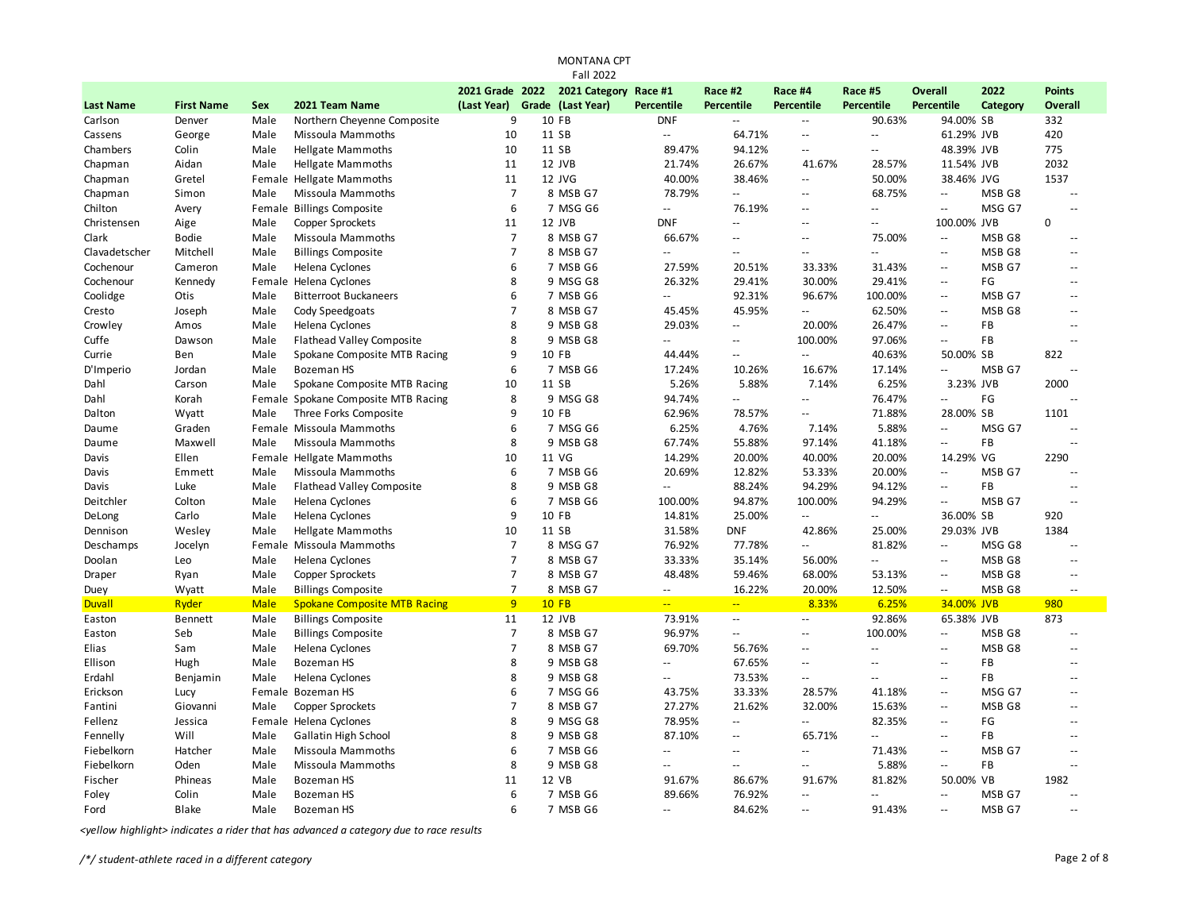| 2022<br>2021 Grade 2022<br>2021 Category<br>Race #2<br><b>Overall</b><br><b>Points</b><br>Race #1<br>Race #4<br>Race #5<br>(Last Year)<br>Grade (Last Year)<br><b>Percentile</b><br><b>Percentile</b><br><b>Percentile</b><br><b>Last Name</b><br><b>First Name</b><br>Sex<br>2021 Team Name<br>Percentile<br>Percentile<br>Category<br>Overall<br>9<br>10 FB<br><b>DNF</b><br>90.63%<br>94.00% SB<br>332<br>Carlson<br>Male<br>Northern Cheyenne Composite<br>Щ,<br>Denver<br>--<br>10<br>11 SB<br>61.29% JVB<br>George<br>Male<br>Missoula Mammoths<br>$\mathcal{L}^{\mathcal{L}}$<br>64.71%<br>$\overline{\phantom{a}}$<br>420<br>Cassens<br>Ξ.<br>10<br>11 SB<br>94.12%<br>48.39% JVB<br>775<br>Chambers<br>Colin<br>Male<br><b>Hellgate Mammoths</b><br>89.47%<br>L.<br>$\mathcal{L} =$<br>Chapman<br>Aidan<br><b>Hellgate Mammoths</b><br>11<br>12 JVB<br>21.74%<br>26.67%<br>41.67%<br>28.57%<br>11.54% JVB<br>2032<br>Male<br>11<br>12 JVG<br>40.00%<br>38.46%<br>50.00%<br>38.46% JVG<br>1537<br>Chapman<br>Gretel<br>Female Hellgate Mammoths<br>44<br>$\overline{7}$<br>8 MSB G7<br>78.79%<br>68.75%<br>Chapman<br>Simon<br>Missoula Mammoths<br>Ξ.<br>MSB G8<br>Male<br>Ц.<br>$\sim$<br>$\sim$<br>6<br>76.19%<br>7 MSG G6<br>MSG G7<br>Chilton<br><b>Billings Composite</b><br>$\mathcal{L}^{\mathcal{L}}$<br>Avery<br>Female<br>Ц.<br>$\sim$ $\sim$<br>$\sim$ $\sim$<br>$\sim$ $\sim$<br>11<br>12 JVB<br><b>DNF</b><br>100.00% JVB<br>$\Omega$<br>Christensen<br>Male<br><b>Copper Sprockets</b><br>Aige<br>--<br>Ξ.<br>$\mathbf{u}$<br>Clark<br><b>Bodie</b><br>Missoula Mammoths<br>$\overline{7}$<br>8 MSB G7<br>66.67%<br>75.00%<br>MSB G8<br>Male<br>$\mathcal{L}_{\mathcal{A}}$<br>$\overline{a}$<br>$-$<br>$\sim$ $\sim$<br>$\overline{7}$<br>8 MSB G7<br>MSB <sub>G8</sub><br>Clavadetscher<br>Mitchell<br>Male<br><b>Billings Composite</b><br>$\mathcal{L} =$<br>$\sim$ $\sim$<br>$\sim$ $\sim$<br>--<br>$\sim$ $\sim$<br>$\sim$ $\sim$<br>6<br>Cochenour<br>Cameron<br>Helena Cyclones<br>7 MSB G6<br>27.59%<br>20.51%<br>33.33%<br>31.43%<br>MSB G7<br>Male<br>$\overline{\phantom{a}}$<br>$\sim$ $\sim$<br>8<br>9 MSG G8<br>FG<br>Cochenour<br>Kennedy<br>Female Helena Cyclones<br>26.32%<br>29.41%<br>30.00%<br>29.41%<br>$\sim$<br>$\sim$ $\sim$<br>6<br>96.67%<br>Coolidge<br>Otis<br><b>Bitterroot Buckaneers</b><br>7 MSB G6<br>92.31%<br>100.00%<br>MSB G7<br>Male<br>Ξ.<br>$\overline{\phantom{a}}$<br>$\sim$ $\sim$<br>$\overline{7}$<br>45.95%<br>8 MSB G7<br>62.50%<br>MSB <sub>G8</sub><br>Cresto<br>Male<br>Cody Speedgoats<br>45.45%<br>Ξ.<br>Joseph<br>$\sim$<br>$\sim$ $\sim$<br>8<br>29.03%<br>Crowley<br>Helena Cyclones<br>9 MSB G8<br>20.00%<br>26.47%<br>FB<br>Amos<br>Male<br>Щ,<br>$\sim$ $\sim$<br>$\sim$ $\sim$<br>Cuffe<br><b>Flathead Valley Composite</b><br>8<br>9 MSB G8<br>100.00%<br>97.06%<br>FB<br>Male<br>$\mathbf{L}$<br>$\sim$ $\sim$<br>Dawson<br>$-$<br>$\sim$ $\sim$<br>9<br>Currie<br>Male<br>Spokane Composite MTB Racing<br>10 FB<br>44.44%<br>$\mathbb{L}^2$<br>40.63%<br>50.00% SB<br>822<br>Ben<br>$\sim$ $\sim$<br>6<br>7 MSB G6<br>D'Imperio<br>Jordan<br>Male<br><b>Bozeman HS</b><br>17.24%<br>10.26%<br>16.67%<br>17.14%<br>$\sim$ $\sim$<br>MSB G7<br>Dahl<br>Spokane Composite MTB Racing<br>10<br>11 SB<br>5.26%<br>5.88%<br>7.14%<br>6.25%<br>3.23% JVB<br>2000<br>Carson<br>Male<br>8<br>9 MSG G8<br>94.74%<br>76.47%<br>FG<br>Dahl<br>Korah<br>Female Spokane Composite MTB Racing<br>--<br>Ξ.<br>$\sim$ $\sim$<br>9<br>10 FB<br>71.88%<br>Three Forks Composite<br>62.96%<br>78.57%<br>28.00% SB<br>1101<br>Dalton<br>Male<br>Ξ. |  |
|----------------------------------------------------------------------------------------------------------------------------------------------------------------------------------------------------------------------------------------------------------------------------------------------------------------------------------------------------------------------------------------------------------------------------------------------------------------------------------------------------------------------------------------------------------------------------------------------------------------------------------------------------------------------------------------------------------------------------------------------------------------------------------------------------------------------------------------------------------------------------------------------------------------------------------------------------------------------------------------------------------------------------------------------------------------------------------------------------------------------------------------------------------------------------------------------------------------------------------------------------------------------------------------------------------------------------------------------------------------------------------------------------------------------------------------------------------------------------------------------------------------------------------------------------------------------------------------------------------------------------------------------------------------------------------------------------------------------------------------------------------------------------------------------------------------------------------------------------------------------------------------------------------------------------------------------------------------------------------------------------------------------------------------------------------------------------------------------------------------------------------------------------------------------------------------------------------------------------------------------------------------------------------------------------------------------------------------------------------------------------------------------------------------------------------------------------------------------------------------------------------------------------------------------------------------------------------------------------------------------------------------------------------------------------------------------------------------------------------------------------------------------------------------------------------------------------------------------------------------------------------------------------------------------------------------------------------------------------------------------------------------------------------------------------------------------------------------------------------------------------------------------------------------------------------------------------------------------------------------------------------------------------------------------------------------------------------------------------------------------------------------------------------------------------------------------------------------------------------------------------------------------------------------------------------------------------------------------------------------------|--|
|                                                                                                                                                                                                                                                                                                                                                                                                                                                                                                                                                                                                                                                                                                                                                                                                                                                                                                                                                                                                                                                                                                                                                                                                                                                                                                                                                                                                                                                                                                                                                                                                                                                                                                                                                                                                                                                                                                                                                                                                                                                                                                                                                                                                                                                                                                                                                                                                                                                                                                                                                                                                                                                                                                                                                                                                                                                                                                                                                                                                                                                                                                                                                                                                                                                                                                                                                                                                                                                                                                                                                                                                                      |  |
|                                                                                                                                                                                                                                                                                                                                                                                                                                                                                                                                                                                                                                                                                                                                                                                                                                                                                                                                                                                                                                                                                                                                                                                                                                                                                                                                                                                                                                                                                                                                                                                                                                                                                                                                                                                                                                                                                                                                                                                                                                                                                                                                                                                                                                                                                                                                                                                                                                                                                                                                                                                                                                                                                                                                                                                                                                                                                                                                                                                                                                                                                                                                                                                                                                                                                                                                                                                                                                                                                                                                                                                                                      |  |
|                                                                                                                                                                                                                                                                                                                                                                                                                                                                                                                                                                                                                                                                                                                                                                                                                                                                                                                                                                                                                                                                                                                                                                                                                                                                                                                                                                                                                                                                                                                                                                                                                                                                                                                                                                                                                                                                                                                                                                                                                                                                                                                                                                                                                                                                                                                                                                                                                                                                                                                                                                                                                                                                                                                                                                                                                                                                                                                                                                                                                                                                                                                                                                                                                                                                                                                                                                                                                                                                                                                                                                                                                      |  |
|                                                                                                                                                                                                                                                                                                                                                                                                                                                                                                                                                                                                                                                                                                                                                                                                                                                                                                                                                                                                                                                                                                                                                                                                                                                                                                                                                                                                                                                                                                                                                                                                                                                                                                                                                                                                                                                                                                                                                                                                                                                                                                                                                                                                                                                                                                                                                                                                                                                                                                                                                                                                                                                                                                                                                                                                                                                                                                                                                                                                                                                                                                                                                                                                                                                                                                                                                                                                                                                                                                                                                                                                                      |  |
|                                                                                                                                                                                                                                                                                                                                                                                                                                                                                                                                                                                                                                                                                                                                                                                                                                                                                                                                                                                                                                                                                                                                                                                                                                                                                                                                                                                                                                                                                                                                                                                                                                                                                                                                                                                                                                                                                                                                                                                                                                                                                                                                                                                                                                                                                                                                                                                                                                                                                                                                                                                                                                                                                                                                                                                                                                                                                                                                                                                                                                                                                                                                                                                                                                                                                                                                                                                                                                                                                                                                                                                                                      |  |
|                                                                                                                                                                                                                                                                                                                                                                                                                                                                                                                                                                                                                                                                                                                                                                                                                                                                                                                                                                                                                                                                                                                                                                                                                                                                                                                                                                                                                                                                                                                                                                                                                                                                                                                                                                                                                                                                                                                                                                                                                                                                                                                                                                                                                                                                                                                                                                                                                                                                                                                                                                                                                                                                                                                                                                                                                                                                                                                                                                                                                                                                                                                                                                                                                                                                                                                                                                                                                                                                                                                                                                                                                      |  |
|                                                                                                                                                                                                                                                                                                                                                                                                                                                                                                                                                                                                                                                                                                                                                                                                                                                                                                                                                                                                                                                                                                                                                                                                                                                                                                                                                                                                                                                                                                                                                                                                                                                                                                                                                                                                                                                                                                                                                                                                                                                                                                                                                                                                                                                                                                                                                                                                                                                                                                                                                                                                                                                                                                                                                                                                                                                                                                                                                                                                                                                                                                                                                                                                                                                                                                                                                                                                                                                                                                                                                                                                                      |  |
|                                                                                                                                                                                                                                                                                                                                                                                                                                                                                                                                                                                                                                                                                                                                                                                                                                                                                                                                                                                                                                                                                                                                                                                                                                                                                                                                                                                                                                                                                                                                                                                                                                                                                                                                                                                                                                                                                                                                                                                                                                                                                                                                                                                                                                                                                                                                                                                                                                                                                                                                                                                                                                                                                                                                                                                                                                                                                                                                                                                                                                                                                                                                                                                                                                                                                                                                                                                                                                                                                                                                                                                                                      |  |
|                                                                                                                                                                                                                                                                                                                                                                                                                                                                                                                                                                                                                                                                                                                                                                                                                                                                                                                                                                                                                                                                                                                                                                                                                                                                                                                                                                                                                                                                                                                                                                                                                                                                                                                                                                                                                                                                                                                                                                                                                                                                                                                                                                                                                                                                                                                                                                                                                                                                                                                                                                                                                                                                                                                                                                                                                                                                                                                                                                                                                                                                                                                                                                                                                                                                                                                                                                                                                                                                                                                                                                                                                      |  |
|                                                                                                                                                                                                                                                                                                                                                                                                                                                                                                                                                                                                                                                                                                                                                                                                                                                                                                                                                                                                                                                                                                                                                                                                                                                                                                                                                                                                                                                                                                                                                                                                                                                                                                                                                                                                                                                                                                                                                                                                                                                                                                                                                                                                                                                                                                                                                                                                                                                                                                                                                                                                                                                                                                                                                                                                                                                                                                                                                                                                                                                                                                                                                                                                                                                                                                                                                                                                                                                                                                                                                                                                                      |  |
|                                                                                                                                                                                                                                                                                                                                                                                                                                                                                                                                                                                                                                                                                                                                                                                                                                                                                                                                                                                                                                                                                                                                                                                                                                                                                                                                                                                                                                                                                                                                                                                                                                                                                                                                                                                                                                                                                                                                                                                                                                                                                                                                                                                                                                                                                                                                                                                                                                                                                                                                                                                                                                                                                                                                                                                                                                                                                                                                                                                                                                                                                                                                                                                                                                                                                                                                                                                                                                                                                                                                                                                                                      |  |
|                                                                                                                                                                                                                                                                                                                                                                                                                                                                                                                                                                                                                                                                                                                                                                                                                                                                                                                                                                                                                                                                                                                                                                                                                                                                                                                                                                                                                                                                                                                                                                                                                                                                                                                                                                                                                                                                                                                                                                                                                                                                                                                                                                                                                                                                                                                                                                                                                                                                                                                                                                                                                                                                                                                                                                                                                                                                                                                                                                                                                                                                                                                                                                                                                                                                                                                                                                                                                                                                                                                                                                                                                      |  |
|                                                                                                                                                                                                                                                                                                                                                                                                                                                                                                                                                                                                                                                                                                                                                                                                                                                                                                                                                                                                                                                                                                                                                                                                                                                                                                                                                                                                                                                                                                                                                                                                                                                                                                                                                                                                                                                                                                                                                                                                                                                                                                                                                                                                                                                                                                                                                                                                                                                                                                                                                                                                                                                                                                                                                                                                                                                                                                                                                                                                                                                                                                                                                                                                                                                                                                                                                                                                                                                                                                                                                                                                                      |  |
|                                                                                                                                                                                                                                                                                                                                                                                                                                                                                                                                                                                                                                                                                                                                                                                                                                                                                                                                                                                                                                                                                                                                                                                                                                                                                                                                                                                                                                                                                                                                                                                                                                                                                                                                                                                                                                                                                                                                                                                                                                                                                                                                                                                                                                                                                                                                                                                                                                                                                                                                                                                                                                                                                                                                                                                                                                                                                                                                                                                                                                                                                                                                                                                                                                                                                                                                                                                                                                                                                                                                                                                                                      |  |
|                                                                                                                                                                                                                                                                                                                                                                                                                                                                                                                                                                                                                                                                                                                                                                                                                                                                                                                                                                                                                                                                                                                                                                                                                                                                                                                                                                                                                                                                                                                                                                                                                                                                                                                                                                                                                                                                                                                                                                                                                                                                                                                                                                                                                                                                                                                                                                                                                                                                                                                                                                                                                                                                                                                                                                                                                                                                                                                                                                                                                                                                                                                                                                                                                                                                                                                                                                                                                                                                                                                                                                                                                      |  |
|                                                                                                                                                                                                                                                                                                                                                                                                                                                                                                                                                                                                                                                                                                                                                                                                                                                                                                                                                                                                                                                                                                                                                                                                                                                                                                                                                                                                                                                                                                                                                                                                                                                                                                                                                                                                                                                                                                                                                                                                                                                                                                                                                                                                                                                                                                                                                                                                                                                                                                                                                                                                                                                                                                                                                                                                                                                                                                                                                                                                                                                                                                                                                                                                                                                                                                                                                                                                                                                                                                                                                                                                                      |  |
|                                                                                                                                                                                                                                                                                                                                                                                                                                                                                                                                                                                                                                                                                                                                                                                                                                                                                                                                                                                                                                                                                                                                                                                                                                                                                                                                                                                                                                                                                                                                                                                                                                                                                                                                                                                                                                                                                                                                                                                                                                                                                                                                                                                                                                                                                                                                                                                                                                                                                                                                                                                                                                                                                                                                                                                                                                                                                                                                                                                                                                                                                                                                                                                                                                                                                                                                                                                                                                                                                                                                                                                                                      |  |
|                                                                                                                                                                                                                                                                                                                                                                                                                                                                                                                                                                                                                                                                                                                                                                                                                                                                                                                                                                                                                                                                                                                                                                                                                                                                                                                                                                                                                                                                                                                                                                                                                                                                                                                                                                                                                                                                                                                                                                                                                                                                                                                                                                                                                                                                                                                                                                                                                                                                                                                                                                                                                                                                                                                                                                                                                                                                                                                                                                                                                                                                                                                                                                                                                                                                                                                                                                                                                                                                                                                                                                                                                      |  |
|                                                                                                                                                                                                                                                                                                                                                                                                                                                                                                                                                                                                                                                                                                                                                                                                                                                                                                                                                                                                                                                                                                                                                                                                                                                                                                                                                                                                                                                                                                                                                                                                                                                                                                                                                                                                                                                                                                                                                                                                                                                                                                                                                                                                                                                                                                                                                                                                                                                                                                                                                                                                                                                                                                                                                                                                                                                                                                                                                                                                                                                                                                                                                                                                                                                                                                                                                                                                                                                                                                                                                                                                                      |  |
|                                                                                                                                                                                                                                                                                                                                                                                                                                                                                                                                                                                                                                                                                                                                                                                                                                                                                                                                                                                                                                                                                                                                                                                                                                                                                                                                                                                                                                                                                                                                                                                                                                                                                                                                                                                                                                                                                                                                                                                                                                                                                                                                                                                                                                                                                                                                                                                                                                                                                                                                                                                                                                                                                                                                                                                                                                                                                                                                                                                                                                                                                                                                                                                                                                                                                                                                                                                                                                                                                                                                                                                                                      |  |
|                                                                                                                                                                                                                                                                                                                                                                                                                                                                                                                                                                                                                                                                                                                                                                                                                                                                                                                                                                                                                                                                                                                                                                                                                                                                                                                                                                                                                                                                                                                                                                                                                                                                                                                                                                                                                                                                                                                                                                                                                                                                                                                                                                                                                                                                                                                                                                                                                                                                                                                                                                                                                                                                                                                                                                                                                                                                                                                                                                                                                                                                                                                                                                                                                                                                                                                                                                                                                                                                                                                                                                                                                      |  |
|                                                                                                                                                                                                                                                                                                                                                                                                                                                                                                                                                                                                                                                                                                                                                                                                                                                                                                                                                                                                                                                                                                                                                                                                                                                                                                                                                                                                                                                                                                                                                                                                                                                                                                                                                                                                                                                                                                                                                                                                                                                                                                                                                                                                                                                                                                                                                                                                                                                                                                                                                                                                                                                                                                                                                                                                                                                                                                                                                                                                                                                                                                                                                                                                                                                                                                                                                                                                                                                                                                                                                                                                                      |  |
| Wyatt                                                                                                                                                                                                                                                                                                                                                                                                                                                                                                                                                                                                                                                                                                                                                                                                                                                                                                                                                                                                                                                                                                                                                                                                                                                                                                                                                                                                                                                                                                                                                                                                                                                                                                                                                                                                                                                                                                                                                                                                                                                                                                                                                                                                                                                                                                                                                                                                                                                                                                                                                                                                                                                                                                                                                                                                                                                                                                                                                                                                                                                                                                                                                                                                                                                                                                                                                                                                                                                                                                                                                                                                                |  |
| 6<br>Graden<br>7 MSG G6<br>6.25%<br>4.76%<br>5.88%<br>MSG G7<br>Female Missoula Mammoths<br>7.14%<br>Daume<br>$\sim$ $\sim$<br>$\sim$ $\sim$                                                                                                                                                                                                                                                                                                                                                                                                                                                                                                                                                                                                                                                                                                                                                                                                                                                                                                                                                                                                                                                                                                                                                                                                                                                                                                                                                                                                                                                                                                                                                                                                                                                                                                                                                                                                                                                                                                                                                                                                                                                                                                                                                                                                                                                                                                                                                                                                                                                                                                                                                                                                                                                                                                                                                                                                                                                                                                                                                                                                                                                                                                                                                                                                                                                                                                                                                                                                                                                                         |  |
| 8<br>9 MSB G8<br>55.88%<br>41.18%<br>FB<br>Missoula Mammoths<br>67.74%<br>97.14%<br>Daume<br>Maxwell<br>Male<br>$\sim$<br>$\sim$                                                                                                                                                                                                                                                                                                                                                                                                                                                                                                                                                                                                                                                                                                                                                                                                                                                                                                                                                                                                                                                                                                                                                                                                                                                                                                                                                                                                                                                                                                                                                                                                                                                                                                                                                                                                                                                                                                                                                                                                                                                                                                                                                                                                                                                                                                                                                                                                                                                                                                                                                                                                                                                                                                                                                                                                                                                                                                                                                                                                                                                                                                                                                                                                                                                                                                                                                                                                                                                                                     |  |
| 10<br>11 VG<br>14.29%<br>20.00%<br>40.00%<br>20.00%<br>14.29% VG<br>2290<br>Ellen<br>Female Hellgate Mammoths<br>Davis                                                                                                                                                                                                                                                                                                                                                                                                                                                                                                                                                                                                                                                                                                                                                                                                                                                                                                                                                                                                                                                                                                                                                                                                                                                                                                                                                                                                                                                                                                                                                                                                                                                                                                                                                                                                                                                                                                                                                                                                                                                                                                                                                                                                                                                                                                                                                                                                                                                                                                                                                                                                                                                                                                                                                                                                                                                                                                                                                                                                                                                                                                                                                                                                                                                                                                                                                                                                                                                                                               |  |
| 6<br>7 MSB G6<br>20.69%<br>12.82%<br>20.00%<br>MSB G7<br>Davis<br>Male<br>Missoula Mammoths<br>53.33%<br>$\overline{\phantom{a}}$<br>Emmett<br>$\sim$ $\sim$                                                                                                                                                                                                                                                                                                                                                                                                                                                                                                                                                                                                                                                                                                                                                                                                                                                                                                                                                                                                                                                                                                                                                                                                                                                                                                                                                                                                                                                                                                                                                                                                                                                                                                                                                                                                                                                                                                                                                                                                                                                                                                                                                                                                                                                                                                                                                                                                                                                                                                                                                                                                                                                                                                                                                                                                                                                                                                                                                                                                                                                                                                                                                                                                                                                                                                                                                                                                                                                         |  |
| 8<br>Luke<br><b>Flathead Valley Composite</b><br>9 MSB G8<br>88.24%<br>94.29%<br>94.12%<br>FB<br>Davis<br>Male<br>$\overline{a}$<br>$\sim$ $\sim$<br>$-$                                                                                                                                                                                                                                                                                                                                                                                                                                                                                                                                                                                                                                                                                                                                                                                                                                                                                                                                                                                                                                                                                                                                                                                                                                                                                                                                                                                                                                                                                                                                                                                                                                                                                                                                                                                                                                                                                                                                                                                                                                                                                                                                                                                                                                                                                                                                                                                                                                                                                                                                                                                                                                                                                                                                                                                                                                                                                                                                                                                                                                                                                                                                                                                                                                                                                                                                                                                                                                                             |  |
| 6<br>94.29%<br>Deitchler<br>Colton<br>Male<br>Helena Cyclones<br>7 MSB G6<br>100.00%<br>94.87%<br>100.00%<br>MSB G7<br>$\sim$<br>$\sim$ $\sim$                                                                                                                                                                                                                                                                                                                                                                                                                                                                                                                                                                                                                                                                                                                                                                                                                                                                                                                                                                                                                                                                                                                                                                                                                                                                                                                                                                                                                                                                                                                                                                                                                                                                                                                                                                                                                                                                                                                                                                                                                                                                                                                                                                                                                                                                                                                                                                                                                                                                                                                                                                                                                                                                                                                                                                                                                                                                                                                                                                                                                                                                                                                                                                                                                                                                                                                                                                                                                                                                       |  |
| 9<br>920<br>Carlo<br>Helena Cyclones<br>10 FB<br>14.81%<br>25.00%<br>36.00% SB<br>DeLong<br>Male<br>44<br>$\mathcal{L}(\mathcal{L})$                                                                                                                                                                                                                                                                                                                                                                                                                                                                                                                                                                                                                                                                                                                                                                                                                                                                                                                                                                                                                                                                                                                                                                                                                                                                                                                                                                                                                                                                                                                                                                                                                                                                                                                                                                                                                                                                                                                                                                                                                                                                                                                                                                                                                                                                                                                                                                                                                                                                                                                                                                                                                                                                                                                                                                                                                                                                                                                                                                                                                                                                                                                                                                                                                                                                                                                                                                                                                                                                                 |  |
| 10<br>31.58%<br><b>DNF</b><br>25.00%<br>29.03% JVB<br>1384<br><b>Hellgate Mammoths</b><br>11 SB<br>42.86%<br>Dennison<br>Wesley<br>Male                                                                                                                                                                                                                                                                                                                                                                                                                                                                                                                                                                                                                                                                                                                                                                                                                                                                                                                                                                                                                                                                                                                                                                                                                                                                                                                                                                                                                                                                                                                                                                                                                                                                                                                                                                                                                                                                                                                                                                                                                                                                                                                                                                                                                                                                                                                                                                                                                                                                                                                                                                                                                                                                                                                                                                                                                                                                                                                                                                                                                                                                                                                                                                                                                                                                                                                                                                                                                                                                              |  |
| $\overline{7}$<br>76.92%<br>81.82%<br>Jocelyn<br>Missoula Mammoths<br>8 MSG G7<br>77.78%<br>MSG G8<br>Deschamps<br>--<br>$\sim$ $\sim$<br>Female<br>$\sim$ $\sim$                                                                                                                                                                                                                                                                                                                                                                                                                                                                                                                                                                                                                                                                                                                                                                                                                                                                                                                                                                                                                                                                                                                                                                                                                                                                                                                                                                                                                                                                                                                                                                                                                                                                                                                                                                                                                                                                                                                                                                                                                                                                                                                                                                                                                                                                                                                                                                                                                                                                                                                                                                                                                                                                                                                                                                                                                                                                                                                                                                                                                                                                                                                                                                                                                                                                                                                                                                                                                                                    |  |
| $\overline{7}$<br>8 MSB G7<br>33.33%<br>56.00%<br>Doolan<br>Leo<br>Male<br>Helena Cyclones<br>35.14%<br>$\mathbb{L}^{\mathbb{L}}$<br>MSB G8<br>$\sim$ $\sim$<br>$\sim$ $\sim$                                                                                                                                                                                                                                                                                                                                                                                                                                                                                                                                                                                                                                                                                                                                                                                                                                                                                                                                                                                                                                                                                                                                                                                                                                                                                                                                                                                                                                                                                                                                                                                                                                                                                                                                                                                                                                                                                                                                                                                                                                                                                                                                                                                                                                                                                                                                                                                                                                                                                                                                                                                                                                                                                                                                                                                                                                                                                                                                                                                                                                                                                                                                                                                                                                                                                                                                                                                                                                        |  |
| $\overline{7}$<br>Copper Sprockets<br>8 MSB G7<br>48.48%<br>59.46%<br>68.00%<br>53.13%<br>MSB G8<br>Draper<br>Ryan<br>Male<br>$\sim$<br>$\sim$ $\sim$                                                                                                                                                                                                                                                                                                                                                                                                                                                                                                                                                                                                                                                                                                                                                                                                                                                                                                                                                                                                                                                                                                                                                                                                                                                                                                                                                                                                                                                                                                                                                                                                                                                                                                                                                                                                                                                                                                                                                                                                                                                                                                                                                                                                                                                                                                                                                                                                                                                                                                                                                                                                                                                                                                                                                                                                                                                                                                                                                                                                                                                                                                                                                                                                                                                                                                                                                                                                                                                                |  |
| $\overline{7}$<br>16.22%<br>20.00%<br>Wyatt<br>Male<br><b>Billings Composite</b><br>8 MSB G7<br>12.50%<br>MSB G8<br>Duey<br>$\sim$<br>$\sim$ $\sim$<br>$\sim$ $\sim$                                                                                                                                                                                                                                                                                                                                                                                                                                                                                                                                                                                                                                                                                                                                                                                                                                                                                                                                                                                                                                                                                                                                                                                                                                                                                                                                                                                                                                                                                                                                                                                                                                                                                                                                                                                                                                                                                                                                                                                                                                                                                                                                                                                                                                                                                                                                                                                                                                                                                                                                                                                                                                                                                                                                                                                                                                                                                                                                                                                                                                                                                                                                                                                                                                                                                                                                                                                                                                                 |  |
| 9<br>6.25%<br><b>Duvall</b><br>Ryder<br><b>Spokane Composite MTB Racing</b><br><b>10 FB</b><br>$\mathbb{L} \mathbb{L}$<br>8.33%<br>34.00% JVB<br>980<br><b>Male</b><br>u.                                                                                                                                                                                                                                                                                                                                                                                                                                                                                                                                                                                                                                                                                                                                                                                                                                                                                                                                                                                                                                                                                                                                                                                                                                                                                                                                                                                                                                                                                                                                                                                                                                                                                                                                                                                                                                                                                                                                                                                                                                                                                                                                                                                                                                                                                                                                                                                                                                                                                                                                                                                                                                                                                                                                                                                                                                                                                                                                                                                                                                                                                                                                                                                                                                                                                                                                                                                                                                            |  |
| 11<br>12 JVB<br>92.86%<br>65.38% JVB<br>873<br>Bennett<br>Male<br><b>Billings Composite</b><br>73.91%<br>Easton<br>$\mathbb{Z}^{\mathbb{Z}}$<br>--                                                                                                                                                                                                                                                                                                                                                                                                                                                                                                                                                                                                                                                                                                                                                                                                                                                                                                                                                                                                                                                                                                                                                                                                                                                                                                                                                                                                                                                                                                                                                                                                                                                                                                                                                                                                                                                                                                                                                                                                                                                                                                                                                                                                                                                                                                                                                                                                                                                                                                                                                                                                                                                                                                                                                                                                                                                                                                                                                                                                                                                                                                                                                                                                                                                                                                                                                                                                                                                                   |  |
| $\overline{7}$<br>8 MSB G7<br>100.00%<br>MSB G8<br>Seb<br><b>Billings Composite</b><br>96.97%<br>Easton<br>Male<br>Ξ.<br>$\overline{\phantom{a}}$<br>--<br>$\sim$ $\sim$                                                                                                                                                                                                                                                                                                                                                                                                                                                                                                                                                                                                                                                                                                                                                                                                                                                                                                                                                                                                                                                                                                                                                                                                                                                                                                                                                                                                                                                                                                                                                                                                                                                                                                                                                                                                                                                                                                                                                                                                                                                                                                                                                                                                                                                                                                                                                                                                                                                                                                                                                                                                                                                                                                                                                                                                                                                                                                                                                                                                                                                                                                                                                                                                                                                                                                                                                                                                                                             |  |
| $\overline{7}$<br>8 MSB G7<br>69.70%<br>MSB <sub>G8</sub><br>Elias<br>Sam<br>Helena Cyclones<br>56.76%<br>Male<br>--<br>$\sim$ $\sim$<br>$\sim$ $\sim$                                                                                                                                                                                                                                                                                                                                                                                                                                                                                                                                                                                                                                                                                                                                                                                                                                                                                                                                                                                                                                                                                                                                                                                                                                                                                                                                                                                                                                                                                                                                                                                                                                                                                                                                                                                                                                                                                                                                                                                                                                                                                                                                                                                                                                                                                                                                                                                                                                                                                                                                                                                                                                                                                                                                                                                                                                                                                                                                                                                                                                                                                                                                                                                                                                                                                                                                                                                                                                                               |  |
| 8<br>67.65%<br>FB<br>Ellison<br>Hugh<br><b>Bozeman HS</b><br>9 MSB G8<br>Male<br>$\overline{\phantom{a}}$<br>--<br>$\sim$ $\sim$<br>$\sim$ $\sim$<br>$\sim$ $\sim$                                                                                                                                                                                                                                                                                                                                                                                                                                                                                                                                                                                                                                                                                                                                                                                                                                                                                                                                                                                                                                                                                                                                                                                                                                                                                                                                                                                                                                                                                                                                                                                                                                                                                                                                                                                                                                                                                                                                                                                                                                                                                                                                                                                                                                                                                                                                                                                                                                                                                                                                                                                                                                                                                                                                                                                                                                                                                                                                                                                                                                                                                                                                                                                                                                                                                                                                                                                                                                                   |  |
| 8<br>9 MSB G8<br>73.53%<br>FB<br>Erdahl<br>Benjamin<br>Male<br>Helena Cyclones<br>$\sim$ $\sim$<br>--<br>$\sim$ $\sim$<br>$\sim$ $\sim$<br>$\sim$ $\sim$                                                                                                                                                                                                                                                                                                                                                                                                                                                                                                                                                                                                                                                                                                                                                                                                                                                                                                                                                                                                                                                                                                                                                                                                                                                                                                                                                                                                                                                                                                                                                                                                                                                                                                                                                                                                                                                                                                                                                                                                                                                                                                                                                                                                                                                                                                                                                                                                                                                                                                                                                                                                                                                                                                                                                                                                                                                                                                                                                                                                                                                                                                                                                                                                                                                                                                                                                                                                                                                             |  |
| 6<br>7 MSG G6<br>33.33%<br>Erickson<br>Female Bozeman HS<br>43.75%<br>28.57%<br>41.18%<br>MSG G7<br>Lucy<br>$\sim$<br>$\sim$ $\sim$                                                                                                                                                                                                                                                                                                                                                                                                                                                                                                                                                                                                                                                                                                                                                                                                                                                                                                                                                                                                                                                                                                                                                                                                                                                                                                                                                                                                                                                                                                                                                                                                                                                                                                                                                                                                                                                                                                                                                                                                                                                                                                                                                                                                                                                                                                                                                                                                                                                                                                                                                                                                                                                                                                                                                                                                                                                                                                                                                                                                                                                                                                                                                                                                                                                                                                                                                                                                                                                                                  |  |
| Copper Sprockets<br>$\overline{7}$<br>8 MSB G7<br>27.27%<br>21.62%<br>32.00%<br>15.63%<br>MSB <sub>G8</sub><br>Fantini<br>Giovanni<br>Male<br>$\sim$ $\sim$<br>$\sim$ $\sim$                                                                                                                                                                                                                                                                                                                                                                                                                                                                                                                                                                                                                                                                                                                                                                                                                                                                                                                                                                                                                                                                                                                                                                                                                                                                                                                                                                                                                                                                                                                                                                                                                                                                                                                                                                                                                                                                                                                                                                                                                                                                                                                                                                                                                                                                                                                                                                                                                                                                                                                                                                                                                                                                                                                                                                                                                                                                                                                                                                                                                                                                                                                                                                                                                                                                                                                                                                                                                                         |  |
| 8<br>Fellenz<br>Jessica<br>Female Helena Cyclones<br>9 MSG G8<br>78.95%<br>Ξ.<br>Ξ.<br>82.35%<br>FG<br>$\sim$<br>$\sim$ $\sim$                                                                                                                                                                                                                                                                                                                                                                                                                                                                                                                                                                                                                                                                                                                                                                                                                                                                                                                                                                                                                                                                                                                                                                                                                                                                                                                                                                                                                                                                                                                                                                                                                                                                                                                                                                                                                                                                                                                                                                                                                                                                                                                                                                                                                                                                                                                                                                                                                                                                                                                                                                                                                                                                                                                                                                                                                                                                                                                                                                                                                                                                                                                                                                                                                                                                                                                                                                                                                                                                                       |  |
| Will<br>8<br><b>Gallatin High School</b><br>87.10%<br>65.71%<br>FB<br>Fennelly<br>Male<br>9 MSB G8<br>$\mathcal{L} =$<br>$\sim$ $\sim$<br>$\sim$ $\sim$                                                                                                                                                                                                                                                                                                                                                                                                                                                                                                                                                                                                                                                                                                                                                                                                                                                                                                                                                                                                                                                                                                                                                                                                                                                                                                                                                                                                                                                                                                                                                                                                                                                                                                                                                                                                                                                                                                                                                                                                                                                                                                                                                                                                                                                                                                                                                                                                                                                                                                                                                                                                                                                                                                                                                                                                                                                                                                                                                                                                                                                                                                                                                                                                                                                                                                                                                                                                                                                              |  |
| Fiebelkorn<br>6<br>Hatcher<br>Missoula Mammoths<br>7 MSB G6<br>71.43%<br>MSB G7<br>Male<br>$\overline{\phantom{a}}$<br>Ξ.<br>--<br>$\sim$<br>$\sim$ $\sim$                                                                                                                                                                                                                                                                                                                                                                                                                                                                                                                                                                                                                                                                                                                                                                                                                                                                                                                                                                                                                                                                                                                                                                                                                                                                                                                                                                                                                                                                                                                                                                                                                                                                                                                                                                                                                                                                                                                                                                                                                                                                                                                                                                                                                                                                                                                                                                                                                                                                                                                                                                                                                                                                                                                                                                                                                                                                                                                                                                                                                                                                                                                                                                                                                                                                                                                                                                                                                                                           |  |
| 8<br>FB<br>Fiebelkorn<br>Oden<br>Missoula Mammoths<br>9 MSB G8<br>5.88%<br>Male<br>$\sim$<br>--<br>Ц.<br>$\overline{\phantom{a}}$<br>$\sim$ $\sim$                                                                                                                                                                                                                                                                                                                                                                                                                                                                                                                                                                                                                                                                                                                                                                                                                                                                                                                                                                                                                                                                                                                                                                                                                                                                                                                                                                                                                                                                                                                                                                                                                                                                                                                                                                                                                                                                                                                                                                                                                                                                                                                                                                                                                                                                                                                                                                                                                                                                                                                                                                                                                                                                                                                                                                                                                                                                                                                                                                                                                                                                                                                                                                                                                                                                                                                                                                                                                                                                   |  |
| 12 VB<br>91.67%<br>81.82%<br>50.00% VB<br>1982<br>Fischer<br>Phineas<br>Male<br><b>Bozeman HS</b><br>11<br>91.67%<br>86.67%                                                                                                                                                                                                                                                                                                                                                                                                                                                                                                                                                                                                                                                                                                                                                                                                                                                                                                                                                                                                                                                                                                                                                                                                                                                                                                                                                                                                                                                                                                                                                                                                                                                                                                                                                                                                                                                                                                                                                                                                                                                                                                                                                                                                                                                                                                                                                                                                                                                                                                                                                                                                                                                                                                                                                                                                                                                                                                                                                                                                                                                                                                                                                                                                                                                                                                                                                                                                                                                                                          |  |
| 6<br>7 MSB G6<br>89.66%<br>76.92%<br>MSB G7<br>Foley<br>Colin<br>Male<br><b>Bozeman HS</b><br>44<br>$\sim$<br>$\sim$<br>$\sim$ $\sim$                                                                                                                                                                                                                                                                                                                                                                                                                                                                                                                                                                                                                                                                                                                                                                                                                                                                                                                                                                                                                                                                                                                                                                                                                                                                                                                                                                                                                                                                                                                                                                                                                                                                                                                                                                                                                                                                                                                                                                                                                                                                                                                                                                                                                                                                                                                                                                                                                                                                                                                                                                                                                                                                                                                                                                                                                                                                                                                                                                                                                                                                                                                                                                                                                                                                                                                                                                                                                                                                                |  |
| 6<br>84.62%<br>91.43%<br>Ford<br><b>Blake</b><br>Male<br><b>Bozeman HS</b><br>7 MSB G6<br>MSB G7<br>$\sim$ $\sim$<br>4<br>$\sim$ $\sim$                                                                                                                                                                                                                                                                                                                                                                                                                                                                                                                                                                                                                                                                                                                                                                                                                                                                                                                                                                                                                                                                                                                                                                                                                                                                                                                                                                                                                                                                                                                                                                                                                                                                                                                                                                                                                                                                                                                                                                                                                                                                                                                                                                                                                                                                                                                                                                                                                                                                                                                                                                                                                                                                                                                                                                                                                                                                                                                                                                                                                                                                                                                                                                                                                                                                                                                                                                                                                                                                              |  |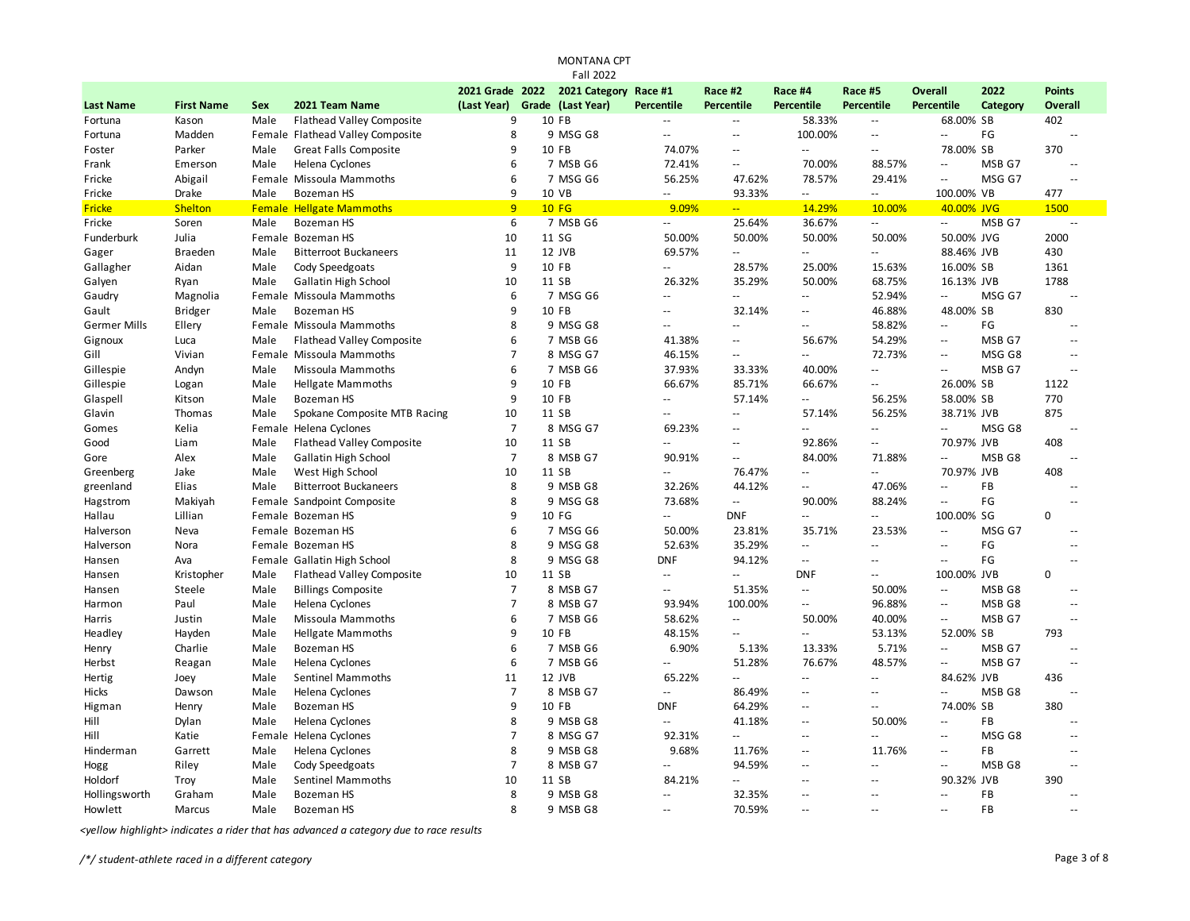|                     |                   |            |                                  |                 | <b>MONTANA CPT</b> |                             |                           |                          |                           |                                               |            |                |
|---------------------|-------------------|------------|----------------------------------|-----------------|--------------------|-----------------------------|---------------------------|--------------------------|---------------------------|-----------------------------------------------|------------|----------------|
|                     |                   |            |                                  |                 | <b>Fall 2022</b>   |                             |                           |                          |                           |                                               |            |                |
|                     |                   |            |                                  | 2021 Grade 2022 | 2021 Category      | Race #1                     | Race #2                   | Race #4                  | Race #5                   | <b>Overall</b>                                | 2022       | <b>Points</b>  |
| <b>Last Name</b>    | <b>First Name</b> | <b>Sex</b> | 2021 Team Name                   | (Last Year)     | Grade (Last Year)  | Percentile                  | Percentile                | <b>Percentile</b>        | Percentile                | Percentile                                    | Category   | <b>Overall</b> |
| Fortuna             | Kason             | Male       | <b>Flathead Valley Composite</b> | 9               | 10 FB              | $\sim$                      | $\overline{\phantom{a}}$  | 58.33%                   | $\overline{\phantom{a}}$  | 68.00% SB                                     |            | 402            |
| Fortuna             | Madden            |            | Female Flathead Valley Composite | 8               | 9 MSG G8           | $\sim$ $\sim$               | $\sim$ $\sim$             | 100.00%                  | $\sim$ $\sim$             | $\overline{\phantom{a}}$                      | FG         | $\overline{a}$ |
| Foster              | Parker            | Male       | <b>Great Falls Composite</b>     | 9               | 10 FB              | 74.07%                      | $\sim$ $\sim$             | Щ,                       | $\sim$ $\sim$             | 78.00% SB                                     |            | 370            |
| Frank               | Emerson           | Male       | Helena Cyclones                  | 6               | 7 MSB G6           | 72.41%                      | $\overline{\phantom{a}}$  | 70.00%                   | 88.57%                    | $\overline{\phantom{a}}$                      | MSB G7     | $\overline{a}$ |
| Fricke              | Abigail           |            | Female Missoula Mammoths         | 6               | 7 MSG G6           | 56.25%                      | 47.62%                    | 78.57%                   | 29.41%                    | $\mathord{\hspace{1pt}\text{--}\hspace{1pt}}$ | MSG G7     |                |
| Fricke              | Drake             | Male       | Bozeman HS                       | 9               | 10 VB              | $\sim$                      | 93.33%                    | Ξ.                       | $\sim$ $\sim$             | 100.00% VB                                    |            | 477            |
| <b>Fricke</b>       | <b>Shelton</b>    |            | <b>Female Hellgate Mammoths</b>  | 9               | <b>10 FG</b>       | 9.09%                       | $\overline{a}$            | 14.29%                   | 10.00%                    |                                               | 40.00% JVG | 1500           |
| Fricke              | Soren             | Male       | <b>Bozeman HS</b>                | 6               | 7 MSB G6           | $\overline{\phantom{a}}$    | 25.64%                    | 36.67%                   | $\mathbb{Z}^{\mathbb{Z}}$ | $\Box$                                        | MSB G7     | $\overline{a}$ |
| <b>Funderburk</b>   | Julia             |            | Female Bozeman HS                | 10              | 11 SG              | 50.00%                      | 50.00%                    | 50.00%                   | 50.00%                    |                                               | 50.00% JVG | 2000           |
| Gager               | <b>Braeden</b>    | Male       | <b>Bitterroot Buckaneers</b>     | 11              | 12 JVB             | 69.57%                      | u.                        | $- -$                    | $\overline{a}$            | 88.46% JVB                                    |            | 430            |
| Gallagher           | Aidan             | Male       | Cody Speedgoats                  | 9               | 10 FB              | $\sim$ $\sim$               | 28.57%                    | 25.00%                   | 15.63%                    | 16.00% SB                                     |            | 1361           |
| Galyen              | Ryan              | Male       | Gallatin High School             | 10              | 11 SB              | 26.32%                      | 35.29%                    | 50.00%                   | 68.75%                    | 16.13% JVB                                    |            | 1788           |
| Gaudry              | Magnolia          |            | Female Missoula Mammoths         | 6               | 7 MSG G6           | Ц,                          | --                        | Ш,                       | 52.94%                    | $\mathbb{L}^{\mathbb{L}}$                     | MSG G7     | Ξ.             |
| Gault               | <b>Bridger</b>    | Male       | <b>Bozeman HS</b>                | 9               | 10 FB              | $\sim$                      | 32.14%                    | --                       | 46.88%                    | 48.00% SB                                     |            | 830            |
| <b>Germer Mills</b> | Ellery            |            | Female Missoula Mammoths         | 8               | 9 MSG G8           | $\sim$                      | $\sim$                    | $\overline{a}$           | 58.82%                    | $\overline{\phantom{a}}$                      | FG         | $\overline{a}$ |
| Gignoux             | Luca              | Male       | <b>Flathead Valley Composite</b> | 6               | 7 MSB G6           | 41.38%                      | ÷.                        | 56.67%                   | 54.29%                    | $\overline{\phantom{a}}$                      | MSB G7     | $\overline{a}$ |
| Gill                | Vivian            |            | Female Missoula Mammoths         | $\overline{7}$  | 8 MSG G7           | 46.15%                      | ÷.                        | Ш,                       | 72.73%                    | $\mathbf{u}$                                  | MSG G8     |                |
| Gillespie           | Andyn             | Male       | Missoula Mammoths                | 6               | 7 MSB G6           | 37.93%                      | 33.33%                    | 40.00%                   | $\sim$                    | $\sim$ $\sim$                                 | MSB G7     | $\overline{a}$ |
| Gillespie           | Logan             | Male       | <b>Hellgate Mammoths</b>         | 9               | 10 FB              | 66.67%                      | 85.71%                    | 66.67%                   | $\sim$                    | 26.00% SB                                     |            | 1122           |
| Glaspell            | Kitson            | Male       | Bozeman HS                       | 9               | 10 FB              | $\sim$                      | 57.14%                    | $\sim$                   | 56.25%                    | 58.00% SB                                     |            | 770            |
| Glavin              | Thomas            | Male       | Spokane Composite MTB Racing     | 10              | 11 SB              | $\sim$ $\sim$               | $\sim$ $\sim$             | 57.14%                   | 56.25%                    |                                               | 38.71% JVB | 875            |
| Gomes               | Kelia             |            | Female Helena Cyclones           | $\overline{7}$  | 8 MSG G7           | 69.23%                      | $\overline{a}$            | 44                       | $\sim$ $\sim$             | $\mathcal{L} =$                               | MSG G8     | $\overline{a}$ |
| Good                | Liam              | Male       | <b>Flathead Valley Composite</b> | 10              | 11 SB              | $\sim$                      | $\sim$                    | 92.86%                   | $- -$                     | 70.97% JVB                                    |            | 408            |
| Gore                | Alex              | Male       | Gallatin High School             | $\overline{7}$  | 8 MSB G7           | 90.91%                      | $\sim$ $\sim$             | 84.00%                   | 71.88%                    | $\mathcal{L}^{\mathcal{L}}$                   | MSB G8     | $\overline{a}$ |
| Greenberg           | Jake              | Male       | West High School                 | 10              | 11 SB              | $\sim$ $\sim$               | 76.47%                    | $\overline{a}$           | $\overline{a}$            | 70.97% JVB                                    |            | 408            |
| greenland           | Elias             | Male       | <b>Bitterroot Buckaneers</b>     | 8               | 9 MSB G8           | 32.26%                      | 44.12%                    | --                       | 47.06%                    | $\overline{\phantom{a}}$                      | FB         | $\sim$         |
| Hagstrom            | Makiyah           |            | Female Sandpoint Composite       | 8               | 9 MSG G8           | 73.68%                      | $\sim$                    | 90.00%                   | 88.24%                    | $\sim$ $\sim$                                 | FG         |                |
| Hallau              | Lillian           |            | Female Bozeman HS                | 9               | 10 FG              | $\sim$ $\sim$               | <b>DNF</b>                | $\overline{a}$           | $\sim$ $\sim$             | 100.00% SG                                    |            | 0              |
| Halverson           | Neva              |            | Female Bozeman HS                | 6               | 7 MSG G6           | 50.00%                      | 23.81%                    | 35.71%                   | 23.53%                    | $\sim$ $\sim$                                 | MSG G7     |                |
| Halverson           | Nora              |            | Female Bozeman HS                | 8               | 9 MSG G8           | 52.63%                      | 35.29%                    | $\overline{\phantom{a}}$ | $\sim$ $\sim$             | $\sim$ $\sim$                                 | FG         | $\overline{a}$ |
| Hansen              | Ava               |            | Female Gallatin High School      | 8               | 9 MSG G8           | <b>DNF</b>                  | 94.12%                    | $\sim$                   | $\overline{a}$            | $\sim$ $\sim$                                 | FG         | $\overline{a}$ |
| Hansen              | Kristopher        | Male       | <b>Flathead Valley Composite</b> | 10              | 11 SB              | $\sim$ $\sim$               | $\mathbb{L}^{\mathbb{L}}$ | <b>DNF</b>               | $\sim$ $\sim$             | 100.00% JVB                                   |            | 0              |
| Hansen              | Steele            | Male       | <b>Billings Composite</b>        | $\overline{7}$  | 8 MSB G7           | $\sim$ $\sim$               | 51.35%                    | $\overline{a}$           | 50.00%                    | $\overline{\phantom{a}}$                      | MSB G8     | $\overline{a}$ |
| Harmon              | Paul              | Male       | Helena Cyclones                  | $\overline{7}$  | 8 MSB G7           | 93.94%                      | 100.00%                   | $-$                      | 96.88%                    | $\sim$ $\sim$                                 | MSB G8     |                |
| Harris              | Justin            | Male       | Missoula Mammoths                | 6               | 7 MSB G6           | 58.62%                      | $\overline{\phantom{a}}$  | 50.00%                   | 40.00%                    | $\overline{\phantom{a}}$                      | MSB G7     |                |
| Headley             | Hayden            | Male       | <b>Hellgate Mammoths</b>         | 9               | 10 FB              | 48.15%                      | $\sim$ $\sim$             | $\overline{a}$           | 53.13%                    | 52.00% SB                                     |            | 793            |
| Henry               | Charlie           | Male       | <b>Bozeman HS</b>                | 6               | 7 MSB G6           | 6.90%                       | 5.13%                     | 13.33%                   | 5.71%                     | $\overline{\phantom{a}}$                      | MSB G7     | Ξ.             |
| Herbst              |                   | Male       | Helena Cyclones                  | 6               | 7 MSB G6           | $\sim$ $\sim$               | 51.28%                    | 76.67%                   | 48.57%                    | $\sim$ $\sim$                                 | MSB G7     | Ξ.             |
|                     | Reagan            |            |                                  | 11              | 12 JVB             | 65.22%                      | $\mathbf{u}$              | $\overline{a}$           | $\sim$                    | 84.62% JVB                                    |            | 436            |
| Hertig              | Joey              | Male       | Sentinel Mammoths                | $\overline{7}$  |                    | $\mathcal{L}^{\mathcal{L}}$ | 86.49%                    | $-$                      | $-1$                      | $\mathcal{L}^{\mathcal{L}}$                   |            | $\sim$ $\sim$  |
| Hicks               | Dawson            | Male       | Helena Cyclones                  |                 | 8 MSB G7           |                             |                           |                          |                           |                                               | MSB G8     |                |
| Higman              | Henry             | Male       | Bozeman HS                       | 9               | 10 FB              | <b>DNF</b>                  | 64.29%                    | $-$                      | $-1$                      | 74.00% SB                                     |            | 380            |
| Hill                | Dylan             | Male       | Helena Cyclones                  | 8               | 9 MSB G8           | $\sim$ $\sim$               | 41.18%                    | --                       | 50.00%                    | $\overline{\phantom{a}}$                      | <b>FB</b>  | Ξ.             |
| Hill                | Katie             |            | Female Helena Cyclones           | $\overline{7}$  | 8 MSG G7           | 92.31%                      | $\overline{a}$            | --                       | $-1$                      | $\mathbf{u}$                                  | MSG G8     | $\overline{a}$ |
| Hinderman           | Garrett           | Male       | Helena Cyclones                  | 8               | 9 MSB G8           | 9.68%                       | 11.76%                    | $\sim$ $\sim$            | 11.76%                    | $\sim$ $\sim$                                 | FB         | $\overline{a}$ |
| Hogg                | Riley             | Male       | Cody Speedgoats                  | $\overline{7}$  | 8 MSB G7           | $\sim$ $\sim$               | 94.59%                    | $\overline{a}$           | $\sim$ $\sim$             | $\overline{\phantom{a}}$                      | MSB G8     | $\overline{a}$ |
| Holdorf             | Troy              | Male       | <b>Sentinel Mammoths</b>         | 10              | 11 SB              | 84.21%                      | Ξ.                        | ц.                       | --                        | 90.32% JVB                                    |            | 390            |
| Hollingsworth       | Graham            | Male       | <b>Bozeman HS</b>                | 8               | 9 MSB G8           | $\sim$                      | 32.35%                    | $-$                      | $\sim$ $\sim$             | $\mathbb{L}^{\mathbb{L}}$                     | <b>FB</b>  | $\overline{a}$ |
| Howlett             | Marcus            | Male       | <b>Bozeman HS</b>                | 8               | 9 MSB G8           | $-$                         | 70.59%                    | $\sim$                   | $-$                       | $\sim$                                        | FB         | $-$            |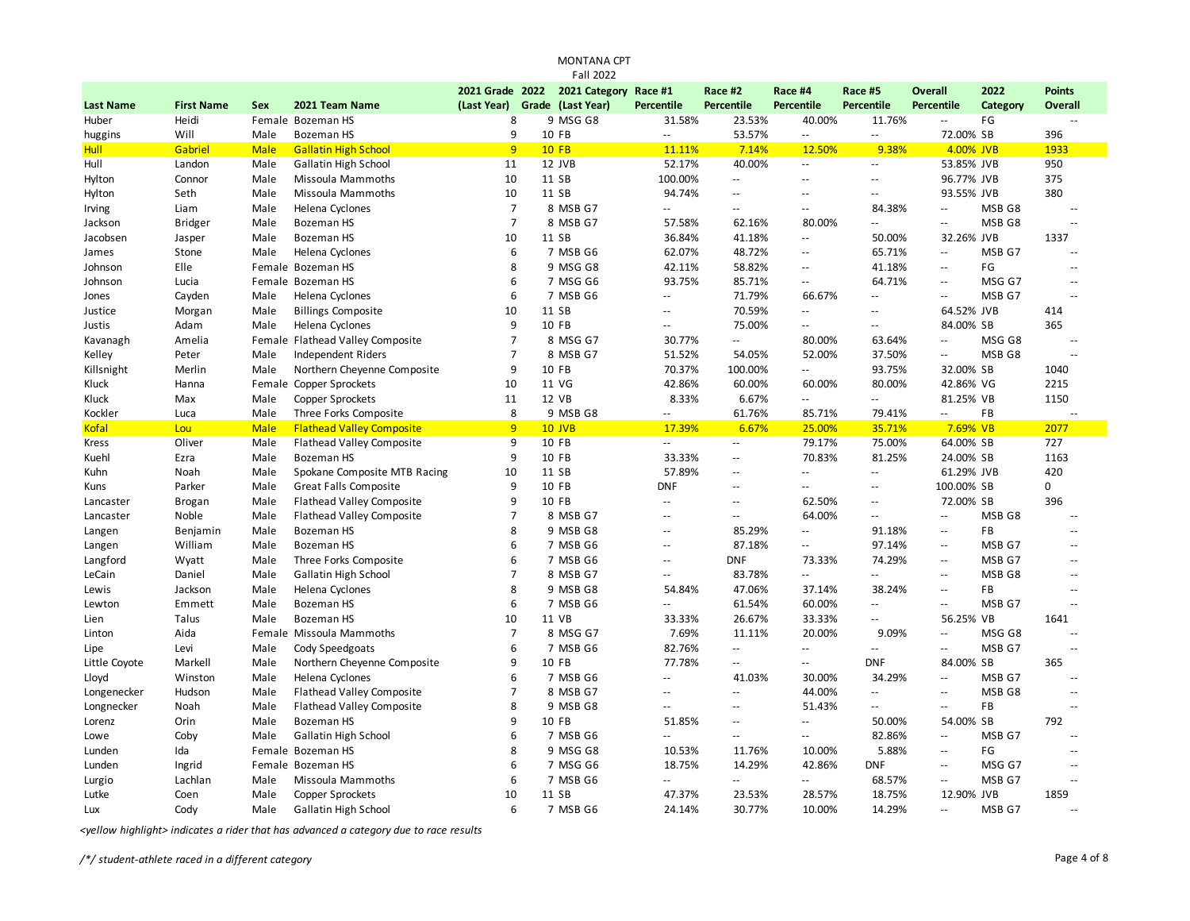|                     |                        |              |                                                              |                     | <b>MONTANA CPT</b><br><b>Fall 2022</b> |                                 |                          |                          |                                     |                          |                   |                |
|---------------------|------------------------|--------------|--------------------------------------------------------------|---------------------|----------------------------------------|---------------------------------|--------------------------|--------------------------|-------------------------------------|--------------------------|-------------------|----------------|
|                     |                        |              |                                                              | 2021 Grade 2022     | 2021 Category                          | Race #1                         | Race #2                  | Race #4                  | Race #5                             | <b>Overall</b>           | 2022              | <b>Points</b>  |
| <b>Last Name</b>    | <b>First Name</b>      | <b>Sex</b>   | 2021 Team Name                                               | (Last Year)         | Grade (Last Year)                      | Percentile                      | <b>Percentile</b>        | Percentile               | Percentile                          | <b>Percentile</b>        | Category          | Overall        |
| Huber               | Heidi                  |              | Female Bozeman HS                                            | 8                   | 9 MSG G8                               | 31.58%                          | 23.53%                   | 40.00%                   | 11.76%                              | $\overline{\phantom{a}}$ | FG                | $\overline{a}$ |
| huggins             | Will                   | Male         | <b>Bozeman HS</b>                                            | 9                   | 10 FB                                  | $\sim$ $\sim$                   | 53.57%                   | $\sim$ $\sim$            | $\mathbb{Z}^{\mathbb{Z}}$           | 72.00% SB                |                   | 396            |
| <b>Hull</b>         | Gabriel                | <b>Male</b>  | <b>Gallatin High School</b>                                  | 9                   | $10$ FB                                | 11.11%                          | 7.14%                    | 12.50%                   | 9.38%                               | 4.00% JVB                |                   | 1933           |
| Hull                | Landon                 | Male         | <b>Gallatin High School</b>                                  | 11                  | 12 JVB                                 | 52.17%                          | 40.00%                   | $\overline{\phantom{a}}$ | $\sim$ $\sim$                       | 53.85% JVB               |                   | 950            |
| Hylton              | Connor                 | Male         | Missoula Mammoths                                            | 10                  | 11 SB                                  | 100.00%                         | $\overline{\phantom{a}}$ | $\mathbf{u}$             | $\mathbb{L}$ .                      | 96.77% JVB               |                   | 375            |
| Hylton              | Seth                   | Male         | Missoula Mammoths                                            | 10                  | 11 SB                                  | 94.74%                          | $\overline{a}$           | $\sim$                   | $\overline{a}$                      | 93.55% JVB               |                   | 380            |
| Irving              | Liam                   | Male         | Helena Cyclones                                              | $\overline{7}$      | 8 MSB G7                               | $\overline{a}$                  | $-$                      | $\sim$ $\sim$            | 84.38%                              | $\overline{\phantom{a}}$ | MSB G8            | $\sim$ $\sim$  |
| Jackson             | <b>Bridger</b>         | Male         | <b>Bozeman HS</b>                                            | $\overline{7}$      | 8 MSB G7                               | 57.58%                          | 62.16%                   | 80.00%                   | Ξ.                                  | $\overline{\phantom{a}}$ | MSB G8            | Ц.             |
| Jacobsen            | Jasper                 | Male         | <b>Bozeman HS</b>                                            | 10                  | 11 SB                                  | 36.84%                          | 41.18%                   | $\overline{\phantom{a}}$ | 50.00%                              | 32.26% JVB               |                   | 1337           |
| James               | Stone                  | Male         | Helena Cyclones                                              | 6                   | 7 MSB G6                               | 62.07%                          | 48.72%                   | $\sim$ $\sim$            | 65.71%                              | --                       | MSB G7            | $\overline{a}$ |
| Johnson             | Elle                   |              | Female Bozeman HS                                            | 8                   | 9 MSG G8                               | 42.11%                          | 58.82%                   | $\sim$ $\sim$            | 41.18%                              | $\overline{a}$           | FG                | $\overline{a}$ |
| Johnson             | Lucia                  |              | Female Bozeman HS                                            | 6                   | 7 MSG G6                               | 93.75%                          | 85.71%                   | $\overline{\phantom{a}}$ | 64.71%                              | Ξ.                       | MSG G7            | $\overline{a}$ |
| Jones               | Cayden                 | Male         | Helena Cyclones                                              | 6                   | 7 MSB G6                               | $\overline{\phantom{a}}$        | 71.79%                   | 66.67%                   | $\mathbb{L}$ .                      | $\overline{\phantom{a}}$ | MSB <sub>G7</sub> | ۵.             |
| Justice             | Morgan                 | Male         | <b>Billings Composite</b>                                    | 10                  | 11 SB                                  | $\overline{a}$                  | 70.59%                   | $\overline{\phantom{a}}$ | $\overline{a}$                      | 64.52% JVB               |                   | 414            |
| Justis              | Adam                   | Male         | Helena Cyclones                                              | 9                   | 10 FB                                  | $\overline{a}$                  | 75.00%                   | $\sim$ $\sim$            | $\sim$ $\sim$                       | 84.00% SB                |                   | 365            |
| Kavanagh            | Amelia                 |              | Female Flathead Valley Composite                             | $\overline{7}$      | 8 MSG G7                               | 30.77%                          | $\sim$                   | 80.00%                   | 63.64%                              | $\overline{\phantom{a}}$ | MSG G8            | $\overline{a}$ |
| Kelley              | Peter                  | Male         | <b>Independent Riders</b>                                    | $\overline{7}$      | 8 MSB G7                               | 51.52%                          | 54.05%                   | 52.00%                   | 37.50%                              | $\overline{\phantom{a}}$ | MSB <sub>G8</sub> | --             |
|                     | Merlin                 | Male         | Northern Chevenne Composite                                  | 9                   | 10 FB                                  | 70.37%                          | 100.00%                  | $\mathbf{u}$             | 93.75%                              | 32.00% SB                |                   | 1040           |
| Killsnight<br>Kluck | Hanna                  |              | Female Copper Sprockets                                      | 10                  | 11 VG                                  | 42.86%                          | 60.00%                   | 60.00%                   | 80.00%                              | 42.86% VG                |                   | 2215           |
| Kluck               | Max                    | Male         | Copper Sprockets                                             | 11                  | 12 VB                                  | 8.33%                           | 6.67%                    | $\mathbb{L}^2$           | $\mathbb{Z}^{\mathbb{Z}}$           | 81.25% VB                |                   | 1150           |
| Kockler             | Luca                   | Male         | Three Forks Composite                                        | 8                   | 9 MSB G8                               | $\overline{\phantom{a}}$        | 61.76%                   | 85.71%                   | 79.41%                              | $\overline{\phantom{a}}$ | FB                | ц,             |
| Kofal               | Lou                    | <b>Male</b>  | <b>Flathead Valley Composite</b>                             | $\overline{9}$      | $10$ JVB                               | 17.39%                          | 6.67%                    | 25.00%                   | 35.71%                              | 7.69% VB                 |                   | 2077           |
| Kress               | Oliver                 | Male         | <b>Flathead Valley Composite</b>                             | 9                   | 10 FB                                  | $\sim$ $\sim$                   | $\sim$ $\sim$            | 79.17%                   | 75.00%                              | 64.00% SB                |                   | 727            |
| Kuehl               | Ezra                   | Male         | <b>Bozeman HS</b>                                            | 9                   | 10 FB                                  | 33.33%                          | $\overline{\phantom{a}}$ | 70.83%                   | 81.25%                              | 24.00% SB                |                   | 1163           |
|                     | Noah                   | Male         |                                                              | 10                  | 11 SB                                  | 57.89%                          | ц,                       | $\overline{\phantom{a}}$ | $\overline{\phantom{a}}$            | 61.29% JVB               |                   | 420            |
| Kuhn                | Parker                 |              | Spokane Composite MTB Racing<br><b>Great Falls Composite</b> | 9                   | 10 FB                                  | <b>DNF</b>                      | $-$                      | $\overline{\phantom{a}}$ | $\mathbf{u}$                        | 100.00% SB               |                   | 0              |
| Kuns                |                        | Male         |                                                              | 9                   | 10 FB                                  | $\sim$                          | $\overline{a}$           | 62.50%                   | $\sim$ $\sim$                       | 72.00% SB                |                   | 396            |
| Lancaster           | <b>Brogan</b><br>Noble | Male<br>Male | <b>Flathead Valley Composite</b>                             | $\overline{7}$      | 8 MSB G7                               | ÷.                              | $\overline{\phantom{a}}$ | 64.00%                   | Ξ.                                  | Ξ.                       | MSB <sub>G8</sub> | Ξ.             |
| Lancaster           |                        |              | <b>Flathead Valley Composite</b><br><b>Bozeman HS</b>        | 8                   | 9 MSB G8                               |                                 |                          | $\overline{\phantom{a}}$ |                                     |                          | FB                | ۵.             |
| Langen              | Benjamin               | Male         |                                                              | 6                   |                                        | $\overline{a}$<br>$\sim$ $\sim$ | 85.29%<br>87.18%         |                          | 91.18%                              | $\mathbf{u}$<br>Ξ.       |                   | $\overline{a}$ |
| Langen              | William                | Male         | <b>Bozeman HS</b>                                            | 6                   | 7 MSB G6                               | $\sim$ $\sim$                   | <b>DNF</b>               | $\sim$ $\sim$            | 97.14%                              | $\sim$ $\sim$            | MSB G7            | $\overline{a}$ |
| Langford            | Wyatt                  | Male         | Three Forks Composite                                        | $\overline{7}$      | 7 MSB G6                               |                                 |                          | 73.33%                   | 74.29%<br>$\mathbb{L}^{\mathbb{L}}$ |                          | MSB G7            |                |
| LeCain              | Daniel                 | Male         | Gallatin High School                                         | 8                   | 8 MSB G7                               | $\overline{a}$<br>54.84%        | 83.78%<br>47.06%         | Щ.                       | 38.24%                              | $\mathbf{u}$<br>Ξ.       | MSB G8<br>FB      | $\overline{a}$ |
| Lewis               | Jackson                | Male         | Helena Cyclones                                              | 6                   | 9 MSB G8                               |                                 |                          | 37.14%                   |                                     |                          |                   | --             |
| Lewton              | Emmett                 | Male         | <b>Bozeman HS</b>                                            |                     | 7 MSB G6<br>11 VB                      | $\overline{\phantom{a}}$        | 61.54%                   | 60.00%                   | $\mathbf{u}$<br>$\sim$              | $\mathbf{u}$             | MSB G7            | --             |
| Lien                | Talus                  | Male         | Bozeman HS                                                   | 10                  |                                        | 33.33%                          | 26.67%                   | 33.33%                   |                                     | 56.25% VB                |                   | 1641           |
| Linton              | Aida                   |              | Female Missoula Mammoths                                     | $\overline{7}$<br>6 | 8 MSG G7                               | 7.69%                           | 11.11%                   | 20.00%                   | 9.09%                               | Ξ.                       | MSG G8            | $\overline{a}$ |
| Lipe                | Levi                   | Male         | Cody Speedgoats                                              |                     | 7 MSB G6                               | 82.76%                          | Щ.                       | $\overline{\phantom{a}}$ | $\mathbb{L}^{\mathbb{L}}$           | Ξ.                       | MSB G7            | --             |
| Little Coyote       | Markell                | Male         | Northern Cheyenne Composite                                  | 9                   | 10 FB                                  | 77.78%                          | $-$                      | Щ.                       | <b>DNF</b>                          | 84.00% SB                |                   | 365            |
| Lloyd               | Winston                | Male         | Helena Cyclones                                              | 6                   | 7 MSB G6                               | $\overline{a}$                  | 41.03%                   | 30.00%                   | 34.29%                              | u.                       | MSB G7            | $\overline{a}$ |
| Longenecker         | Hudson                 | Male         | <b>Flathead Valley Composite</b>                             | $\overline{7}$      | 8 MSB G7                               |                                 | u.                       | 44.00%                   | Щ.                                  | Ξ.                       | MSB <sub>G8</sub> | ۵.             |
| Longnecker          | Noah                   | Male         | <b>Flathead Valley Composite</b>                             | 8                   | 9 MSB G8                               |                                 |                          | 51.43%                   | Ξ.                                  | Ξ.                       | FB                |                |
| Lorenz              | Orin                   | Male         | Bozeman HS                                                   | 9                   | 10 FB                                  | 51.85%                          | $-$                      | $\overline{\phantom{a}}$ | 50.00%                              | 54.00% SB                |                   | 792            |
| Lowe                | Coby                   | Male         | Gallatin High School                                         | 6                   | 7 MSB G6                               | $-1$                            | $\overline{\phantom{a}}$ | $\sim$ $\sim$            | 82.86%                              | Ξ.                       | MSB G7            | $\overline{a}$ |
| Lunden              | Ida                    |              | Female Bozeman HS                                            | 8                   | 9 MSG G8                               | 10.53%                          | 11.76%                   | 10.00%                   | 5.88%                               | Ξ.                       | FG                | Ξ.             |
| Lunden              | Ingrid                 |              | Female Bozeman HS                                            | 6                   | 7 MSG G6                               | 18.75%                          | 14.29%                   | 42.86%                   | <b>DNF</b>                          | Ξ.                       | MSG G7            | --             |
| Lurgio              | Lachlan                | Male         | Missoula Mammoths                                            | 6                   | 7 MSB G6                               | Щ.                              | $\sim$                   | Щ.                       | 68.57%                              | Ξ.                       | MSB G7            | --             |
| Lutke               | Coen                   | Male         | Copper Sprockets                                             | 10                  | 11 SB                                  | 47.37%                          | 23.53%                   | 28.57%                   | 18.75%                              | 12.90% JVB               |                   | 1859           |
| Lux                 | Cody                   | Male         | Gallatin High School                                         | 6                   | 7 MSB G6                               | 24.14%                          | 30.77%                   | 10.00%                   | 14.29%                              | $\overline{a}$           | MSB G7            |                |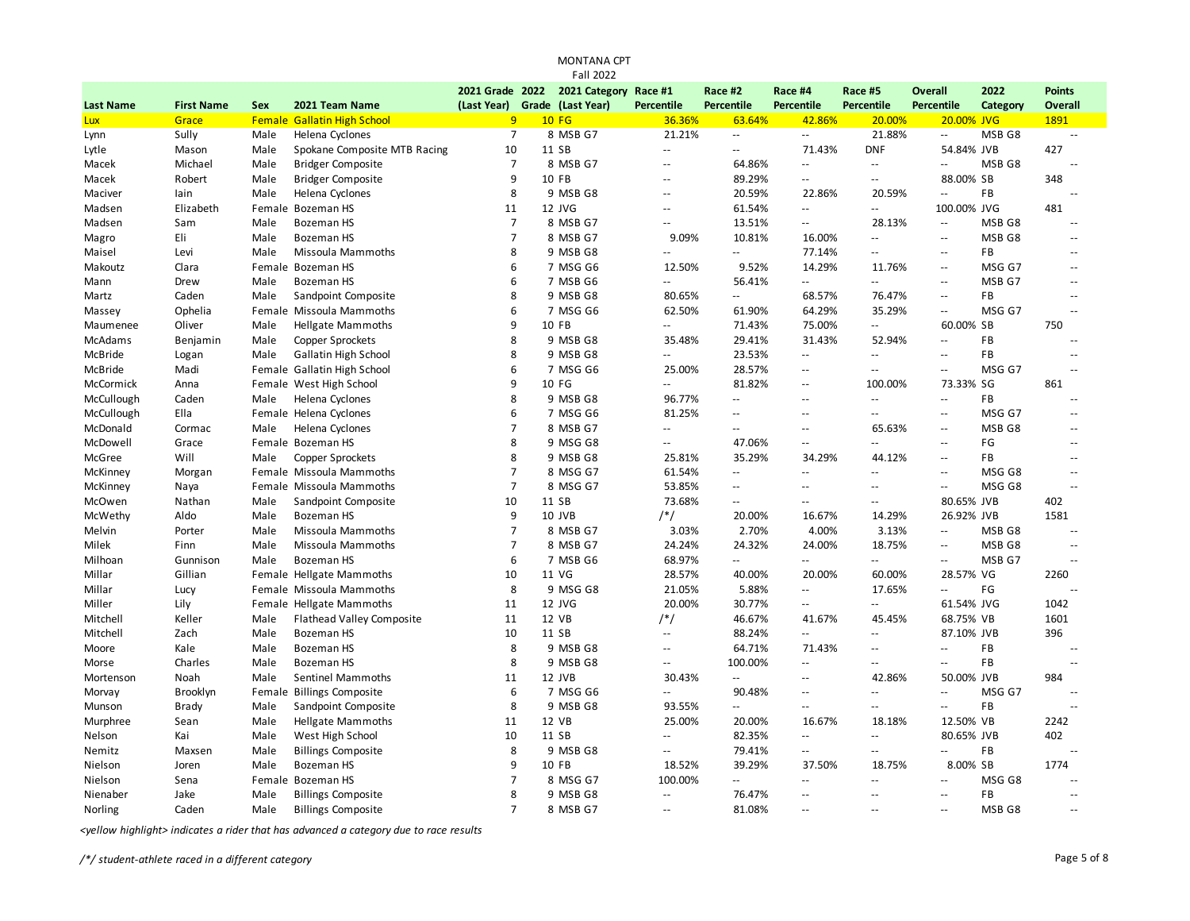| 2021 Grade 2022<br>2021 Category Race #1<br>Race #2<br>2022<br><b>Points</b><br>Race #4<br>Race #5<br><b>Overall</b><br>(Last Year) Grade (Last Year)<br>Percentile<br><b>Percentile</b><br><b>Percentile</b><br>Percentile<br>Percentile<br><b>Last Name</b><br><b>First Name</b><br>Sex<br>2021 Team Name<br>Overall<br>Category<br>9<br><b>Female Gallatin High School</b><br><b>10 FG</b><br>36.36%<br>63.64%<br>42.86%<br>20.00%<br>20.00% JVG<br>1891<br>Lux<br>Grace<br>$\overline{7}$<br>8 MSB G7<br>21.21%<br>21.88%<br>MSB G8<br>Sully<br>Male<br>Helena Cyclones<br>$\overline{\phantom{a}}$<br>$\overline{\phantom{a}}$<br>Ξ.<br>Lynn<br>$\overline{a}$<br>Spokane Composite MTB Racing<br>10<br>11 SB<br>71.43%<br><b>DNF</b><br>54.84% JVB<br>427<br>Lytle<br>Mason<br>Male<br>$\sim$<br>$\mathbb{L}$ .<br>Michael<br>Male<br><b>Bridger Composite</b><br>7<br>8 MSB G7<br>64.86%<br>MSB G8<br>Macek<br>$\overline{\phantom{a}}$<br>$\overline{\phantom{a}}$<br>$\overline{\phantom{a}}$<br>$\sim$ $\sim$<br>ц,<br>$\mathsf{q}$<br>89.29%<br>88.00% SB<br>348<br>Macek<br>Robert<br>Male<br><b>Bridger Composite</b><br>10 FB<br>$\overline{a}$<br>$-1$<br>$\overline{a}$<br>8<br>FB<br>Helena Cyclones<br>9 MSB G8<br>20.59%<br>22.86%<br>20.59%<br>Maciver<br>lain<br>Male<br>$\overline{a}$<br>$-$<br>ц,<br>12 JVG<br>100.00% JVG<br>481<br>Elizabeth<br>Female Bozeman HS<br>11<br>61.54%<br>$\mathord{\hspace{1pt}\text{--}\hspace{1pt}}$<br>Madsen<br>$\sim$<br>Ξ.<br>$\overline{7}$<br>8 MSB G7<br>Sam<br><b>Bozeman HS</b><br>13.51%<br>28.13%<br>MSB G8<br>Madsen<br>Male<br>Ξ.<br>$\overline{a}$<br>$\overline{\phantom{a}}$<br>$\overline{a}$<br>Eli<br>$\overline{7}$<br>8 MSB G7<br>9.09%<br>10.81%<br>MSB <sub>G8</sub><br>Male<br><b>Bozeman HS</b><br>16.00%<br>Magro<br>$\overline{\phantom{a}}$<br>$\overline{a}$<br>$\sim$<br>Missoula Mammoths<br>8<br>9 MSB G8<br>FB<br>Maisel<br>Levi<br>Male<br>77.14%<br>$\mathbb{Z}^{\mathbb{Z}}$<br>$\sim$<br>۵.<br>$\overline{a}$<br>$\sim$<br>6<br>9.52%<br>Clara<br>Female Bozeman HS<br>7 MSG G6<br>12.50%<br>14.29%<br>11.76%<br>MSG G7<br>Makoutz<br>$\sim$ $\sim$<br>$\sim$<br>6<br>7 MSB G6<br>56.41%<br>Drew<br>Male<br><b>Bozeman HS</b><br>$\sim$<br>$\mathord{\hspace{1pt}\text{--}\hspace{1pt}}$<br>$\mathbf{u}$<br>MSB G7<br>Mann<br>$\sim$ $\sim$<br>$\sim$<br>8<br>Caden<br>Sandpoint Composite<br>9 MSB G8<br>80.65%<br>68.57%<br>76.47%<br>FB<br>Martz<br>Male<br>$\overline{\phantom{a}}$<br>$\overline{a}$<br>$\sim$<br>6<br>7 MSG G6<br>Ophelia<br>Female Missoula Mammoths<br>62.50%<br>61.90%<br>64.29%<br>35.29%<br>MSG G7<br>Massey<br>$\overline{a}$<br>9<br>750<br><b>Hellgate Mammoths</b><br>10 FB<br>71.43%<br>75.00%<br>60.00% SB<br>Maumenee<br>Oliver<br>Male<br>Ξ.<br>$\overline{a}$<br>8<br>9 MSB G8<br>35.48%<br>29.41%<br>31.43%<br>FB<br>McAdams<br>Male<br><b>Copper Sprockets</b><br>52.94%<br>Benjamin<br>$\overline{\phantom{a}}$<br>8<br>23.53%<br>9 MSB G8<br>FB<br>McBride<br>Male<br><b>Gallatin High School</b><br>$\overline{\phantom{a}}$<br>Logan<br>$\overline{a}$<br>--<br>--<br>$\overline{a}$<br>6<br>25.00%<br>28.57%<br>MSG G7<br>McBride<br>Madi<br>Female Gallatin High School<br>7 MSG G6<br>$\overline{\phantom{a}}$<br>۵.<br>$-$<br>$\overline{a}$<br>81.82%<br>McCormick<br>Female West High School<br>9<br>10 FG<br>100.00%<br>73.33% SG<br>861<br>Anna<br>$\overline{a}$<br>$\mathbb{Z}^{\mathbb{Z}}$<br>8<br>McCullough<br>Caden<br>Helena Cyclones<br>9 MSB G8<br>96.77%<br>FB<br>Male<br>$\mathbb{Z}^{\mathbb{Z}}$<br>$\mathbb{L}$ .<br>$\sim$ $\sim$<br>$\sim$ $\sim$<br>$\overline{a}$<br>McCullough<br>Female Helena Cyclones<br>6<br>7 MSG G6<br>81.25%<br>MSG G7<br>Ella<br>$\sim$ $\sim$<br>$-$<br>$\sim$ $\sim$<br>$\sim$<br>$-$<br>$\overline{7}$<br>McDonald<br>Helena Cyclones<br>8 MSB G7<br>65.63%<br>MSB <sub>G8</sub><br>Cormac<br>Male<br>$\sim$<br>$\sim$<br>$-$<br>$\sim$<br>8<br>9 MSG G8<br>McDowell<br>Grace<br>Female Bozeman HS<br>47.06%<br>FG<br>$\overline{\phantom{a}}$<br>$\overline{\phantom{a}}$<br>Ξ.<br>$\overline{\phantom{a}}$<br>$\sim$<br>8<br>Will<br>Copper Sprockets<br>9 MSB G8<br>35.29%<br>34.29%<br><b>FB</b><br>McGree<br>Male<br>25.81%<br>44.12%<br>$\sim$ $\sim$<br>÷.<br>$\overline{7}$<br>MSG G8<br>McKinney<br>Female Missoula Mammoths<br>8 MSG G7<br>Morgan<br>61.54%<br>$\overline{\phantom{a}}$<br>$\overline{\phantom{a}}$<br>Ξ.<br>$\overline{\phantom{a}}$<br>ц,<br>$\overline{7}$<br>Female Missoula Mammoths<br>8 MSG G7<br>53.85%<br>MSG G8<br>McKinney<br>$\overline{a}$<br>Naya<br>$\mathbf{u}$<br>$\sim$<br>Ξ.<br>÷.<br>10<br>73.68%<br>402<br>McOwen<br>Nathan<br>Sandpoint Composite<br>11 SB<br>80.65% JVB<br>Male<br>$\mathbf{u}$<br>$\overline{a}$<br>$\mathbf{u}$<br>9<br>10 JVB<br>$/*/$<br>20.00%<br>16.67%<br>14.29%<br>26.92% JVB<br>1581<br>McWethy<br>Aldo<br>Male<br><b>Bozeman HS</b><br>$\overline{7}$<br>Porter<br>Male<br>Missoula Mammoths<br>8 MSB G7<br>3.03%<br>2.70%<br>4.00%<br>3.13%<br>MSB G8<br>Melvin<br>$\overline{\phantom{a}}$<br>$\overline{7}$<br>Finn<br>24.32%<br>24.00%<br>Milek<br>Male<br>Missoula Mammoths<br>8 MSB G7<br>24.24%<br>18.75%<br>$\overline{a}$<br>MSB G8<br>÷.<br>6<br>7 MSB G6<br>68.97%<br>MSB G7<br>Milhoan<br>Gunnison<br>Male<br><b>Bozeman HS</b><br>$\overline{\phantom{a}}$<br>Ξ.<br>Ξ.<br>Ξ.<br>$\sim$<br>11 VG<br>Gillian<br>Female Hellgate Mammoths<br>10<br>28.57%<br>40.00%<br>20.00%<br>60.00%<br>28.57% VG<br>2260<br>Millar<br>8<br>Female Missoula Mammoths<br>9 MSG G8<br>21.05%<br>5.88%<br>17.65%<br>FG<br>Millar<br>Lucy<br>$\mathord{\hspace{1pt}\text{--}\hspace{1pt}}$<br>$\overline{a}$<br>20.00%<br>Lily<br>Female Hellgate Mammoths<br>11<br>12 JVG<br>30.77%<br>61.54% JVG<br>1042<br>Miller<br>$\overline{\phantom{a}}$<br>Ξ.<br>$/*/$<br>1601<br>12 VB<br>46.67%<br>41.67%<br>68.75% VB<br>Mitchell<br>Keller<br><b>Flathead Valley Composite</b><br>11<br>45.45%<br>Male<br>10<br>11 SB<br>87.10% JVB<br>396<br>Mitchell<br>Zach<br><b>Bozeman HS</b><br>88.24%<br>Male<br>$\mathbf{u}$<br>$\mathbf{u}$<br>$\mathbf{u}$<br>8<br>9 MSB G8<br>64.71%<br>71.43%<br><b>FB</b><br>Kale<br>Male<br><b>Bozeman HS</b><br>Moore<br>$\overline{a}$<br>۵.<br>$\overline{a}$<br>$\sim$<br>8<br>100.00%<br>Charles<br><b>Bozeman HS</b><br>9 MSB G8<br>FB<br>Morse<br>Male<br>$\overline{a}$<br>$\sim$ $\sim$<br>$\sim$ $\sim$<br>$-1$<br>$\sim$<br>984<br>Noah<br>Male<br>Sentinel Mammoths<br>11<br>12 JVB<br>30.43%<br>42.86%<br>50.00% JVB<br>Mortenson<br>$\mathbb{Z}^{\mathbb{Z}}$<br>$\overline{a}$<br>6<br>Female Billings Composite<br>7 MSG G6<br>90.48%<br>MSG G7<br>Morvay<br>Brooklyn<br>$\overline{\phantom{a}}$<br>$\mathord{\hspace{1pt}\text{--}\hspace{1pt}}$<br>$\overline{a}$<br>$\overline{a}$<br>$\sim$<br>8<br>FB<br><b>Brady</b><br>Male<br>Sandpoint Composite<br>9 MSB G8<br>93.55%<br>Munson<br>$\mathbf{u}$<br>--<br>$\sim$ $\sim$<br>۵.<br>Sean<br><b>Hellgate Mammoths</b><br>11<br>12 VB<br>25.00%<br>12.50% VB<br>2242<br>Murphree<br>Male<br>20.00%<br>16.67%<br>18.18%<br>82.35%<br>402<br>Kai<br>West High School<br>10<br>11 SB<br>80.65% JVB<br>Nelson<br>Male<br>$-$<br>$\overline{\phantom{a}}$<br>Ξ.<br>8<br>9 MSB G8<br>79.41%<br><b>FB</b><br>Male<br><b>Billings Composite</b><br>Nemitz<br>Maxsen<br>$-$<br>$\overline{\phantom{a}}$<br>$\overline{\phantom{a}}$<br>--<br>ц,<br>9<br>39.29%<br>1774<br><b>Bozeman HS</b><br>10 FB<br>18.52%<br>37.50%<br>8.00% SB<br>Nielson<br>Joren<br>Male<br>18.75%<br>$\overline{7}$<br>100.00%<br>MSG G8<br>Sena<br>Female Bozeman HS<br>8 MSG G7<br>Nielson<br>Ξ.<br>$\overline{a}$<br>۵.<br>$\overline{a}$<br>$\overline{a}$<br>8<br>9 MSB G8<br>76.47%<br>FB<br>Nienaber<br>Jake<br>Male<br><b>Billings Composite</b><br>$\overline{\phantom{a}}$<br>$\sim$<br>$\sim$<br>$-$<br>$\sim$<br>$\overline{7}$<br>81.08%<br>MSB <sub>G8</sub><br>Caden<br>Male<br><b>Billings Composite</b><br>8 MSB G7<br>Norling<br>$\sim$<br>$\sim$<br>$\sim$ $\sim$<br>$\overline{a}$<br>$\sim$ |  |  |  | <b>Fall 2022</b> |  |  |  |  |
|-----------------------------------------------------------------------------------------------------------------------------------------------------------------------------------------------------------------------------------------------------------------------------------------------------------------------------------------------------------------------------------------------------------------------------------------------------------------------------------------------------------------------------------------------------------------------------------------------------------------------------------------------------------------------------------------------------------------------------------------------------------------------------------------------------------------------------------------------------------------------------------------------------------------------------------------------------------------------------------------------------------------------------------------------------------------------------------------------------------------------------------------------------------------------------------------------------------------------------------------------------------------------------------------------------------------------------------------------------------------------------------------------------------------------------------------------------------------------------------------------------------------------------------------------------------------------------------------------------------------------------------------------------------------------------------------------------------------------------------------------------------------------------------------------------------------------------------------------------------------------------------------------------------------------------------------------------------------------------------------------------------------------------------------------------------------------------------------------------------------------------------------------------------------------------------------------------------------------------------------------------------------------------------------------------------------------------------------------------------------------------------------------------------------------------------------------------------------------------------------------------------------------------------------------------------------------------------------------------------------------------------------------------------------------------------------------------------------------------------------------------------------------------------------------------------------------------------------------------------------------------------------------------------------------------------------------------------------------------------------------------------------------------------------------------------------------------------------------------------------------------------------------------------------------------------------------------------------------------------------------------------------------------------------------------------------------------------------------------------------------------------------------------------------------------------------------------------------------------------------------------------------------------------------------------------------------------------------------------------------------------------------------------------------------------------------------------------------------------------------------------------------------------------------------------------------------------------------------------------------------------------------------------------------------------------------------------------------------------------------------------------------------------------------------------------------------------------------------------------------------------------------------------------------------------------------------------------------------------------------------------------------------------------------------------------------------------------------------------------------------------------------------------------------------------------------------------------------------------------------------------------------------------------------------------------------------------------------------------------------------------------------------------------------------------------------------------------------------------------------------------------------------------------------------------------------------------------------------------------------------------------------------------------------------------------------------------------------------------------------------------------------------------------------------------------------------------------------------------------------------------------------------------------------------------------------------------------------------------------------------------------------------------------------------------------------------------------------------------------------------------------------------------------------------------------------------------------------------------------------------------------------------------------------------------------------------------------------------------------------------------------------------------------------------------------------------------------------------------------------------------------------------------------------------------------------------------------------------------------------------------------------------------------------------------------------------------------------------------------------------------------------------------------------------------------------------------------------------------------------------------------------------------------------------------------------------------------------------------------------------------------------------------------------------------------------------------------------------------------------------------------------------------------------------------------------------------------------------------------------------------------------------------------------------------------------------------------------------------------------------------------------------------------------------------------------------------------------------------------------------------------------------------------------------------------------------------------------------------------------------------------------------------------------------------------------------------------------------------------------------------------------------------------------------------------------------------------------------------------------------------------------------------------------------------------------------------------------------------------------------------------------------------------------------------------------------------------------------------------------------------------------------------------------------------------------------------------------------------------------------------------------------------------------------------------------------------------------------------------------------------------------------------------------------------------------------------------------------------------------------------------------------------------------------------------------------------------------------------------------------------------------------------------------------------------------------------------------------------------------------------------------------------------------------------|--|--|--|------------------|--|--|--|--|
|                                                                                                                                                                                                                                                                                                                                                                                                                                                                                                                                                                                                                                                                                                                                                                                                                                                                                                                                                                                                                                                                                                                                                                                                                                                                                                                                                                                                                                                                                                                                                                                                                                                                                                                                                                                                                                                                                                                                                                                                                                                                                                                                                                                                                                                                                                                                                                                                                                                                                                                                                                                                                                                                                                                                                                                                                                                                                                                                                                                                                                                                                                                                                                                                                                                                                                                                                                                                                                                                                                                                                                                                                                                                                                                                                                                                                                                                                                                                                                                                                                                                                                                                                                                                                                                                                                                                                                                                                                                                                                                                                                                                                                                                                                                                                                                                                                                                                                                                                                                                                                                                                                                                                                                                                                                                                                                                                                                                                                                                                                                                                                                                                                                                                                                                                                                                                                                                                                                                                                                                                                                                                                                                                                                                                                                                                                                                                                                                                                                                                                                                                                                                                                                                                                                                                                                                                                                                                                                                                                                                                                                                                                                                                                                                                                                                                                                                                                                                                                                                                                                                                                                                                                                                                                                                                                                                                                                                                                                                                                                                                                                     |  |  |  |                  |  |  |  |  |
|                                                                                                                                                                                                                                                                                                                                                                                                                                                                                                                                                                                                                                                                                                                                                                                                                                                                                                                                                                                                                                                                                                                                                                                                                                                                                                                                                                                                                                                                                                                                                                                                                                                                                                                                                                                                                                                                                                                                                                                                                                                                                                                                                                                                                                                                                                                                                                                                                                                                                                                                                                                                                                                                                                                                                                                                                                                                                                                                                                                                                                                                                                                                                                                                                                                                                                                                                                                                                                                                                                                                                                                                                                                                                                                                                                                                                                                                                                                                                                                                                                                                                                                                                                                                                                                                                                                                                                                                                                                                                                                                                                                                                                                                                                                                                                                                                                                                                                                                                                                                                                                                                                                                                                                                                                                                                                                                                                                                                                                                                                                                                                                                                                                                                                                                                                                                                                                                                                                                                                                                                                                                                                                                                                                                                                                                                                                                                                                                                                                                                                                                                                                                                                                                                                                                                                                                                                                                                                                                                                                                                                                                                                                                                                                                                                                                                                                                                                                                                                                                                                                                                                                                                                                                                                                                                                                                                                                                                                                                                                                                                                                     |  |  |  |                  |  |  |  |  |
|                                                                                                                                                                                                                                                                                                                                                                                                                                                                                                                                                                                                                                                                                                                                                                                                                                                                                                                                                                                                                                                                                                                                                                                                                                                                                                                                                                                                                                                                                                                                                                                                                                                                                                                                                                                                                                                                                                                                                                                                                                                                                                                                                                                                                                                                                                                                                                                                                                                                                                                                                                                                                                                                                                                                                                                                                                                                                                                                                                                                                                                                                                                                                                                                                                                                                                                                                                                                                                                                                                                                                                                                                                                                                                                                                                                                                                                                                                                                                                                                                                                                                                                                                                                                                                                                                                                                                                                                                                                                                                                                                                                                                                                                                                                                                                                                                                                                                                                                                                                                                                                                                                                                                                                                                                                                                                                                                                                                                                                                                                                                                                                                                                                                                                                                                                                                                                                                                                                                                                                                                                                                                                                                                                                                                                                                                                                                                                                                                                                                                                                                                                                                                                                                                                                                                                                                                                                                                                                                                                                                                                                                                                                                                                                                                                                                                                                                                                                                                                                                                                                                                                                                                                                                                                                                                                                                                                                                                                                                                                                                                                                     |  |  |  |                  |  |  |  |  |
|                                                                                                                                                                                                                                                                                                                                                                                                                                                                                                                                                                                                                                                                                                                                                                                                                                                                                                                                                                                                                                                                                                                                                                                                                                                                                                                                                                                                                                                                                                                                                                                                                                                                                                                                                                                                                                                                                                                                                                                                                                                                                                                                                                                                                                                                                                                                                                                                                                                                                                                                                                                                                                                                                                                                                                                                                                                                                                                                                                                                                                                                                                                                                                                                                                                                                                                                                                                                                                                                                                                                                                                                                                                                                                                                                                                                                                                                                                                                                                                                                                                                                                                                                                                                                                                                                                                                                                                                                                                                                                                                                                                                                                                                                                                                                                                                                                                                                                                                                                                                                                                                                                                                                                                                                                                                                                                                                                                                                                                                                                                                                                                                                                                                                                                                                                                                                                                                                                                                                                                                                                                                                                                                                                                                                                                                                                                                                                                                                                                                                                                                                                                                                                                                                                                                                                                                                                                                                                                                                                                                                                                                                                                                                                                                                                                                                                                                                                                                                                                                                                                                                                                                                                                                                                                                                                                                                                                                                                                                                                                                                                                     |  |  |  |                  |  |  |  |  |
|                                                                                                                                                                                                                                                                                                                                                                                                                                                                                                                                                                                                                                                                                                                                                                                                                                                                                                                                                                                                                                                                                                                                                                                                                                                                                                                                                                                                                                                                                                                                                                                                                                                                                                                                                                                                                                                                                                                                                                                                                                                                                                                                                                                                                                                                                                                                                                                                                                                                                                                                                                                                                                                                                                                                                                                                                                                                                                                                                                                                                                                                                                                                                                                                                                                                                                                                                                                                                                                                                                                                                                                                                                                                                                                                                                                                                                                                                                                                                                                                                                                                                                                                                                                                                                                                                                                                                                                                                                                                                                                                                                                                                                                                                                                                                                                                                                                                                                                                                                                                                                                                                                                                                                                                                                                                                                                                                                                                                                                                                                                                                                                                                                                                                                                                                                                                                                                                                                                                                                                                                                                                                                                                                                                                                                                                                                                                                                                                                                                                                                                                                                                                                                                                                                                                                                                                                                                                                                                                                                                                                                                                                                                                                                                                                                                                                                                                                                                                                                                                                                                                                                                                                                                                                                                                                                                                                                                                                                                                                                                                                                                     |  |  |  |                  |  |  |  |  |
|                                                                                                                                                                                                                                                                                                                                                                                                                                                                                                                                                                                                                                                                                                                                                                                                                                                                                                                                                                                                                                                                                                                                                                                                                                                                                                                                                                                                                                                                                                                                                                                                                                                                                                                                                                                                                                                                                                                                                                                                                                                                                                                                                                                                                                                                                                                                                                                                                                                                                                                                                                                                                                                                                                                                                                                                                                                                                                                                                                                                                                                                                                                                                                                                                                                                                                                                                                                                                                                                                                                                                                                                                                                                                                                                                                                                                                                                                                                                                                                                                                                                                                                                                                                                                                                                                                                                                                                                                                                                                                                                                                                                                                                                                                                                                                                                                                                                                                                                                                                                                                                                                                                                                                                                                                                                                                                                                                                                                                                                                                                                                                                                                                                                                                                                                                                                                                                                                                                                                                                                                                                                                                                                                                                                                                                                                                                                                                                                                                                                                                                                                                                                                                                                                                                                                                                                                                                                                                                                                                                                                                                                                                                                                                                                                                                                                                                                                                                                                                                                                                                                                                                                                                                                                                                                                                                                                                                                                                                                                                                                                                                     |  |  |  |                  |  |  |  |  |
|                                                                                                                                                                                                                                                                                                                                                                                                                                                                                                                                                                                                                                                                                                                                                                                                                                                                                                                                                                                                                                                                                                                                                                                                                                                                                                                                                                                                                                                                                                                                                                                                                                                                                                                                                                                                                                                                                                                                                                                                                                                                                                                                                                                                                                                                                                                                                                                                                                                                                                                                                                                                                                                                                                                                                                                                                                                                                                                                                                                                                                                                                                                                                                                                                                                                                                                                                                                                                                                                                                                                                                                                                                                                                                                                                                                                                                                                                                                                                                                                                                                                                                                                                                                                                                                                                                                                                                                                                                                                                                                                                                                                                                                                                                                                                                                                                                                                                                                                                                                                                                                                                                                                                                                                                                                                                                                                                                                                                                                                                                                                                                                                                                                                                                                                                                                                                                                                                                                                                                                                                                                                                                                                                                                                                                                                                                                                                                                                                                                                                                                                                                                                                                                                                                                                                                                                                                                                                                                                                                                                                                                                                                                                                                                                                                                                                                                                                                                                                                                                                                                                                                                                                                                                                                                                                                                                                                                                                                                                                                                                                                                     |  |  |  |                  |  |  |  |  |
|                                                                                                                                                                                                                                                                                                                                                                                                                                                                                                                                                                                                                                                                                                                                                                                                                                                                                                                                                                                                                                                                                                                                                                                                                                                                                                                                                                                                                                                                                                                                                                                                                                                                                                                                                                                                                                                                                                                                                                                                                                                                                                                                                                                                                                                                                                                                                                                                                                                                                                                                                                                                                                                                                                                                                                                                                                                                                                                                                                                                                                                                                                                                                                                                                                                                                                                                                                                                                                                                                                                                                                                                                                                                                                                                                                                                                                                                                                                                                                                                                                                                                                                                                                                                                                                                                                                                                                                                                                                                                                                                                                                                                                                                                                                                                                                                                                                                                                                                                                                                                                                                                                                                                                                                                                                                                                                                                                                                                                                                                                                                                                                                                                                                                                                                                                                                                                                                                                                                                                                                                                                                                                                                                                                                                                                                                                                                                                                                                                                                                                                                                                                                                                                                                                                                                                                                                                                                                                                                                                                                                                                                                                                                                                                                                                                                                                                                                                                                                                                                                                                                                                                                                                                                                                                                                                                                                                                                                                                                                                                                                                                     |  |  |  |                  |  |  |  |  |
|                                                                                                                                                                                                                                                                                                                                                                                                                                                                                                                                                                                                                                                                                                                                                                                                                                                                                                                                                                                                                                                                                                                                                                                                                                                                                                                                                                                                                                                                                                                                                                                                                                                                                                                                                                                                                                                                                                                                                                                                                                                                                                                                                                                                                                                                                                                                                                                                                                                                                                                                                                                                                                                                                                                                                                                                                                                                                                                                                                                                                                                                                                                                                                                                                                                                                                                                                                                                                                                                                                                                                                                                                                                                                                                                                                                                                                                                                                                                                                                                                                                                                                                                                                                                                                                                                                                                                                                                                                                                                                                                                                                                                                                                                                                                                                                                                                                                                                                                                                                                                                                                                                                                                                                                                                                                                                                                                                                                                                                                                                                                                                                                                                                                                                                                                                                                                                                                                                                                                                                                                                                                                                                                                                                                                                                                                                                                                                                                                                                                                                                                                                                                                                                                                                                                                                                                                                                                                                                                                                                                                                                                                                                                                                                                                                                                                                                                                                                                                                                                                                                                                                                                                                                                                                                                                                                                                                                                                                                                                                                                                                                     |  |  |  |                  |  |  |  |  |
|                                                                                                                                                                                                                                                                                                                                                                                                                                                                                                                                                                                                                                                                                                                                                                                                                                                                                                                                                                                                                                                                                                                                                                                                                                                                                                                                                                                                                                                                                                                                                                                                                                                                                                                                                                                                                                                                                                                                                                                                                                                                                                                                                                                                                                                                                                                                                                                                                                                                                                                                                                                                                                                                                                                                                                                                                                                                                                                                                                                                                                                                                                                                                                                                                                                                                                                                                                                                                                                                                                                                                                                                                                                                                                                                                                                                                                                                                                                                                                                                                                                                                                                                                                                                                                                                                                                                                                                                                                                                                                                                                                                                                                                                                                                                                                                                                                                                                                                                                                                                                                                                                                                                                                                                                                                                                                                                                                                                                                                                                                                                                                                                                                                                                                                                                                                                                                                                                                                                                                                                                                                                                                                                                                                                                                                                                                                                                                                                                                                                                                                                                                                                                                                                                                                                                                                                                                                                                                                                                                                                                                                                                                                                                                                                                                                                                                                                                                                                                                                                                                                                                                                                                                                                                                                                                                                                                                                                                                                                                                                                                                                     |  |  |  |                  |  |  |  |  |
|                                                                                                                                                                                                                                                                                                                                                                                                                                                                                                                                                                                                                                                                                                                                                                                                                                                                                                                                                                                                                                                                                                                                                                                                                                                                                                                                                                                                                                                                                                                                                                                                                                                                                                                                                                                                                                                                                                                                                                                                                                                                                                                                                                                                                                                                                                                                                                                                                                                                                                                                                                                                                                                                                                                                                                                                                                                                                                                                                                                                                                                                                                                                                                                                                                                                                                                                                                                                                                                                                                                                                                                                                                                                                                                                                                                                                                                                                                                                                                                                                                                                                                                                                                                                                                                                                                                                                                                                                                                                                                                                                                                                                                                                                                                                                                                                                                                                                                                                                                                                                                                                                                                                                                                                                                                                                                                                                                                                                                                                                                                                                                                                                                                                                                                                                                                                                                                                                                                                                                                                                                                                                                                                                                                                                                                                                                                                                                                                                                                                                                                                                                                                                                                                                                                                                                                                                                                                                                                                                                                                                                                                                                                                                                                                                                                                                                                                                                                                                                                                                                                                                                                                                                                                                                                                                                                                                                                                                                                                                                                                                                                     |  |  |  |                  |  |  |  |  |
|                                                                                                                                                                                                                                                                                                                                                                                                                                                                                                                                                                                                                                                                                                                                                                                                                                                                                                                                                                                                                                                                                                                                                                                                                                                                                                                                                                                                                                                                                                                                                                                                                                                                                                                                                                                                                                                                                                                                                                                                                                                                                                                                                                                                                                                                                                                                                                                                                                                                                                                                                                                                                                                                                                                                                                                                                                                                                                                                                                                                                                                                                                                                                                                                                                                                                                                                                                                                                                                                                                                                                                                                                                                                                                                                                                                                                                                                                                                                                                                                                                                                                                                                                                                                                                                                                                                                                                                                                                                                                                                                                                                                                                                                                                                                                                                                                                                                                                                                                                                                                                                                                                                                                                                                                                                                                                                                                                                                                                                                                                                                                                                                                                                                                                                                                                                                                                                                                                                                                                                                                                                                                                                                                                                                                                                                                                                                                                                                                                                                                                                                                                                                                                                                                                                                                                                                                                                                                                                                                                                                                                                                                                                                                                                                                                                                                                                                                                                                                                                                                                                                                                                                                                                                                                                                                                                                                                                                                                                                                                                                                                                     |  |  |  |                  |  |  |  |  |
|                                                                                                                                                                                                                                                                                                                                                                                                                                                                                                                                                                                                                                                                                                                                                                                                                                                                                                                                                                                                                                                                                                                                                                                                                                                                                                                                                                                                                                                                                                                                                                                                                                                                                                                                                                                                                                                                                                                                                                                                                                                                                                                                                                                                                                                                                                                                                                                                                                                                                                                                                                                                                                                                                                                                                                                                                                                                                                                                                                                                                                                                                                                                                                                                                                                                                                                                                                                                                                                                                                                                                                                                                                                                                                                                                                                                                                                                                                                                                                                                                                                                                                                                                                                                                                                                                                                                                                                                                                                                                                                                                                                                                                                                                                                                                                                                                                                                                                                                                                                                                                                                                                                                                                                                                                                                                                                                                                                                                                                                                                                                                                                                                                                                                                                                                                                                                                                                                                                                                                                                                                                                                                                                                                                                                                                                                                                                                                                                                                                                                                                                                                                                                                                                                                                                                                                                                                                                                                                                                                                                                                                                                                                                                                                                                                                                                                                                                                                                                                                                                                                                                                                                                                                                                                                                                                                                                                                                                                                                                                                                                                                     |  |  |  |                  |  |  |  |  |
|                                                                                                                                                                                                                                                                                                                                                                                                                                                                                                                                                                                                                                                                                                                                                                                                                                                                                                                                                                                                                                                                                                                                                                                                                                                                                                                                                                                                                                                                                                                                                                                                                                                                                                                                                                                                                                                                                                                                                                                                                                                                                                                                                                                                                                                                                                                                                                                                                                                                                                                                                                                                                                                                                                                                                                                                                                                                                                                                                                                                                                                                                                                                                                                                                                                                                                                                                                                                                                                                                                                                                                                                                                                                                                                                                                                                                                                                                                                                                                                                                                                                                                                                                                                                                                                                                                                                                                                                                                                                                                                                                                                                                                                                                                                                                                                                                                                                                                                                                                                                                                                                                                                                                                                                                                                                                                                                                                                                                                                                                                                                                                                                                                                                                                                                                                                                                                                                                                                                                                                                                                                                                                                                                                                                                                                                                                                                                                                                                                                                                                                                                                                                                                                                                                                                                                                                                                                                                                                                                                                                                                                                                                                                                                                                                                                                                                                                                                                                                                                                                                                                                                                                                                                                                                                                                                                                                                                                                                                                                                                                                                                     |  |  |  |                  |  |  |  |  |
|                                                                                                                                                                                                                                                                                                                                                                                                                                                                                                                                                                                                                                                                                                                                                                                                                                                                                                                                                                                                                                                                                                                                                                                                                                                                                                                                                                                                                                                                                                                                                                                                                                                                                                                                                                                                                                                                                                                                                                                                                                                                                                                                                                                                                                                                                                                                                                                                                                                                                                                                                                                                                                                                                                                                                                                                                                                                                                                                                                                                                                                                                                                                                                                                                                                                                                                                                                                                                                                                                                                                                                                                                                                                                                                                                                                                                                                                                                                                                                                                                                                                                                                                                                                                                                                                                                                                                                                                                                                                                                                                                                                                                                                                                                                                                                                                                                                                                                                                                                                                                                                                                                                                                                                                                                                                                                                                                                                                                                                                                                                                                                                                                                                                                                                                                                                                                                                                                                                                                                                                                                                                                                                                                                                                                                                                                                                                                                                                                                                                                                                                                                                                                                                                                                                                                                                                                                                                                                                                                                                                                                                                                                                                                                                                                                                                                                                                                                                                                                                                                                                                                                                                                                                                                                                                                                                                                                                                                                                                                                                                                                                     |  |  |  |                  |  |  |  |  |
|                                                                                                                                                                                                                                                                                                                                                                                                                                                                                                                                                                                                                                                                                                                                                                                                                                                                                                                                                                                                                                                                                                                                                                                                                                                                                                                                                                                                                                                                                                                                                                                                                                                                                                                                                                                                                                                                                                                                                                                                                                                                                                                                                                                                                                                                                                                                                                                                                                                                                                                                                                                                                                                                                                                                                                                                                                                                                                                                                                                                                                                                                                                                                                                                                                                                                                                                                                                                                                                                                                                                                                                                                                                                                                                                                                                                                                                                                                                                                                                                                                                                                                                                                                                                                                                                                                                                                                                                                                                                                                                                                                                                                                                                                                                                                                                                                                                                                                                                                                                                                                                                                                                                                                                                                                                                                                                                                                                                                                                                                                                                                                                                                                                                                                                                                                                                                                                                                                                                                                                                                                                                                                                                                                                                                                                                                                                                                                                                                                                                                                                                                                                                                                                                                                                                                                                                                                                                                                                                                                                                                                                                                                                                                                                                                                                                                                                                                                                                                                                                                                                                                                                                                                                                                                                                                                                                                                                                                                                                                                                                                                                     |  |  |  |                  |  |  |  |  |
|                                                                                                                                                                                                                                                                                                                                                                                                                                                                                                                                                                                                                                                                                                                                                                                                                                                                                                                                                                                                                                                                                                                                                                                                                                                                                                                                                                                                                                                                                                                                                                                                                                                                                                                                                                                                                                                                                                                                                                                                                                                                                                                                                                                                                                                                                                                                                                                                                                                                                                                                                                                                                                                                                                                                                                                                                                                                                                                                                                                                                                                                                                                                                                                                                                                                                                                                                                                                                                                                                                                                                                                                                                                                                                                                                                                                                                                                                                                                                                                                                                                                                                                                                                                                                                                                                                                                                                                                                                                                                                                                                                                                                                                                                                                                                                                                                                                                                                                                                                                                                                                                                                                                                                                                                                                                                                                                                                                                                                                                                                                                                                                                                                                                                                                                                                                                                                                                                                                                                                                                                                                                                                                                                                                                                                                                                                                                                                                                                                                                                                                                                                                                                                                                                                                                                                                                                                                                                                                                                                                                                                                                                                                                                                                                                                                                                                                                                                                                                                                                                                                                                                                                                                                                                                                                                                                                                                                                                                                                                                                                                                                     |  |  |  |                  |  |  |  |  |
|                                                                                                                                                                                                                                                                                                                                                                                                                                                                                                                                                                                                                                                                                                                                                                                                                                                                                                                                                                                                                                                                                                                                                                                                                                                                                                                                                                                                                                                                                                                                                                                                                                                                                                                                                                                                                                                                                                                                                                                                                                                                                                                                                                                                                                                                                                                                                                                                                                                                                                                                                                                                                                                                                                                                                                                                                                                                                                                                                                                                                                                                                                                                                                                                                                                                                                                                                                                                                                                                                                                                                                                                                                                                                                                                                                                                                                                                                                                                                                                                                                                                                                                                                                                                                                                                                                                                                                                                                                                                                                                                                                                                                                                                                                                                                                                                                                                                                                                                                                                                                                                                                                                                                                                                                                                                                                                                                                                                                                                                                                                                                                                                                                                                                                                                                                                                                                                                                                                                                                                                                                                                                                                                                                                                                                                                                                                                                                                                                                                                                                                                                                                                                                                                                                                                                                                                                                                                                                                                                                                                                                                                                                                                                                                                                                                                                                                                                                                                                                                                                                                                                                                                                                                                                                                                                                                                                                                                                                                                                                                                                                                     |  |  |  |                  |  |  |  |  |
|                                                                                                                                                                                                                                                                                                                                                                                                                                                                                                                                                                                                                                                                                                                                                                                                                                                                                                                                                                                                                                                                                                                                                                                                                                                                                                                                                                                                                                                                                                                                                                                                                                                                                                                                                                                                                                                                                                                                                                                                                                                                                                                                                                                                                                                                                                                                                                                                                                                                                                                                                                                                                                                                                                                                                                                                                                                                                                                                                                                                                                                                                                                                                                                                                                                                                                                                                                                                                                                                                                                                                                                                                                                                                                                                                                                                                                                                                                                                                                                                                                                                                                                                                                                                                                                                                                                                                                                                                                                                                                                                                                                                                                                                                                                                                                                                                                                                                                                                                                                                                                                                                                                                                                                                                                                                                                                                                                                                                                                                                                                                                                                                                                                                                                                                                                                                                                                                                                                                                                                                                                                                                                                                                                                                                                                                                                                                                                                                                                                                                                                                                                                                                                                                                                                                                                                                                                                                                                                                                                                                                                                                                                                                                                                                                                                                                                                                                                                                                                                                                                                                                                                                                                                                                                                                                                                                                                                                                                                                                                                                                                                     |  |  |  |                  |  |  |  |  |
|                                                                                                                                                                                                                                                                                                                                                                                                                                                                                                                                                                                                                                                                                                                                                                                                                                                                                                                                                                                                                                                                                                                                                                                                                                                                                                                                                                                                                                                                                                                                                                                                                                                                                                                                                                                                                                                                                                                                                                                                                                                                                                                                                                                                                                                                                                                                                                                                                                                                                                                                                                                                                                                                                                                                                                                                                                                                                                                                                                                                                                                                                                                                                                                                                                                                                                                                                                                                                                                                                                                                                                                                                                                                                                                                                                                                                                                                                                                                                                                                                                                                                                                                                                                                                                                                                                                                                                                                                                                                                                                                                                                                                                                                                                                                                                                                                                                                                                                                                                                                                                                                                                                                                                                                                                                                                                                                                                                                                                                                                                                                                                                                                                                                                                                                                                                                                                                                                                                                                                                                                                                                                                                                                                                                                                                                                                                                                                                                                                                                                                                                                                                                                                                                                                                                                                                                                                                                                                                                                                                                                                                                                                                                                                                                                                                                                                                                                                                                                                                                                                                                                                                                                                                                                                                                                                                                                                                                                                                                                                                                                                                     |  |  |  |                  |  |  |  |  |
|                                                                                                                                                                                                                                                                                                                                                                                                                                                                                                                                                                                                                                                                                                                                                                                                                                                                                                                                                                                                                                                                                                                                                                                                                                                                                                                                                                                                                                                                                                                                                                                                                                                                                                                                                                                                                                                                                                                                                                                                                                                                                                                                                                                                                                                                                                                                                                                                                                                                                                                                                                                                                                                                                                                                                                                                                                                                                                                                                                                                                                                                                                                                                                                                                                                                                                                                                                                                                                                                                                                                                                                                                                                                                                                                                                                                                                                                                                                                                                                                                                                                                                                                                                                                                                                                                                                                                                                                                                                                                                                                                                                                                                                                                                                                                                                                                                                                                                                                                                                                                                                                                                                                                                                                                                                                                                                                                                                                                                                                                                                                                                                                                                                                                                                                                                                                                                                                                                                                                                                                                                                                                                                                                                                                                                                                                                                                                                                                                                                                                                                                                                                                                                                                                                                                                                                                                                                                                                                                                                                                                                                                                                                                                                                                                                                                                                                                                                                                                                                                                                                                                                                                                                                                                                                                                                                                                                                                                                                                                                                                                                                     |  |  |  |                  |  |  |  |  |
|                                                                                                                                                                                                                                                                                                                                                                                                                                                                                                                                                                                                                                                                                                                                                                                                                                                                                                                                                                                                                                                                                                                                                                                                                                                                                                                                                                                                                                                                                                                                                                                                                                                                                                                                                                                                                                                                                                                                                                                                                                                                                                                                                                                                                                                                                                                                                                                                                                                                                                                                                                                                                                                                                                                                                                                                                                                                                                                                                                                                                                                                                                                                                                                                                                                                                                                                                                                                                                                                                                                                                                                                                                                                                                                                                                                                                                                                                                                                                                                                                                                                                                                                                                                                                                                                                                                                                                                                                                                                                                                                                                                                                                                                                                                                                                                                                                                                                                                                                                                                                                                                                                                                                                                                                                                                                                                                                                                                                                                                                                                                                                                                                                                                                                                                                                                                                                                                                                                                                                                                                                                                                                                                                                                                                                                                                                                                                                                                                                                                                                                                                                                                                                                                                                                                                                                                                                                                                                                                                                                                                                                                                                                                                                                                                                                                                                                                                                                                                                                                                                                                                                                                                                                                                                                                                                                                                                                                                                                                                                                                                                                     |  |  |  |                  |  |  |  |  |
|                                                                                                                                                                                                                                                                                                                                                                                                                                                                                                                                                                                                                                                                                                                                                                                                                                                                                                                                                                                                                                                                                                                                                                                                                                                                                                                                                                                                                                                                                                                                                                                                                                                                                                                                                                                                                                                                                                                                                                                                                                                                                                                                                                                                                                                                                                                                                                                                                                                                                                                                                                                                                                                                                                                                                                                                                                                                                                                                                                                                                                                                                                                                                                                                                                                                                                                                                                                                                                                                                                                                                                                                                                                                                                                                                                                                                                                                                                                                                                                                                                                                                                                                                                                                                                                                                                                                                                                                                                                                                                                                                                                                                                                                                                                                                                                                                                                                                                                                                                                                                                                                                                                                                                                                                                                                                                                                                                                                                                                                                                                                                                                                                                                                                                                                                                                                                                                                                                                                                                                                                                                                                                                                                                                                                                                                                                                                                                                                                                                                                                                                                                                                                                                                                                                                                                                                                                                                                                                                                                                                                                                                                                                                                                                                                                                                                                                                                                                                                                                                                                                                                                                                                                                                                                                                                                                                                                                                                                                                                                                                                                                     |  |  |  |                  |  |  |  |  |
|                                                                                                                                                                                                                                                                                                                                                                                                                                                                                                                                                                                                                                                                                                                                                                                                                                                                                                                                                                                                                                                                                                                                                                                                                                                                                                                                                                                                                                                                                                                                                                                                                                                                                                                                                                                                                                                                                                                                                                                                                                                                                                                                                                                                                                                                                                                                                                                                                                                                                                                                                                                                                                                                                                                                                                                                                                                                                                                                                                                                                                                                                                                                                                                                                                                                                                                                                                                                                                                                                                                                                                                                                                                                                                                                                                                                                                                                                                                                                                                                                                                                                                                                                                                                                                                                                                                                                                                                                                                                                                                                                                                                                                                                                                                                                                                                                                                                                                                                                                                                                                                                                                                                                                                                                                                                                                                                                                                                                                                                                                                                                                                                                                                                                                                                                                                                                                                                                                                                                                                                                                                                                                                                                                                                                                                                                                                                                                                                                                                                                                                                                                                                                                                                                                                                                                                                                                                                                                                                                                                                                                                                                                                                                                                                                                                                                                                                                                                                                                                                                                                                                                                                                                                                                                                                                                                                                                                                                                                                                                                                                                                     |  |  |  |                  |  |  |  |  |
|                                                                                                                                                                                                                                                                                                                                                                                                                                                                                                                                                                                                                                                                                                                                                                                                                                                                                                                                                                                                                                                                                                                                                                                                                                                                                                                                                                                                                                                                                                                                                                                                                                                                                                                                                                                                                                                                                                                                                                                                                                                                                                                                                                                                                                                                                                                                                                                                                                                                                                                                                                                                                                                                                                                                                                                                                                                                                                                                                                                                                                                                                                                                                                                                                                                                                                                                                                                                                                                                                                                                                                                                                                                                                                                                                                                                                                                                                                                                                                                                                                                                                                                                                                                                                                                                                                                                                                                                                                                                                                                                                                                                                                                                                                                                                                                                                                                                                                                                                                                                                                                                                                                                                                                                                                                                                                                                                                                                                                                                                                                                                                                                                                                                                                                                                                                                                                                                                                                                                                                                                                                                                                                                                                                                                                                                                                                                                                                                                                                                                                                                                                                                                                                                                                                                                                                                                                                                                                                                                                                                                                                                                                                                                                                                                                                                                                                                                                                                                                                                                                                                                                                                                                                                                                                                                                                                                                                                                                                                                                                                                                                     |  |  |  |                  |  |  |  |  |
|                                                                                                                                                                                                                                                                                                                                                                                                                                                                                                                                                                                                                                                                                                                                                                                                                                                                                                                                                                                                                                                                                                                                                                                                                                                                                                                                                                                                                                                                                                                                                                                                                                                                                                                                                                                                                                                                                                                                                                                                                                                                                                                                                                                                                                                                                                                                                                                                                                                                                                                                                                                                                                                                                                                                                                                                                                                                                                                                                                                                                                                                                                                                                                                                                                                                                                                                                                                                                                                                                                                                                                                                                                                                                                                                                                                                                                                                                                                                                                                                                                                                                                                                                                                                                                                                                                                                                                                                                                                                                                                                                                                                                                                                                                                                                                                                                                                                                                                                                                                                                                                                                                                                                                                                                                                                                                                                                                                                                                                                                                                                                                                                                                                                                                                                                                                                                                                                                                                                                                                                                                                                                                                                                                                                                                                                                                                                                                                                                                                                                                                                                                                                                                                                                                                                                                                                                                                                                                                                                                                                                                                                                                                                                                                                                                                                                                                                                                                                                                                                                                                                                                                                                                                                                                                                                                                                                                                                                                                                                                                                                                                     |  |  |  |                  |  |  |  |  |
|                                                                                                                                                                                                                                                                                                                                                                                                                                                                                                                                                                                                                                                                                                                                                                                                                                                                                                                                                                                                                                                                                                                                                                                                                                                                                                                                                                                                                                                                                                                                                                                                                                                                                                                                                                                                                                                                                                                                                                                                                                                                                                                                                                                                                                                                                                                                                                                                                                                                                                                                                                                                                                                                                                                                                                                                                                                                                                                                                                                                                                                                                                                                                                                                                                                                                                                                                                                                                                                                                                                                                                                                                                                                                                                                                                                                                                                                                                                                                                                                                                                                                                                                                                                                                                                                                                                                                                                                                                                                                                                                                                                                                                                                                                                                                                                                                                                                                                                                                                                                                                                                                                                                                                                                                                                                                                                                                                                                                                                                                                                                                                                                                                                                                                                                                                                                                                                                                                                                                                                                                                                                                                                                                                                                                                                                                                                                                                                                                                                                                                                                                                                                                                                                                                                                                                                                                                                                                                                                                                                                                                                                                                                                                                                                                                                                                                                                                                                                                                                                                                                                                                                                                                                                                                                                                                                                                                                                                                                                                                                                                                                     |  |  |  |                  |  |  |  |  |
|                                                                                                                                                                                                                                                                                                                                                                                                                                                                                                                                                                                                                                                                                                                                                                                                                                                                                                                                                                                                                                                                                                                                                                                                                                                                                                                                                                                                                                                                                                                                                                                                                                                                                                                                                                                                                                                                                                                                                                                                                                                                                                                                                                                                                                                                                                                                                                                                                                                                                                                                                                                                                                                                                                                                                                                                                                                                                                                                                                                                                                                                                                                                                                                                                                                                                                                                                                                                                                                                                                                                                                                                                                                                                                                                                                                                                                                                                                                                                                                                                                                                                                                                                                                                                                                                                                                                                                                                                                                                                                                                                                                                                                                                                                                                                                                                                                                                                                                                                                                                                                                                                                                                                                                                                                                                                                                                                                                                                                                                                                                                                                                                                                                                                                                                                                                                                                                                                                                                                                                                                                                                                                                                                                                                                                                                                                                                                                                                                                                                                                                                                                                                                                                                                                                                                                                                                                                                                                                                                                                                                                                                                                                                                                                                                                                                                                                                                                                                                                                                                                                                                                                                                                                                                                                                                                                                                                                                                                                                                                                                                                                     |  |  |  |                  |  |  |  |  |
|                                                                                                                                                                                                                                                                                                                                                                                                                                                                                                                                                                                                                                                                                                                                                                                                                                                                                                                                                                                                                                                                                                                                                                                                                                                                                                                                                                                                                                                                                                                                                                                                                                                                                                                                                                                                                                                                                                                                                                                                                                                                                                                                                                                                                                                                                                                                                                                                                                                                                                                                                                                                                                                                                                                                                                                                                                                                                                                                                                                                                                                                                                                                                                                                                                                                                                                                                                                                                                                                                                                                                                                                                                                                                                                                                                                                                                                                                                                                                                                                                                                                                                                                                                                                                                                                                                                                                                                                                                                                                                                                                                                                                                                                                                                                                                                                                                                                                                                                                                                                                                                                                                                                                                                                                                                                                                                                                                                                                                                                                                                                                                                                                                                                                                                                                                                                                                                                                                                                                                                                                                                                                                                                                                                                                                                                                                                                                                                                                                                                                                                                                                                                                                                                                                                                                                                                                                                                                                                                                                                                                                                                                                                                                                                                                                                                                                                                                                                                                                                                                                                                                                                                                                                                                                                                                                                                                                                                                                                                                                                                                                                     |  |  |  |                  |  |  |  |  |
|                                                                                                                                                                                                                                                                                                                                                                                                                                                                                                                                                                                                                                                                                                                                                                                                                                                                                                                                                                                                                                                                                                                                                                                                                                                                                                                                                                                                                                                                                                                                                                                                                                                                                                                                                                                                                                                                                                                                                                                                                                                                                                                                                                                                                                                                                                                                                                                                                                                                                                                                                                                                                                                                                                                                                                                                                                                                                                                                                                                                                                                                                                                                                                                                                                                                                                                                                                                                                                                                                                                                                                                                                                                                                                                                                                                                                                                                                                                                                                                                                                                                                                                                                                                                                                                                                                                                                                                                                                                                                                                                                                                                                                                                                                                                                                                                                                                                                                                                                                                                                                                                                                                                                                                                                                                                                                                                                                                                                                                                                                                                                                                                                                                                                                                                                                                                                                                                                                                                                                                                                                                                                                                                                                                                                                                                                                                                                                                                                                                                                                                                                                                                                                                                                                                                                                                                                                                                                                                                                                                                                                                                                                                                                                                                                                                                                                                                                                                                                                                                                                                                                                                                                                                                                                                                                                                                                                                                                                                                                                                                                                                     |  |  |  |                  |  |  |  |  |
|                                                                                                                                                                                                                                                                                                                                                                                                                                                                                                                                                                                                                                                                                                                                                                                                                                                                                                                                                                                                                                                                                                                                                                                                                                                                                                                                                                                                                                                                                                                                                                                                                                                                                                                                                                                                                                                                                                                                                                                                                                                                                                                                                                                                                                                                                                                                                                                                                                                                                                                                                                                                                                                                                                                                                                                                                                                                                                                                                                                                                                                                                                                                                                                                                                                                                                                                                                                                                                                                                                                                                                                                                                                                                                                                                                                                                                                                                                                                                                                                                                                                                                                                                                                                                                                                                                                                                                                                                                                                                                                                                                                                                                                                                                                                                                                                                                                                                                                                                                                                                                                                                                                                                                                                                                                                                                                                                                                                                                                                                                                                                                                                                                                                                                                                                                                                                                                                                                                                                                                                                                                                                                                                                                                                                                                                                                                                                                                                                                                                                                                                                                                                                                                                                                                                                                                                                                                                                                                                                                                                                                                                                                                                                                                                                                                                                                                                                                                                                                                                                                                                                                                                                                                                                                                                                                                                                                                                                                                                                                                                                                                     |  |  |  |                  |  |  |  |  |
|                                                                                                                                                                                                                                                                                                                                                                                                                                                                                                                                                                                                                                                                                                                                                                                                                                                                                                                                                                                                                                                                                                                                                                                                                                                                                                                                                                                                                                                                                                                                                                                                                                                                                                                                                                                                                                                                                                                                                                                                                                                                                                                                                                                                                                                                                                                                                                                                                                                                                                                                                                                                                                                                                                                                                                                                                                                                                                                                                                                                                                                                                                                                                                                                                                                                                                                                                                                                                                                                                                                                                                                                                                                                                                                                                                                                                                                                                                                                                                                                                                                                                                                                                                                                                                                                                                                                                                                                                                                                                                                                                                                                                                                                                                                                                                                                                                                                                                                                                                                                                                                                                                                                                                                                                                                                                                                                                                                                                                                                                                                                                                                                                                                                                                                                                                                                                                                                                                                                                                                                                                                                                                                                                                                                                                                                                                                                                                                                                                                                                                                                                                                                                                                                                                                                                                                                                                                                                                                                                                                                                                                                                                                                                                                                                                                                                                                                                                                                                                                                                                                                                                                                                                                                                                                                                                                                                                                                                                                                                                                                                                                     |  |  |  |                  |  |  |  |  |
|                                                                                                                                                                                                                                                                                                                                                                                                                                                                                                                                                                                                                                                                                                                                                                                                                                                                                                                                                                                                                                                                                                                                                                                                                                                                                                                                                                                                                                                                                                                                                                                                                                                                                                                                                                                                                                                                                                                                                                                                                                                                                                                                                                                                                                                                                                                                                                                                                                                                                                                                                                                                                                                                                                                                                                                                                                                                                                                                                                                                                                                                                                                                                                                                                                                                                                                                                                                                                                                                                                                                                                                                                                                                                                                                                                                                                                                                                                                                                                                                                                                                                                                                                                                                                                                                                                                                                                                                                                                                                                                                                                                                                                                                                                                                                                                                                                                                                                                                                                                                                                                                                                                                                                                                                                                                                                                                                                                                                                                                                                                                                                                                                                                                                                                                                                                                                                                                                                                                                                                                                                                                                                                                                                                                                                                                                                                                                                                                                                                                                                                                                                                                                                                                                                                                                                                                                                                                                                                                                                                                                                                                                                                                                                                                                                                                                                                                                                                                                                                                                                                                                                                                                                                                                                                                                                                                                                                                                                                                                                                                                                                     |  |  |  |                  |  |  |  |  |
|                                                                                                                                                                                                                                                                                                                                                                                                                                                                                                                                                                                                                                                                                                                                                                                                                                                                                                                                                                                                                                                                                                                                                                                                                                                                                                                                                                                                                                                                                                                                                                                                                                                                                                                                                                                                                                                                                                                                                                                                                                                                                                                                                                                                                                                                                                                                                                                                                                                                                                                                                                                                                                                                                                                                                                                                                                                                                                                                                                                                                                                                                                                                                                                                                                                                                                                                                                                                                                                                                                                                                                                                                                                                                                                                                                                                                                                                                                                                                                                                                                                                                                                                                                                                                                                                                                                                                                                                                                                                                                                                                                                                                                                                                                                                                                                                                                                                                                                                                                                                                                                                                                                                                                                                                                                                                                                                                                                                                                                                                                                                                                                                                                                                                                                                                                                                                                                                                                                                                                                                                                                                                                                                                                                                                                                                                                                                                                                                                                                                                                                                                                                                                                                                                                                                                                                                                                                                                                                                                                                                                                                                                                                                                                                                                                                                                                                                                                                                                                                                                                                                                                                                                                                                                                                                                                                                                                                                                                                                                                                                                                                     |  |  |  |                  |  |  |  |  |
|                                                                                                                                                                                                                                                                                                                                                                                                                                                                                                                                                                                                                                                                                                                                                                                                                                                                                                                                                                                                                                                                                                                                                                                                                                                                                                                                                                                                                                                                                                                                                                                                                                                                                                                                                                                                                                                                                                                                                                                                                                                                                                                                                                                                                                                                                                                                                                                                                                                                                                                                                                                                                                                                                                                                                                                                                                                                                                                                                                                                                                                                                                                                                                                                                                                                                                                                                                                                                                                                                                                                                                                                                                                                                                                                                                                                                                                                                                                                                                                                                                                                                                                                                                                                                                                                                                                                                                                                                                                                                                                                                                                                                                                                                                                                                                                                                                                                                                                                                                                                                                                                                                                                                                                                                                                                                                                                                                                                                                                                                                                                                                                                                                                                                                                                                                                                                                                                                                                                                                                                                                                                                                                                                                                                                                                                                                                                                                                                                                                                                                                                                                                                                                                                                                                                                                                                                                                                                                                                                                                                                                                                                                                                                                                                                                                                                                                                                                                                                                                                                                                                                                                                                                                                                                                                                                                                                                                                                                                                                                                                                                                     |  |  |  |                  |  |  |  |  |
|                                                                                                                                                                                                                                                                                                                                                                                                                                                                                                                                                                                                                                                                                                                                                                                                                                                                                                                                                                                                                                                                                                                                                                                                                                                                                                                                                                                                                                                                                                                                                                                                                                                                                                                                                                                                                                                                                                                                                                                                                                                                                                                                                                                                                                                                                                                                                                                                                                                                                                                                                                                                                                                                                                                                                                                                                                                                                                                                                                                                                                                                                                                                                                                                                                                                                                                                                                                                                                                                                                                                                                                                                                                                                                                                                                                                                                                                                                                                                                                                                                                                                                                                                                                                                                                                                                                                                                                                                                                                                                                                                                                                                                                                                                                                                                                                                                                                                                                                                                                                                                                                                                                                                                                                                                                                                                                                                                                                                                                                                                                                                                                                                                                                                                                                                                                                                                                                                                                                                                                                                                                                                                                                                                                                                                                                                                                                                                                                                                                                                                                                                                                                                                                                                                                                                                                                                                                                                                                                                                                                                                                                                                                                                                                                                                                                                                                                                                                                                                                                                                                                                                                                                                                                                                                                                                                                                                                                                                                                                                                                                                                     |  |  |  |                  |  |  |  |  |
|                                                                                                                                                                                                                                                                                                                                                                                                                                                                                                                                                                                                                                                                                                                                                                                                                                                                                                                                                                                                                                                                                                                                                                                                                                                                                                                                                                                                                                                                                                                                                                                                                                                                                                                                                                                                                                                                                                                                                                                                                                                                                                                                                                                                                                                                                                                                                                                                                                                                                                                                                                                                                                                                                                                                                                                                                                                                                                                                                                                                                                                                                                                                                                                                                                                                                                                                                                                                                                                                                                                                                                                                                                                                                                                                                                                                                                                                                                                                                                                                                                                                                                                                                                                                                                                                                                                                                                                                                                                                                                                                                                                                                                                                                                                                                                                                                                                                                                                                                                                                                                                                                                                                                                                                                                                                                                                                                                                                                                                                                                                                                                                                                                                                                                                                                                                                                                                                                                                                                                                                                                                                                                                                                                                                                                                                                                                                                                                                                                                                                                                                                                                                                                                                                                                                                                                                                                                                                                                                                                                                                                                                                                                                                                                                                                                                                                                                                                                                                                                                                                                                                                                                                                                                                                                                                                                                                                                                                                                                                                                                                                                     |  |  |  |                  |  |  |  |  |
|                                                                                                                                                                                                                                                                                                                                                                                                                                                                                                                                                                                                                                                                                                                                                                                                                                                                                                                                                                                                                                                                                                                                                                                                                                                                                                                                                                                                                                                                                                                                                                                                                                                                                                                                                                                                                                                                                                                                                                                                                                                                                                                                                                                                                                                                                                                                                                                                                                                                                                                                                                                                                                                                                                                                                                                                                                                                                                                                                                                                                                                                                                                                                                                                                                                                                                                                                                                                                                                                                                                                                                                                                                                                                                                                                                                                                                                                                                                                                                                                                                                                                                                                                                                                                                                                                                                                                                                                                                                                                                                                                                                                                                                                                                                                                                                                                                                                                                                                                                                                                                                                                                                                                                                                                                                                                                                                                                                                                                                                                                                                                                                                                                                                                                                                                                                                                                                                                                                                                                                                                                                                                                                                                                                                                                                                                                                                                                                                                                                                                                                                                                                                                                                                                                                                                                                                                                                                                                                                                                                                                                                                                                                                                                                                                                                                                                                                                                                                                                                                                                                                                                                                                                                                                                                                                                                                                                                                                                                                                                                                                                                     |  |  |  |                  |  |  |  |  |
|                                                                                                                                                                                                                                                                                                                                                                                                                                                                                                                                                                                                                                                                                                                                                                                                                                                                                                                                                                                                                                                                                                                                                                                                                                                                                                                                                                                                                                                                                                                                                                                                                                                                                                                                                                                                                                                                                                                                                                                                                                                                                                                                                                                                                                                                                                                                                                                                                                                                                                                                                                                                                                                                                                                                                                                                                                                                                                                                                                                                                                                                                                                                                                                                                                                                                                                                                                                                                                                                                                                                                                                                                                                                                                                                                                                                                                                                                                                                                                                                                                                                                                                                                                                                                                                                                                                                                                                                                                                                                                                                                                                                                                                                                                                                                                                                                                                                                                                                                                                                                                                                                                                                                                                                                                                                                                                                                                                                                                                                                                                                                                                                                                                                                                                                                                                                                                                                                                                                                                                                                                                                                                                                                                                                                                                                                                                                                                                                                                                                                                                                                                                                                                                                                                                                                                                                                                                                                                                                                                                                                                                                                                                                                                                                                                                                                                                                                                                                                                                                                                                                                                                                                                                                                                                                                                                                                                                                                                                                                                                                                                                     |  |  |  |                  |  |  |  |  |
|                                                                                                                                                                                                                                                                                                                                                                                                                                                                                                                                                                                                                                                                                                                                                                                                                                                                                                                                                                                                                                                                                                                                                                                                                                                                                                                                                                                                                                                                                                                                                                                                                                                                                                                                                                                                                                                                                                                                                                                                                                                                                                                                                                                                                                                                                                                                                                                                                                                                                                                                                                                                                                                                                                                                                                                                                                                                                                                                                                                                                                                                                                                                                                                                                                                                                                                                                                                                                                                                                                                                                                                                                                                                                                                                                                                                                                                                                                                                                                                                                                                                                                                                                                                                                                                                                                                                                                                                                                                                                                                                                                                                                                                                                                                                                                                                                                                                                                                                                                                                                                                                                                                                                                                                                                                                                                                                                                                                                                                                                                                                                                                                                                                                                                                                                                                                                                                                                                                                                                                                                                                                                                                                                                                                                                                                                                                                                                                                                                                                                                                                                                                                                                                                                                                                                                                                                                                                                                                                                                                                                                                                                                                                                                                                                                                                                                                                                                                                                                                                                                                                                                                                                                                                                                                                                                                                                                                                                                                                                                                                                                                     |  |  |  |                  |  |  |  |  |
|                                                                                                                                                                                                                                                                                                                                                                                                                                                                                                                                                                                                                                                                                                                                                                                                                                                                                                                                                                                                                                                                                                                                                                                                                                                                                                                                                                                                                                                                                                                                                                                                                                                                                                                                                                                                                                                                                                                                                                                                                                                                                                                                                                                                                                                                                                                                                                                                                                                                                                                                                                                                                                                                                                                                                                                                                                                                                                                                                                                                                                                                                                                                                                                                                                                                                                                                                                                                                                                                                                                                                                                                                                                                                                                                                                                                                                                                                                                                                                                                                                                                                                                                                                                                                                                                                                                                                                                                                                                                                                                                                                                                                                                                                                                                                                                                                                                                                                                                                                                                                                                                                                                                                                                                                                                                                                                                                                                                                                                                                                                                                                                                                                                                                                                                                                                                                                                                                                                                                                                                                                                                                                                                                                                                                                                                                                                                                                                                                                                                                                                                                                                                                                                                                                                                                                                                                                                                                                                                                                                                                                                                                                                                                                                                                                                                                                                                                                                                                                                                                                                                                                                                                                                                                                                                                                                                                                                                                                                                                                                                                                                     |  |  |  |                  |  |  |  |  |
|                                                                                                                                                                                                                                                                                                                                                                                                                                                                                                                                                                                                                                                                                                                                                                                                                                                                                                                                                                                                                                                                                                                                                                                                                                                                                                                                                                                                                                                                                                                                                                                                                                                                                                                                                                                                                                                                                                                                                                                                                                                                                                                                                                                                                                                                                                                                                                                                                                                                                                                                                                                                                                                                                                                                                                                                                                                                                                                                                                                                                                                                                                                                                                                                                                                                                                                                                                                                                                                                                                                                                                                                                                                                                                                                                                                                                                                                                                                                                                                                                                                                                                                                                                                                                                                                                                                                                                                                                                                                                                                                                                                                                                                                                                                                                                                                                                                                                                                                                                                                                                                                                                                                                                                                                                                                                                                                                                                                                                                                                                                                                                                                                                                                                                                                                                                                                                                                                                                                                                                                                                                                                                                                                                                                                                                                                                                                                                                                                                                                                                                                                                                                                                                                                                                                                                                                                                                                                                                                                                                                                                                                                                                                                                                                                                                                                                                                                                                                                                                                                                                                                                                                                                                                                                                                                                                                                                                                                                                                                                                                                                                     |  |  |  |                  |  |  |  |  |
|                                                                                                                                                                                                                                                                                                                                                                                                                                                                                                                                                                                                                                                                                                                                                                                                                                                                                                                                                                                                                                                                                                                                                                                                                                                                                                                                                                                                                                                                                                                                                                                                                                                                                                                                                                                                                                                                                                                                                                                                                                                                                                                                                                                                                                                                                                                                                                                                                                                                                                                                                                                                                                                                                                                                                                                                                                                                                                                                                                                                                                                                                                                                                                                                                                                                                                                                                                                                                                                                                                                                                                                                                                                                                                                                                                                                                                                                                                                                                                                                                                                                                                                                                                                                                                                                                                                                                                                                                                                                                                                                                                                                                                                                                                                                                                                                                                                                                                                                                                                                                                                                                                                                                                                                                                                                                                                                                                                                                                                                                                                                                                                                                                                                                                                                                                                                                                                                                                                                                                                                                                                                                                                                                                                                                                                                                                                                                                                                                                                                                                                                                                                                                                                                                                                                                                                                                                                                                                                                                                                                                                                                                                                                                                                                                                                                                                                                                                                                                                                                                                                                                                                                                                                                                                                                                                                                                                                                                                                                                                                                                                                     |  |  |  |                  |  |  |  |  |
|                                                                                                                                                                                                                                                                                                                                                                                                                                                                                                                                                                                                                                                                                                                                                                                                                                                                                                                                                                                                                                                                                                                                                                                                                                                                                                                                                                                                                                                                                                                                                                                                                                                                                                                                                                                                                                                                                                                                                                                                                                                                                                                                                                                                                                                                                                                                                                                                                                                                                                                                                                                                                                                                                                                                                                                                                                                                                                                                                                                                                                                                                                                                                                                                                                                                                                                                                                                                                                                                                                                                                                                                                                                                                                                                                                                                                                                                                                                                                                                                                                                                                                                                                                                                                                                                                                                                                                                                                                                                                                                                                                                                                                                                                                                                                                                                                                                                                                                                                                                                                                                                                                                                                                                                                                                                                                                                                                                                                                                                                                                                                                                                                                                                                                                                                                                                                                                                                                                                                                                                                                                                                                                                                                                                                                                                                                                                                                                                                                                                                                                                                                                                                                                                                                                                                                                                                                                                                                                                                                                                                                                                                                                                                                                                                                                                                                                                                                                                                                                                                                                                                                                                                                                                                                                                                                                                                                                                                                                                                                                                                                                     |  |  |  |                  |  |  |  |  |
|                                                                                                                                                                                                                                                                                                                                                                                                                                                                                                                                                                                                                                                                                                                                                                                                                                                                                                                                                                                                                                                                                                                                                                                                                                                                                                                                                                                                                                                                                                                                                                                                                                                                                                                                                                                                                                                                                                                                                                                                                                                                                                                                                                                                                                                                                                                                                                                                                                                                                                                                                                                                                                                                                                                                                                                                                                                                                                                                                                                                                                                                                                                                                                                                                                                                                                                                                                                                                                                                                                                                                                                                                                                                                                                                                                                                                                                                                                                                                                                                                                                                                                                                                                                                                                                                                                                                                                                                                                                                                                                                                                                                                                                                                                                                                                                                                                                                                                                                                                                                                                                                                                                                                                                                                                                                                                                                                                                                                                                                                                                                                                                                                                                                                                                                                                                                                                                                                                                                                                                                                                                                                                                                                                                                                                                                                                                                                                                                                                                                                                                                                                                                                                                                                                                                                                                                                                                                                                                                                                                                                                                                                                                                                                                                                                                                                                                                                                                                                                                                                                                                                                                                                                                                                                                                                                                                                                                                                                                                                                                                                                                     |  |  |  |                  |  |  |  |  |
|                                                                                                                                                                                                                                                                                                                                                                                                                                                                                                                                                                                                                                                                                                                                                                                                                                                                                                                                                                                                                                                                                                                                                                                                                                                                                                                                                                                                                                                                                                                                                                                                                                                                                                                                                                                                                                                                                                                                                                                                                                                                                                                                                                                                                                                                                                                                                                                                                                                                                                                                                                                                                                                                                                                                                                                                                                                                                                                                                                                                                                                                                                                                                                                                                                                                                                                                                                                                                                                                                                                                                                                                                                                                                                                                                                                                                                                                                                                                                                                                                                                                                                                                                                                                                                                                                                                                                                                                                                                                                                                                                                                                                                                                                                                                                                                                                                                                                                                                                                                                                                                                                                                                                                                                                                                                                                                                                                                                                                                                                                                                                                                                                                                                                                                                                                                                                                                                                                                                                                                                                                                                                                                                                                                                                                                                                                                                                                                                                                                                                                                                                                                                                                                                                                                                                                                                                                                                                                                                                                                                                                                                                                                                                                                                                                                                                                                                                                                                                                                                                                                                                                                                                                                                                                                                                                                                                                                                                                                                                                                                                                                     |  |  |  |                  |  |  |  |  |
|                                                                                                                                                                                                                                                                                                                                                                                                                                                                                                                                                                                                                                                                                                                                                                                                                                                                                                                                                                                                                                                                                                                                                                                                                                                                                                                                                                                                                                                                                                                                                                                                                                                                                                                                                                                                                                                                                                                                                                                                                                                                                                                                                                                                                                                                                                                                                                                                                                                                                                                                                                                                                                                                                                                                                                                                                                                                                                                                                                                                                                                                                                                                                                                                                                                                                                                                                                                                                                                                                                                                                                                                                                                                                                                                                                                                                                                                                                                                                                                                                                                                                                                                                                                                                                                                                                                                                                                                                                                                                                                                                                                                                                                                                                                                                                                                                                                                                                                                                                                                                                                                                                                                                                                                                                                                                                                                                                                                                                                                                                                                                                                                                                                                                                                                                                                                                                                                                                                                                                                                                                                                                                                                                                                                                                                                                                                                                                                                                                                                                                                                                                                                                                                                                                                                                                                                                                                                                                                                                                                                                                                                                                                                                                                                                                                                                                                                                                                                                                                                                                                                                                                                                                                                                                                                                                                                                                                                                                                                                                                                                                                     |  |  |  |                  |  |  |  |  |
|                                                                                                                                                                                                                                                                                                                                                                                                                                                                                                                                                                                                                                                                                                                                                                                                                                                                                                                                                                                                                                                                                                                                                                                                                                                                                                                                                                                                                                                                                                                                                                                                                                                                                                                                                                                                                                                                                                                                                                                                                                                                                                                                                                                                                                                                                                                                                                                                                                                                                                                                                                                                                                                                                                                                                                                                                                                                                                                                                                                                                                                                                                                                                                                                                                                                                                                                                                                                                                                                                                                                                                                                                                                                                                                                                                                                                                                                                                                                                                                                                                                                                                                                                                                                                                                                                                                                                                                                                                                                                                                                                                                                                                                                                                                                                                                                                                                                                                                                                                                                                                                                                                                                                                                                                                                                                                                                                                                                                                                                                                                                                                                                                                                                                                                                                                                                                                                                                                                                                                                                                                                                                                                                                                                                                                                                                                                                                                                                                                                                                                                                                                                                                                                                                                                                                                                                                                                                                                                                                                                                                                                                                                                                                                                                                                                                                                                                                                                                                                                                                                                                                                                                                                                                                                                                                                                                                                                                                                                                                                                                                                                     |  |  |  |                  |  |  |  |  |
|                                                                                                                                                                                                                                                                                                                                                                                                                                                                                                                                                                                                                                                                                                                                                                                                                                                                                                                                                                                                                                                                                                                                                                                                                                                                                                                                                                                                                                                                                                                                                                                                                                                                                                                                                                                                                                                                                                                                                                                                                                                                                                                                                                                                                                                                                                                                                                                                                                                                                                                                                                                                                                                                                                                                                                                                                                                                                                                                                                                                                                                                                                                                                                                                                                                                                                                                                                                                                                                                                                                                                                                                                                                                                                                                                                                                                                                                                                                                                                                                                                                                                                                                                                                                                                                                                                                                                                                                                                                                                                                                                                                                                                                                                                                                                                                                                                                                                                                                                                                                                                                                                                                                                                                                                                                                                                                                                                                                                                                                                                                                                                                                                                                                                                                                                                                                                                                                                                                                                                                                                                                                                                                                                                                                                                                                                                                                                                                                                                                                                                                                                                                                                                                                                                                                                                                                                                                                                                                                                                                                                                                                                                                                                                                                                                                                                                                                                                                                                                                                                                                                                                                                                                                                                                                                                                                                                                                                                                                                                                                                                                                     |  |  |  |                  |  |  |  |  |
|                                                                                                                                                                                                                                                                                                                                                                                                                                                                                                                                                                                                                                                                                                                                                                                                                                                                                                                                                                                                                                                                                                                                                                                                                                                                                                                                                                                                                                                                                                                                                                                                                                                                                                                                                                                                                                                                                                                                                                                                                                                                                                                                                                                                                                                                                                                                                                                                                                                                                                                                                                                                                                                                                                                                                                                                                                                                                                                                                                                                                                                                                                                                                                                                                                                                                                                                                                                                                                                                                                                                                                                                                                                                                                                                                                                                                                                                                                                                                                                                                                                                                                                                                                                                                                                                                                                                                                                                                                                                                                                                                                                                                                                                                                                                                                                                                                                                                                                                                                                                                                                                                                                                                                                                                                                                                                                                                                                                                                                                                                                                                                                                                                                                                                                                                                                                                                                                                                                                                                                                                                                                                                                                                                                                                                                                                                                                                                                                                                                                                                                                                                                                                                                                                                                                                                                                                                                                                                                                                                                                                                                                                                                                                                                                                                                                                                                                                                                                                                                                                                                                                                                                                                                                                                                                                                                                                                                                                                                                                                                                                                                     |  |  |  |                  |  |  |  |  |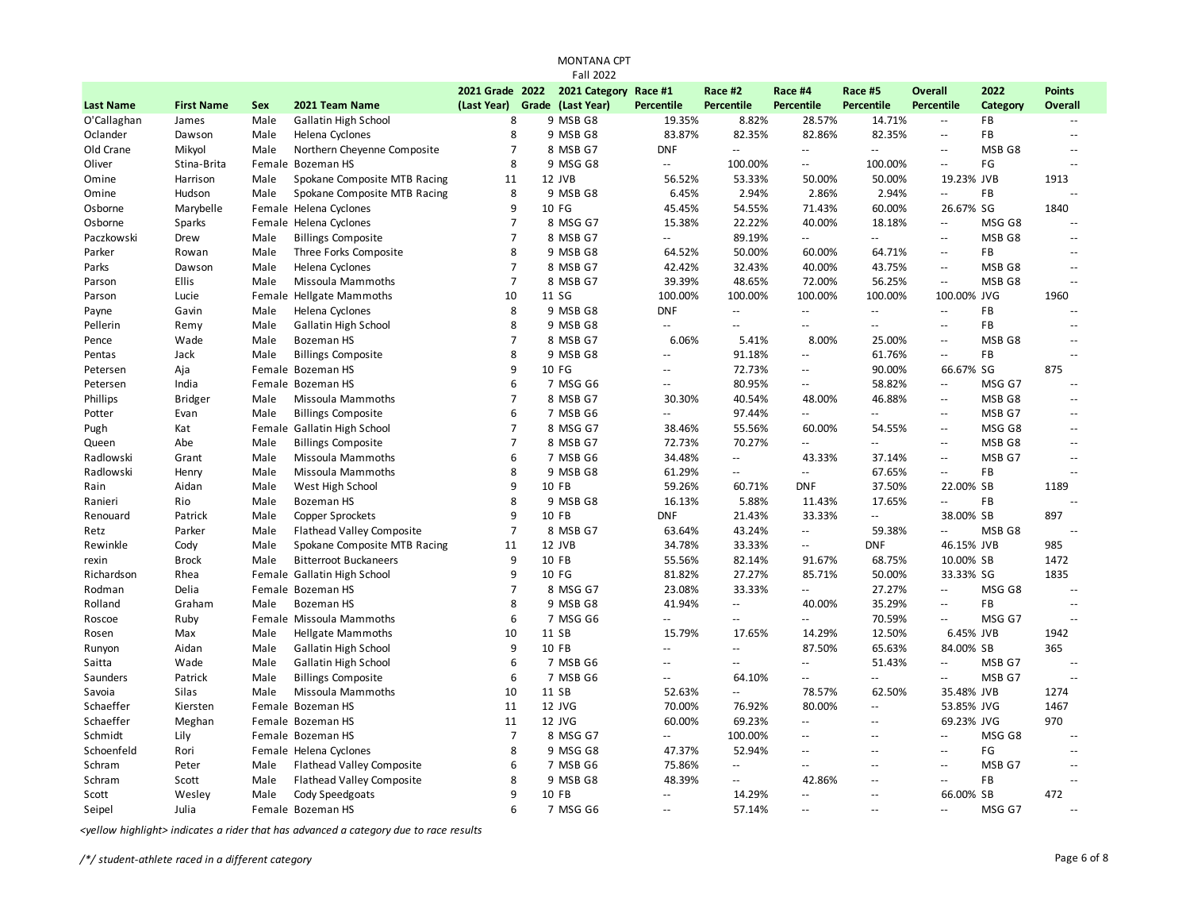|                  |                   |        |                                  |                | <b>Fall 2022</b>              |                          |                                               |                             |                           |                                               |                   |                          |
|------------------|-------------------|--------|----------------------------------|----------------|-------------------------------|--------------------------|-----------------------------------------------|-----------------------------|---------------------------|-----------------------------------------------|-------------------|--------------------------|
|                  |                   |        |                                  |                | 2021 Grade 2022 2021 Category | Race #1                  | Race #2                                       | Race #4                     | Race #5                   | <b>Overall</b>                                | 2022              | <b>Points</b>            |
| <b>Last Name</b> | <b>First Name</b> | Sex    | 2021 Team Name                   | (Last Year)    | Grade (Last Year)             | Percentile               | <b>Percentile</b>                             | Percentile                  | Percentile                | <b>Percentile</b>                             | <b>Category</b>   | <b>Overall</b>           |
| O'Callaghan      | James             | Male   | <b>Gallatin High School</b>      | 8              | 9 MSB G8                      | 19.35%                   | 8.82%                                         | 28.57%                      | 14.71%                    | $\overline{\phantom{a}}$                      | FB                |                          |
| Oclander         | Dawson            | Male   | Helena Cyclones                  | 8              | 9 MSB G8                      | 83.87%                   | 82.35%                                        | 82.86%                      | 82.35%                    | $\sim$ $\sim$                                 | FB                | $\sim$ $\sim$            |
| Old Crane        | Mikyol            | Male   | Northern Cheyenne Composite      | $\overline{7}$ | 8 MSB G7                      | <b>DNF</b>               | $\mathbb{Z}^{\mathbb{Z}}$                     | $\sim$ $\sim$               | $\mathbb{L}$ .            | $\mathord{\hspace{1pt}\text{--}\hspace{1pt}}$ | MSB <sub>G8</sub> | $\sim$ $\sim$            |
| Oliver           | Stina-Brita       | Female | Bozeman HS                       | 8              | 9 MSG G8                      | Ξ.                       | 100.00%                                       | $\sim$ $\sim$               | 100.00%                   | $\sim$ $\sim$                                 | FG                | ۵.                       |
| Omine            | Harrison          | Male   | Spokane Composite MTB Racing     | 11             | 12 JVB                        | 56.52%                   | 53.33%                                        | 50.00%                      | 50.00%                    | 19.23% JVB                                    |                   | 1913                     |
| Omine            | Hudson            | Male   | Spokane Composite MTB Racing     | 8              | 9 MSB G8                      | 6.45%                    | 2.94%                                         | 2.86%                       | 2.94%                     | $\mathbb{L} \mathbb{L}$                       | FB                |                          |
| Osborne          | Marybelle         |        | Female Helena Cyclones           | 9              | 10 FG                         | 45.45%                   | 54.55%                                        | 71.43%                      | 60.00%                    | 26.67% SG                                     |                   | 1840                     |
| Osborne          | Sparks            |        | Female Helena Cyclones           | 7              | 8 MSG G7                      | 15.38%                   | 22.22%                                        | 40.00%                      | 18.18%                    | $\mathcal{L}^{\mathcal{L}}$                   | MSG G8            | $\overline{a}$           |
| Paczkowski       | Drew              | Male   | <b>Billings Composite</b>        | $\overline{7}$ | 8 MSB G7                      | н.                       | 89.19%                                        | $\sim$ $\sim$               | $\mathbb{Z}^{\mathbb{Z}}$ | $\sim$ $\sim$                                 | MSB <sub>G8</sub> | $\overline{a}$           |
| Parker           | Rowan             | Male   | Three Forks Composite            | 8              | 9 MSB G8                      | 64.52%                   | 50.00%                                        | 60.00%                      | 64.71%                    | $\overline{\phantom{a}}$                      | FB                | $\sim$ $\sim$            |
| Parks            | Dawson            | Male   | Helena Cyclones                  | $\overline{7}$ | 8 MSB G7                      | 42.42%                   | 32.43%                                        | 40.00%                      | 43.75%                    | $\sim$ $\sim$                                 | MSB G8            | $\overline{\phantom{a}}$ |
| Parson           | Ellis             | Male   | Missoula Mammoths                | $\overline{7}$ | 8 MSB G7                      | 39.39%                   | 48.65%                                        | 72.00%                      | 56.25%                    | $\mathcal{L}^{\mathcal{L}}$                   | MSB G8            | $\sim$ $\sim$            |
| Parson           | Lucie             |        | Female Hellgate Mammoths         | 10             | 11 SG                         | 100.00%                  | 100.00%                                       | 100.00%                     | 100.00%                   | 100.00% JVG                                   |                   | 1960                     |
| Payne            | Gavin             | Male   | Helena Cyclones                  | 8              | 9 MSB G8                      | <b>DNF</b>               | $\mathbb{Z}^{\mathbb{Z}}$                     | $\mathcal{L}_{\mathcal{A}}$ | $\mathbf{u}$              | $\sim$ $\sim$                                 | FB                | $\overline{a}$           |
| Pellerin         | Remy              | Male   | Gallatin High School             | 8              | 9 MSB G8                      | Ξ.                       | $\sim$ $\sim$                                 | $\sim$ $\sim$               | $\mathbb{Z}^{\mathbb{Z}}$ | $\sim$ $\sim$                                 | FB                | $\sim$ $\sim$            |
| Pence            | Wade              | Male   | Bozeman HS                       | $\overline{7}$ | 8 MSB G7                      | 6.06%                    | 5.41%                                         | 8.00%                       | 25.00%                    | $\mathcal{L}^{\mathcal{L}}$                   | MSB <sub>G8</sub> | $\sim$ $\sim$            |
| Pentas           | Jack              | Male   | <b>Billings Composite</b>        | 8              | 9 MSB G8                      | Ξ.                       | 91.18%                                        | $\sim$ $\sim$               | 61.76%                    | $\sim$ $\sim$                                 | FB                | $\overline{a}$           |
| Petersen         | Aja               |        | Female Bozeman HS                | 9              | 10 FG                         | Ц.                       | 72.73%                                        | $\sim$ $\sim$               | 90.00%                    | 66.67% SG                                     |                   | 875                      |
| Petersen         | India             |        | Female Bozeman HS                | 6              | 7 MSG G6                      | Ξ.                       | 80.95%                                        | $\overline{\phantom{a}}$    | 58.82%                    | $\overline{\phantom{a}}$                      | MSG G7            | $\overline{a}$           |
| Phillips         | Bridger           | Male   | Missoula Mammoths                | $\overline{7}$ | 8 MSB G7                      | 30.30%                   | 40.54%                                        | 48.00%                      | 46.88%                    | $\overline{\phantom{a}}$                      | MSB <sub>G8</sub> | $\overline{a}$           |
| Potter           | Evan              | Male   | <b>Billings Composite</b>        | 6              | 7 MSB G6                      | $\overline{\phantom{a}}$ | 97.44%                                        | $\sim$                      | $-$                       | $\sim$ $\sim$                                 | MSB G7            | $\sim$ $\sim$            |
| Pugh             | Kat               | Female | <b>Gallatin High School</b>      | $\overline{7}$ | 8 MSG G7                      | 38.46%                   | 55.56%                                        | 60.00%                      | 54.55%                    | $\sim$ $\sim$                                 | MSG G8            | $\overline{a}$           |
| Queen            | Abe               | Male   | <b>Billings Composite</b>        | $\overline{7}$ | 8 MSB G7                      | 72.73%                   | 70.27%                                        | $\sim$ $\sim$               | $\overline{a}$            | $\sim$ $\sim$                                 | MSB G8            | $\sim$ $\sim$            |
| Radlowski        | Grant             | Male   | Missoula Mammoths                | 6              | 7 MSB G6                      | 34.48%                   | $\mathbb{Z}^{\mathbb{Z}}$                     | 43.33%                      | 37.14%                    | $\sim$ $\sim$                                 | MSB G7            | $\sim$ $\sim$            |
| Radlowski        | Henry             | Male   | Missoula Mammoths                | 8              | 9 MSB G8                      | 61.29%                   | $\overline{\phantom{a}}$                      | $\overline{\phantom{a}}$    | 67.65%                    | $\overline{\phantom{a}}$                      | FB                | $\overline{a}$           |
| Rain             | Aidan             | Male   | West High School                 | 9              | 10 FB                         | 59.26%                   | 60.71%                                        | <b>DNF</b>                  | 37.50%                    | 22.00% SB                                     |                   | 1189                     |
| Ranieri          | Rio               | Male   | <b>Bozeman HS</b>                | 8              | 9 MSB G8                      | 16.13%                   | 5.88%                                         | 11.43%                      | 17.65%                    | $\overline{\phantom{a}}$                      | FB                |                          |
| Renouard         | Patrick           | Male   | <b>Copper Sprockets</b>          | 9              | 10 FB                         | <b>DNF</b>               | 21.43%                                        | 33.33%                      | Ξ.                        | 38.00% SB                                     |                   | 897                      |
| Retz             | Parker            | Male   | <b>Flathead Valley Composite</b> | $\overline{7}$ | 8 MSB G7                      | 63.64%                   | 43.24%                                        | $\overline{\phantom{a}}$    | 59.38%                    | $\mathbb{L} \mathbb{L}$                       | MSB G8            | $\sim$ $\sim$            |
| Rewinkle         | Cody              | Male   | Spokane Composite MTB Racing     | 11             | 12 JVB                        | 34.78%                   | 33.33%                                        | $\sim$ $\sim$               | <b>DNF</b>                | 46.15% JVB                                    |                   | 985                      |
| rexin            | <b>Brock</b>      | Male   | <b>Bitterroot Buckaneers</b>     | 9              | 10 FB                         | 55.56%                   | 82.14%                                        | 91.67%                      | 68.75%                    | 10.00% SB                                     |                   | 1472                     |
| Richardson       | Rhea              |        | Female Gallatin High School      | 9              | 10 FG                         | 81.82%                   | 27.27%                                        | 85.71%                      | 50.00%                    | 33.33% SG                                     |                   | 1835                     |
| Rodman           | Delia             |        | Female Bozeman HS                | 7              | 8 MSG G7                      | 23.08%                   | 33.33%                                        | Ξ.                          | 27.27%                    | $\mathbb{L}^{\mathbb{L}}$                     | MSG G8            | $\overline{a}$           |
| Rolland          | Graham            | Male   | Bozeman HS                       | 8              | 9 MSB G8                      | 41.94%                   | $\mathord{\hspace{1pt}\text{--}\hspace{1pt}}$ | 40.00%                      | 35.29%                    | $\sim$ $\sim$                                 | FB                | $\sim$ $\sim$            |
| Roscoe           | Ruby              |        | Female Missoula Mammoths         | 6              | 7 MSG G6                      | Ξ.                       | $\sim$                                        | $\sim$ $\sim$               | 70.59%                    | $\sim$ $\sim$                                 | MSG G7            | $\overline{a}$           |
| Rosen            | Max               | Male   | <b>Hellgate Mammoths</b>         | 10             | 11 SB                         | 15.79%                   | 17.65%                                        | 14.29%                      | 12.50%                    | 6.45% JVB                                     |                   | 1942                     |
| Runyon           | Aidan             | Male   | Gallatin High School             | 9              | 10 FB                         | $-$                      | $\sim$                                        | 87.50%                      | 65.63%                    | 84.00% SB                                     |                   | 365                      |
| Saitta           | Wade              | Male   | Gallatin High School             | 6              | 7 MSB G6                      | $\sim$ $\sim$            | $\sim$ $\sim$                                 | $\sim$                      | 51.43%                    | $\overline{\phantom{a}}$                      | MSB G7            | $\sim$                   |
| Saunders         | Patrick           | Male   | <b>Billings Composite</b>        | 6              | 7 MSB G6                      | $-$                      | 64.10%                                        | $\sim$                      | $\sim$                    | $\sim$                                        | MSB G7            | $\sim$ $\sim$            |
| Savoia           | Silas             | Male   | Missoula Mammoths                | 10             | 11 SB                         | 52.63%                   | $\overline{\phantom{a}}$                      | 78.57%                      | 62.50%                    | 35.48% JVB                                    |                   | 1274                     |
| Schaeffer        | Kiersten          |        | Female Bozeman HS                | 11             | 12 JVG                        | 70.00%                   | 76.92%                                        | 80.00%                      | $\mathbb{L}$ .            | 53.85% JVG                                    |                   | 1467                     |
| Schaeffer        | Meghan            |        | Female Bozeman HS                | 11             | 12 JVG                        | 60.00%                   | 69.23%                                        | $\overline{\phantom{a}}$    | $\overline{\phantom{a}}$  | 69.23% JVG                                    |                   | 970                      |
| Schmidt          | Lily              |        | Female Bozeman HS                | $\overline{7}$ | 8 MSG G7                      | щ,                       | 100.00%                                       | $\sim$ $\sim$               | $\overline{a}$            | $\sim$ $\sim$                                 | MSG G8            | $\sim$ $\sim$            |
| Schoenfeld       | Rori              |        | Female Helena Cyclones           | 8              | 9 MSG G8                      | 47.37%                   | 52.94%                                        | $\sim$ $\sim$               | $-$                       | $\mathord{\hspace{1pt}\text{--}\hspace{1pt}}$ | FG                | $\sim$ $\sim$            |
| Schram           | Peter             | Male   | <b>Flathead Valley Composite</b> | 6              | 7 MSB G6                      | 75.86%                   | $\overline{\phantom{a}}$                      | $\sim$                      | $\sim$                    | $\sim$ $\sim$                                 | MSB G7            | $\overline{a}$           |
| Schram           | Scott             | Male   | <b>Flathead Valley Composite</b> | 8              | 9 MSB G8                      | 48.39%                   | $\overline{\phantom{a}}$                      | 42.86%                      | $\overline{a}$            | $\sim$ $\sim$                                 | FB                | ۵.                       |
| Scott            | Wesley            | Male   | Cody Speedgoats                  | 9              | 10 FB                         | $\mathbb{L}$             | 14.29%                                        | $\sim$ $\sim$               | $\overline{a}$            | 66.00% SB                                     |                   | 472                      |
| Seipel           | Julia             |        | Female Bozeman HS                | 6              | 7 MSG G6                      | $\sim$ $\sim$            | 57.14%                                        | $\sim$ $\sim$               | $\overline{a}$            | $\sim$ $\sim$                                 | MSG G7            |                          |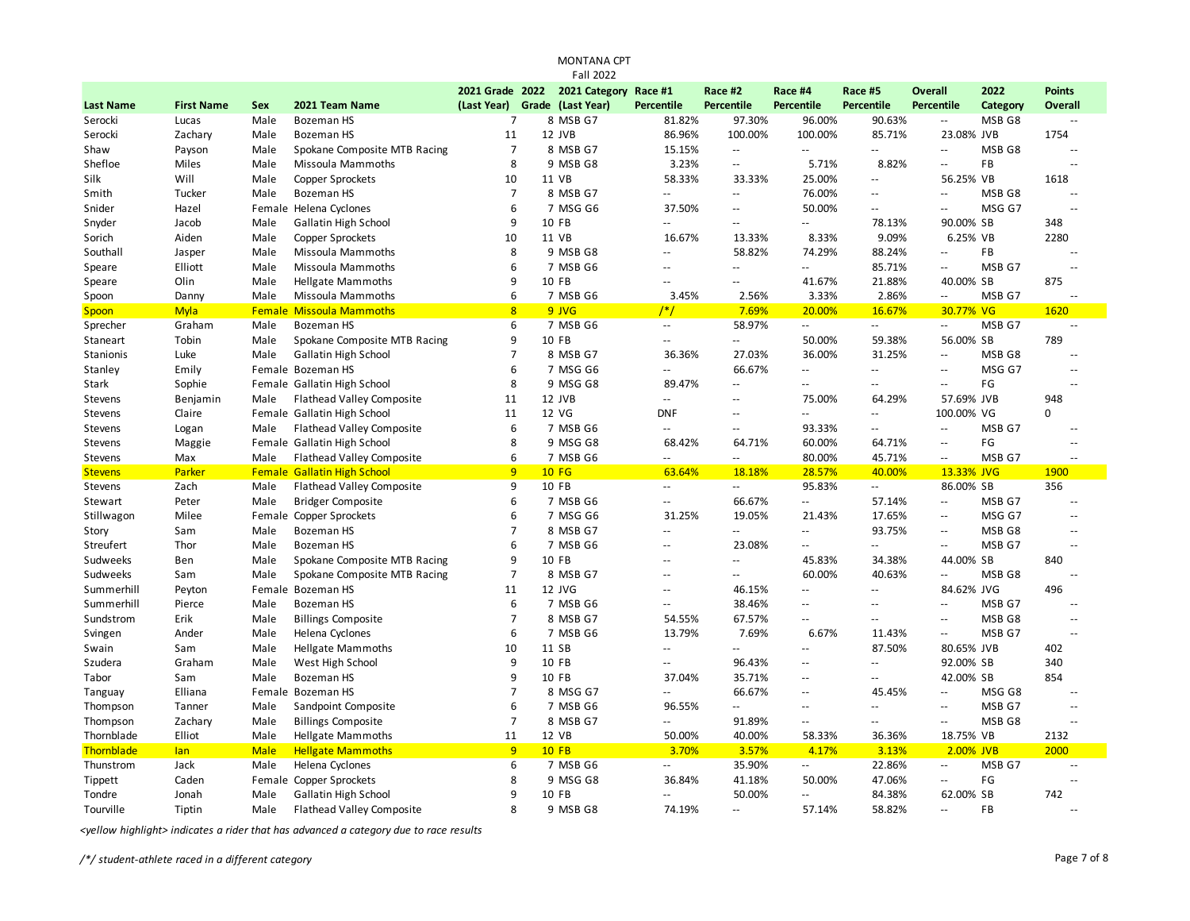|                  |                   |             |                                    |                 | <b>Fall 2022</b>      |                                               |                          |                           |                            |                                               |                   |                          |  |
|------------------|-------------------|-------------|------------------------------------|-----------------|-----------------------|-----------------------------------------------|--------------------------|---------------------------|----------------------------|-----------------------------------------------|-------------------|--------------------------|--|
|                  |                   |             |                                    | 2021 Grade 2022 | 2021 Category Race #1 |                                               | Race #2                  | Race #4                   | Race #5                    | Overall                                       | 2022              | <b>Points</b>            |  |
| <b>Last Name</b> | <b>First Name</b> | Sex         | 2021 Team Name                     | (Last Year)     | Grade (Last Year)     | Percentile                                    | Percentile               | <b>Percentile</b>         | Percentile                 | <b>Percentile</b>                             | Category          | <b>Overall</b>           |  |
| Serocki          | Lucas             | Male        | <b>Bozeman HS</b>                  | 7               | 8 MSB G7              | 81.82%                                        | 97.30%                   | 96.00%                    | 90.63%                     | $\mathbb{L}$ .                                | MSB <sub>G8</sub> | $\sim$                   |  |
| Serocki          | Zachary           | Male        | <b>Bozeman HS</b>                  | 11              | 12 JVB                | 86.96%                                        | 100.00%                  | 100.00%                   | 85.71%                     | 23.08% JVB                                    |                   | 1754                     |  |
| Shaw             | Payson            | Male        | Spokane Composite MTB Racing       | $\overline{7}$  | 8 MSB G7              | 15.15%                                        | $\overline{\phantom{a}}$ | $\mathbf{u}$              | $\mathbb{Z}^{\mathbb{Z}}$  | $\sim$ $\sim$                                 | MSB <sub>G8</sub> |                          |  |
| Shefloe          | Miles             | Male        | Missoula Mammoths                  | 8               | 9 MSB G8              | 3.23%                                         | --                       | 5.71%                     | 8.82%                      | $\overline{\phantom{a}}$                      | FB                |                          |  |
| Silk             | Will              | Male        | Copper Sprockets                   | 10              | 11 VB                 | 58.33%                                        | 33.33%                   | 25.00%                    | $\sim$ $\sim$              | 56.25%                                        | VB                | 1618                     |  |
| Smith            | Tucker            | Male        | Bozeman HS                         | 7               | 8 MSB G7              | $\sim$                                        | $\sim$                   | 76.00%                    | $\sim$ $\sim$              | $\mathord{\hspace{1pt}\text{--}\hspace{1pt}}$ | MSB G8            | $\sim$                   |  |
| Snider           | Hazel             |             | Female Helena Cyclones             | 6               | 7 MSG G6              | 37.50%                                        | $-$                      | 50.00%                    | $\sim$ $\sim$              | $\sim$ $\sim$                                 | MSG G7            |                          |  |
| Snyder           | Jacob             | Male        | Gallatin High School               | 9               | 10 FB                 | $\sim$                                        | $=$                      | $\mathbf{u}$              | 78.13%                     | 90.00% SB                                     |                   | 348                      |  |
| Sorich           | Aiden             | Male        | <b>Copper Sprockets</b>            | 10              | 11 VB                 | 16.67%                                        | 13.33%                   | 8.33%                     | 9.09%                      | 6.25% VB                                      |                   | 2280                     |  |
| Southall         | Jasper            | Male        | Missoula Mammoths                  | 8               | 9 MSB G8              | $\sim$ $\sim$                                 | 58.82%                   | 74.29%                    | 88.24%                     | Ξ.                                            | FB                |                          |  |
| Speare           | Elliott           | Male        | Missoula Mammoths                  | 6               | 7 MSB G6              | $\sim$                                        | --                       | $\overline{\phantom{a}}$  | 85.71%                     | $\overline{\phantom{a}}$                      | MSB G7            |                          |  |
| Speare           | Olin              | Male        | <b>Hellgate Mammoths</b>           | 9               | 10 FB                 | $\sim$                                        | $-$                      | 41.67%                    | 21.88%                     | 40.00% SB                                     |                   | 875                      |  |
| Spoon            | Danny             | Male        | Missoula Mammoths                  | 6               | 7 MSB G6              | 3.45%                                         | 2.56%                    | 3.33%                     | 2.86%                      | $\overline{\phantom{a}}$                      | MSB G7            | ц.                       |  |
| Spoon            | <b>Myla</b>       |             | <b>Female Missoula Mammoths</b>    | 8               | 9 JVG                 | $/*/$                                         | 7.69%                    | 20.00%                    | 16.67%                     | 30.77% VG                                     |                   | 1620                     |  |
| Sprecher         | Graham            | Male        | Bozeman HS                         | 6               | 7 MSB G6              | $\sim$ $\sim$                                 | 58.97%                   | $\mathbb{L}^{\mathbb{L}}$ | $\sim$ $\sim$              | $\mathcal{L}_{\mathcal{A}}$                   | MSB G7            | $\sim$ $\sim$            |  |
| Staneart         | Tobin             | Male        | Spokane Composite MTB Racing       | 9               | 10 FB                 | $\sim$                                        | ш.                       | 50.00%                    | 59.38%                     | 56.00% SB                                     |                   | 789                      |  |
| Stanionis        | Luke              | Male        | Gallatin High School               | $\overline{7}$  | 8 MSB G7              | 36.36%                                        | 27.03%                   | 36.00%                    | 31.25%                     | $\sim$ $\sim$                                 | MSB G8            |                          |  |
| Stanley          | Emily             |             | Female Bozeman HS                  | 6               | 7 MSG G6              |                                               | 66.67%                   | $\mathbb{L}^2$            | $\mathbb{L}$ .             | $\sim$ $\sim$                                 | MSG G7            |                          |  |
| Stark            | Sophie            |             | Female Gallatin High School        | 8               | 9 MSG G8              | 89.47%                                        | $\overline{\phantom{a}}$ | $-$                       | $\overline{a}$             | $\overline{\phantom{a}}$                      | FG                |                          |  |
| Stevens          | Benjamin          | Male        | <b>Flathead Valley Composite</b>   | 11              | 12 JVB                | $\sim$ $\sim$                                 |                          | 75.00%                    | 64.29%                     | 57.69% JVB                                    |                   | 948                      |  |
|                  | Claire            |             | Female Gallatin High School        | 11              | 12 VG                 | DNF                                           | $-$                      | $\overline{\phantom{a}}$  | $\mathbf{u}$               | 100.00% VG                                    |                   | 0                        |  |
| Stevens          |                   | Male        |                                    | 6               | 7 MSB G6              | $\sim$                                        | $\overline{a}$           |                           | $\sim$                     | $\sim$ $\sim$                                 | MSB G7            |                          |  |
| Stevens          | Logan             |             | <b>Flathead Valley Composite</b>   | 8               |                       |                                               |                          | 93.33%                    |                            |                                               |                   |                          |  |
| Stevens          | Maggie            |             | Female Gallatin High School        |                 | 9 MSG G8              | 68.42%                                        | 64.71%                   | 60.00%                    | 64.71%                     | $\sim$                                        | FG                | $\overline{a}$           |  |
| Stevens          | Max               | Male        | <b>Flathead Valley Composite</b>   | 6               | 7 MSB G6              | $\sim$                                        | $\overline{\phantom{a}}$ | 80.00%                    | 45.71%                     | $\mathcal{L}_{\mathcal{A}}$                   | MSB G7            | $\sim$                   |  |
| <b>Stevens</b>   | Parker            |             | <b>Female Gallatin High School</b> | 9               | <b>10 FG</b>          | 63.64%                                        | 18.18%                   | 28.57%                    | 40.00%                     | 13.33% JVG                                    |                   | 1900                     |  |
| Stevens          | Zach              | Male        | Flathead Valley Composite          | 9               | 10 FB                 | $\sim$ $\sim$                                 | --                       | 95.83%                    | $\mathcal{L}(\mathcal{L})$ | 86.00% SB                                     |                   | 356                      |  |
| Stewart          | Peter             | Male        | <b>Bridger Composite</b>           | 6               | 7 MSB G6              | $\mathord{\hspace{1pt}\text{--}\hspace{1pt}}$ | 66.67%                   | $\overline{\phantom{a}}$  | 57.14%                     | $\overline{\phantom{a}}$                      | MSB G7            | $\sim$ $\sim$            |  |
| Stillwagon       | Milee             |             | Female Copper Sprockets            | 6               | 7 MSG G6              | 31.25%                                        | 19.05%                   | 21.43%                    | 17.65%                     | $\overline{\phantom{a}}$                      | MSG G7            |                          |  |
| Story            | Sam               | Male        | Bozeman HS                         | $\overline{7}$  | 8 MSB G7              | $\sim$                                        | --                       | Щ.                        | 93.75%                     | $\overline{\phantom{a}}$                      | MSB G8            | $\overline{\phantom{a}}$ |  |
| Streufert        | Thor              | Male        | Bozeman HS                         | 6               | 7 MSB G6              | $\sim$                                        | 23.08%                   | $\sim$                    | $\mathbb{Z}^{\mathbb{Z}}$  | $\sim$ $\sim$                                 | MSB G7            | $\overline{a}$           |  |
| Sudweeks         | Ben               | Male        | Spokane Composite MTB Racing       | 9               | 10 FB                 | $\sim$                                        | $\sim$                   | 45.83%                    | 34.38%                     | 44.00% SB                                     |                   | 840                      |  |
| Sudweeks         | Sam               | Male        | Spokane Composite MTB Racing       | $\overline{7}$  | 8 MSB G7              | $\sim$                                        | --                       | 60.00%                    | 40.63%                     | $\sim$ $\sim$                                 | MSB G8            | $\sim$                   |  |
| Summerhill       | Peyton            |             | Female Bozeman HS                  | 11              | 12 JVG                | $\sim$                                        | 46.15%                   | $\overline{a}$            | $\sim$                     | 84.62% JVG                                    |                   | 496                      |  |
| Summerhill       | Pierce            | Male        | <b>Bozeman HS</b>                  | 6               | 7 MSB G6              | $\sim$ $\sim$                                 | 38.46%                   | $\overline{a}$            | $\overline{a}$             | $\sim$ $\sim$                                 | MSB G7            |                          |  |
| Sundstrom        | Erik              | Male        | <b>Billings Composite</b>          | $\overline{7}$  | 8 MSB G7              | 54.55%                                        | 67.57%                   | $-$                       |                            | $\sim$ $\sim$                                 | MSB G8            |                          |  |
| Svingen          | Ander             | Male        | Helena Cyclones                    | 6               | 7 MSB G6              | 13.79%                                        | 7.69%                    | 6.67%                     | 11.43%                     | $\overline{\phantom{a}}$                      | MSB G7            |                          |  |
| Swain            | Sam               | Male        | <b>Hellgate Mammoths</b>           | 10              | 11 SB                 | $\sim$                                        | --                       | $-$                       | 87.50%                     | 80.65% JVB                                    |                   | 402                      |  |
| Szudera          | Graham            | Male        | West High School                   | 9               | 10 FB                 | $\sim$                                        | 96.43%                   | $-$                       | $\overline{a}$             | 92.00% SB                                     |                   | 340                      |  |
| Tabor            | Sam               | Male        | Bozeman HS                         | 9               | 10 FB                 | 37.04%                                        | 35.71%                   | $\sim$                    | $- -$                      | 42.00% SB                                     |                   | 854                      |  |
| Tanguay          | Elliana           |             | Female Bozeman HS                  | 7               | 8 MSG G7              | $\sim$ $\sim$                                 | 66.67%                   | $\mathbb{L}$ .            | 45.45%                     | $\sim$ $\sim$                                 | MSG G8            | $\sim$                   |  |
| Thompson         | Tanner            | Male        | Sandpoint Composite                | 6               | 7 MSB G6              | 96.55%                                        | 4                        | $\sim$                    | $- -$                      | $\sim$ $\sim$                                 | MSB G7            |                          |  |
| Thompson         | Zachary           | Male        | <b>Billings Composite</b>          | $\overline{7}$  | 8 MSB G7              | $\sim$ $\sim$                                 | 91.89%                   | $\mathbb{L}$ .            | $\mathbb{Z}^{\mathbb{Z}}$  | $\sim$ $\sim$                                 | MSB G8            |                          |  |
| Thornblade       | Elliot            | Male        | <b>Hellgate Mammoths</b>           | 11              | 12 VB                 | 50.00%                                        | 40.00%                   | 58.33%                    | 36.36%                     | 18.75% VB                                     |                   | 2132                     |  |
| Thornblade       | lan               | <b>Male</b> | <b>Hellgate Mammoths</b>           | 9               | $10$ FB               | 3.70%                                         | 3.57%                    | 4.17%                     | 3.13%                      | 2.00% JVB                                     |                   | 2000                     |  |
| Thunstrom        | Jack              | Male        | Helena Cyclones                    | 6               | 7 MSB G6              | $\sim$ $\sim$                                 | 35.90%                   | $\mathbf{u}$              | 22.86%                     | $\mathord{\hspace{1pt}\text{--}\hspace{1pt}}$ | MSB G7            | $\overline{a}$           |  |
| Tippett          | Caden             | Female      | Copper Sprockets                   | 8               | 9 MSG G8              | 36.84%                                        | 41.18%                   | 50.00%                    | 47.06%                     | $\overline{\phantom{a}}$                      | FG                |                          |  |
| Tondre           | Jonah             | Male        | Gallatin High School               | 9               | 10 FB                 | $\sim$                                        | 50.00%                   | $\sim$                    | 84.38%                     | 62.00% SB                                     |                   | 742                      |  |
| Tourville        | Tiptin            | Male        | <b>Flathead Valley Composite</b>   | 8               | 9 MSB G8              | 74.19%                                        | $\sim$                   | 57.14%                    | 58.82%                     | $\sim$ $\sim$                                 | FB                |                          |  |